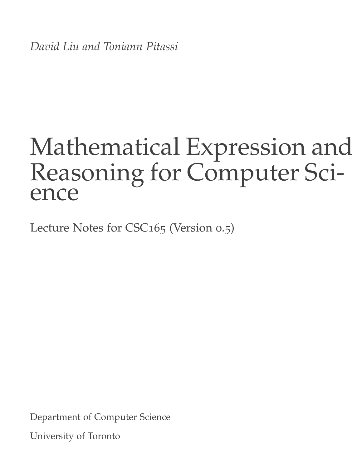*David Liu and Toniann Pitassi*

# Mathematical Expression and Reasoning for Computer Science

Lecture Notes for CSC165 (Version 0.5)

Department of Computer Science

University of Toronto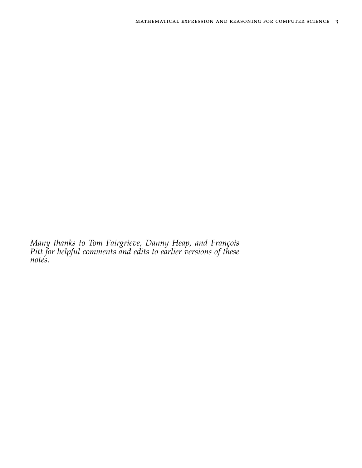*Many thanks to Tom Fairgrieve, Danny Heap, and François Pitt for helpful comments and edits to earlier versions of these notes.*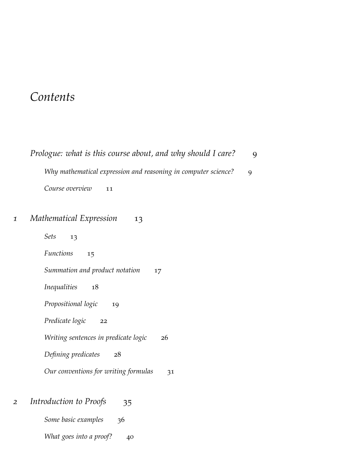# *Contents*

|   | Prologue: what is this course about, and why should I care?    | 9 |
|---|----------------------------------------------------------------|---|
|   | Why mathematical expression and reasoning in computer science? | 9 |
|   | Course overview<br>11                                          |   |
| 1 | Mathematical Expression<br>13                                  |   |
|   | <b>Sets</b><br>13                                              |   |
|   | <i>Functions</i><br>15                                         |   |
|   | Summation and product notation<br>17                           |   |
|   | <i>Inequalities</i><br>18                                      |   |
|   | Propositional logic<br>19                                      |   |
|   | Predicate logic<br>22                                          |   |

*[Writing sentences in predicate logic](#page-25-0)* 26

*[Defining predicates](#page-27-0)* 28

*[Our conventions for writing formulas](#page-30-0)* 31

# *2 [Introduction to Proofs](#page-34-0)* 35

*[Some basic examples](#page-35-0)* 36

*[What goes into a proof?](#page-39-0)* 40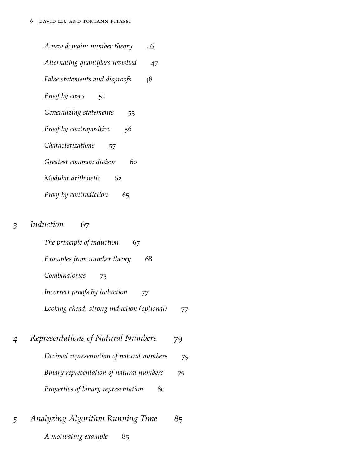| A new domain: number theory       | 46 |
|-----------------------------------|----|
| Alternating quantifiers revisited | 47 |
| False statements and disproofs    | 48 |
| <b>Proof by cases</b><br>51       |    |
| Generalizing statements<br>53     |    |
| Proof by contrapositive<br>56     |    |
| <i>Characterizations</i><br>57    |    |
| Greatest common divisor<br>60     |    |
| Modular arithmetic<br>62          |    |
| Proof by contradiction<br>65      |    |

# *3 [Induction](#page-66-0)* 67

| The principle of induction<br>67           |    |
|--------------------------------------------|----|
| Examples from number theory<br>68          |    |
| Combinatorics<br>73                        |    |
| Incorrect proofs by induction<br>77        |    |
| Looking ahead: strong induction (optional) | 77 |

| 4 | Representations of Natural Numbers        | 79 |
|---|-------------------------------------------|----|
|   | Decimal representation of natural numbers | 79 |
|   | Binary representation of natural numbers  | 79 |
|   | Properties of binary representation       | 80 |

| Analyzing Algorithm Running Time |     | 85 |
|----------------------------------|-----|----|
| A motivating example             | -85 |    |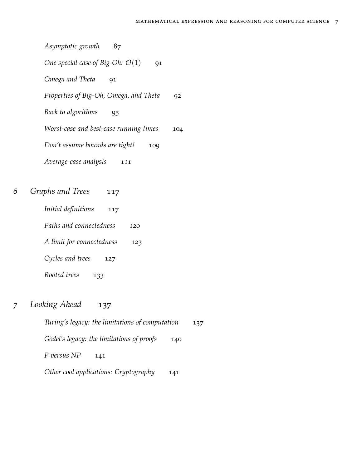*[Asymptotic growth](#page-86-0)* 87 *[One special case of Big-Oh:](#page-90-0)*  $\mathcal{O}(1)$ *[Omega and Theta](#page-90-1)[Properties of Big-Oh, Omega, and Theta](#page-91-0)[Back to algorithms](#page-94-0)* 95 *[Worst-case and best-case running times](#page-103-0)[Don't assume bounds are tight!](#page-108-0)[Average-case analysis](#page-110-0)* 111

- *6 [Graphs and Trees](#page-116-0)* 117
	- *[Initial definitions](#page-116-1)* 117
	- *[Paths and connectedness](#page-119-0)* 120
	- *[A limit for connectedness](#page-122-0)* 123
	- *[Cycles and trees](#page-126-0)* 127
	- *[Rooted trees](#page-132-0)* 133
- *7 [Looking Ahead](#page-136-0)* 137

*[Turing's legacy: the limitations of computation](#page-136-1)* 137 *[Gödel's legacy: the limitations of proofs](#page-139-0)* 140 *[P versus NP](#page-140-0)* 141 *[Other cool applications: Cryptography](#page-140-1)* 141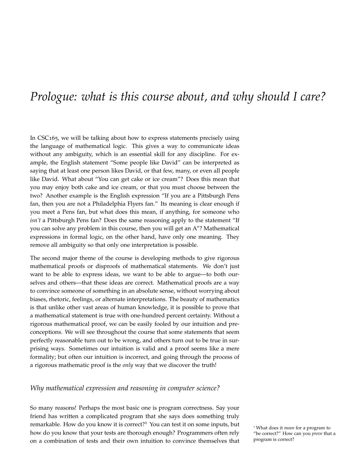# <span id="page-8-0"></span>*Prologue: what is this course about, and why should I care?*

In CSC165, we will be talking about how to express statements precisely using the language of mathematical logic. This gives a way to communicate ideas without any ambiguity, which is an essential skill for any discipline. For example, the English statement "Some people like David" can be interpreted as saying that at least one person likes David, or that few, many, or even all people like David. What about "You can get cake or ice cream"? Does this mean that you may enjoy both cake and ice cream, or that you must choose between the two? Another example is the English expression "If you are a Pittsburgh Pens fan, then you are not a Philadelphia Flyers fan." Its meaning is clear enough if you meet a Pens fan, but what does this mean, if anything, for someone who *isn't* a Pittsburgh Pens fan? Does the same reasoning apply to the statement "If you can solve any problem in this course, then you will get an A"? Mathematical expressions in formal logic, on the other hand, have only one meaning. They remove all ambiguity so that only one interpretation is possible.

The second major theme of the course is developing methods to give rigorous mathematical proofs or disproofs of mathematical statements. We don't just want to be able to express ideas, we want to be able to argue—to both ourselves and others—that these ideas are correct. Mathematical proofs are a way to convince someone of something in an absolute sense, without worrying about biases, rhetoric, feelings, or alternate interpretations. The beauty of mathematics is that unlike other vast areas of human knowledge, it is possible to prove that a mathematical statement is true with one-hundred percent certainty. Without a rigorous mathematical proof, we can be easily fooled by our intuition and preconceptions. We will see throughout the course that some statements that seem perfectly reasonable turn out to be wrong, and others turn out to be true in surprising ways. Sometimes our intuition is valid and a proof seems like a mere formality; but often our intuition is incorrect, and going through the process of a rigorous mathematic proof is the *only* way that we discover the truth!

### <span id="page-8-1"></span>*Why mathematical expression and reasoning in computer science?*

So many reasons! Perhaps the most basic one is program correctness. Say your friend has written a complicated program that she says does something truly remarkable. How do you know it is correct?<sup>1</sup> You can test it on some inputs, but<br><sup>1</sup> What does it *mean* for a program to how do you know that your tests are thorough enough? Programmers often rely on a combination of tests and their own intuition to convince themselves that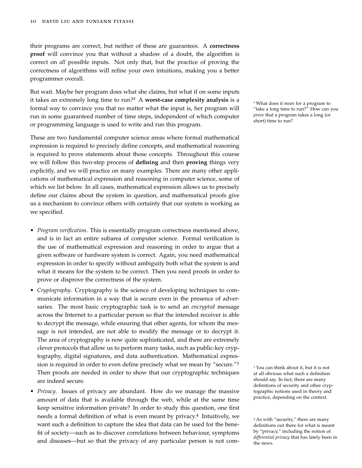their programs are correct, but neither of these are guarantees. A **correctness proof** will convince you that without a shadow of a doubt, the algorithm is correct on *all* possible inputs. Not only that, but the practice of proving the correctness of algorithms will refine your own intuitions, making you a better programmer overall.

But wait. Maybe her program does what she claims, but what if on some inputs it takes an extremely long time to run?<sup>2</sup> <sup>A</sup> **worst-case complexity analysis** is a <sup>2</sup> What does it *mean* for a program to formal way to convince you that no matter what the input is, her program will run in some guaranteed number of time steps, independent of which computer or programming language is used to write and run this program.

These are two fundamental computer science areas where formal mathematical expression is required to precisely define concepts, and mathematical reasoning is required to prove statements about those concepts. Throughout this course we will follow this two-step process of **defining** and then **proving** things very explicitly, and we will practice on many examples. There are many other applications of mathematical expression and reasoning in computer science, some of which we list below. In all cases, mathematical expression allows us to precisely define our claims about the system in question, and mathematical proofs give us a mechanism to convince others with certainty that our system is working as we specified.

- *Program verification*. This is essentially program correctness mentioned above, and is in fact an entire subarea of computer science. Formal verification is the use of mathematical expression and reasoning in order to argue that a given software or hardware system is correct. Again, you need mathematical expression in order to specify without ambiguity both what the system is and what it means for the system to be correct. Then you need proofs in order to prove or disprove the correctness of the system.
- *Cryptography*. Cryptography is the science of developing techniques to communicate information in a way that is secure even in the presence of adversaries. The most basic cryptographic task is to send an *encrypted* message across the Internet to a particular person so that the intended receiver is able to decrypt the message, while ensuring that other agents, for whom the message is not intended, are not able to modify the message or to decrypt it. The area of cryptography is now quite sophisticated, and there are extremely clever protocols that allow us to perform many tasks, such as public-key cryptography, digital signatures, and data authentication. Mathematical expression is required in order to even define precisely what we mean by "secure."<sup>3</sup> Then proofs are needed in order to show that our cryptographic techniques are indeed secure.
- *Privacy*. Issues of privacy are abundant. How do we manage the massive amount of data that is available through the web, while at the same time keep sensitive information private? In order to study this question, one first needs a formal definition of what is even meant by privacy.<sup>4</sup> Intuitively, we want such a definition to capture the idea that data can be used for the benefit of society—such as to discover correlations between behaviour, symptoms and diseases—but so that the privacy of any particular person is not com-

"take a long time to run?" How can you *prove* that a program takes a long (or short) time to run?

<sup>3</sup> You can think about it, but it is not at all obvious what such a definition should say. In fact, there are many definitions of security and other cryptographic notions used in theory and practice, depending on the context.

<sup>&</sup>lt;sup>4</sup> As with "security," there are many definitions out there for what is meant by "privacy," including the notion of *differential privacy* that has lately been in the news.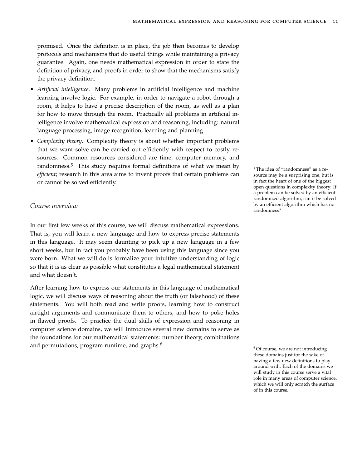promised. Once the definition is in place, the job then becomes to develop protocols and mechanisms that do useful things while maintaining a privacy guarantee. Again, one needs mathematical expression in order to state the definition of privacy, and proofs in order to show that the mechanisms satisfy the privacy definition.

- *Artificial intelligence*. Many problems in artificial intelligence and machine learning involve logic. For example, in order to navigate a robot through a room, it helps to have a precise description of the room, as well as a plan for how to move through the room. Practically all problems in artificial intelligence involve mathematical expression and reasoning, including: natural language processing, image recognition, learning and planning.
- *Complexity theory*. Complexity theory is about whether important problems that we want solve can be carried out efficiently with respect to costly resources. Common resources considered are time, computer memory, and randomness.<sup>5</sup> This study requires formal definitions of what we mean by  $\frac{5}{\pi}$  The idea of "randomness" as a re*efficient*; research in this area aims to invent proofs that certain problems can or cannot be solved efficiently.

# *Course overview*

In our first few weeks of this course, we will discuss mathematical expressions. That is, you will learn a new language and how to express precise statements in this language. It may seem daunting to pick up a new language in a few short weeks, but in fact you probably have been using this language since you were born. What we will do is formalize your intuitive understanding of logic so that it is as clear as possible what constitutes a legal mathematical statement and what doesn't.

After learning how to express our statements in this language of mathematical logic, we will discuss ways of reasoning about the truth (or falsehood) of these statements. You will both read and write proofs, learning how to construct airtight arguments and communicate them to others, and how to poke holes in flawed proofs. To practice the dual skills of expression and reasoning in computer science domains, we will introduce several new domains to serve as the foundations for our mathematical statements: number theory, combinations and permutations, program runtime, and graphs.<sup>6</sup>

source may be a surprising one, but is in fact the heart of one of the biggest open questions in complexity theory: If a problem can be solved by an efficient randomized algorithm, can it be solved by an efficient algorithm which has no randomness?

<sup>6</sup> Of course, we are not introducing these domains just for the sake of having a few new definitions to play around with. Each of the domains we will study in this course serve a vital role in many areas of computer science, which we will only scratch the surface of in this course.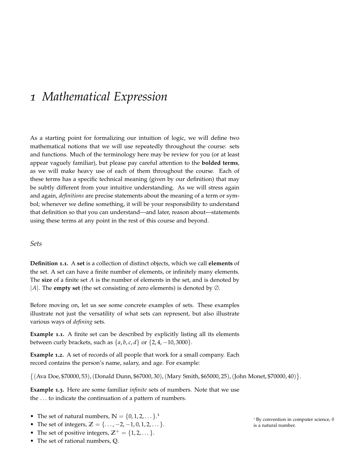# <span id="page-12-0"></span>*1 Mathematical Expression*

As a starting point for formalizing our intuition of logic, we will define two mathematical notions that we will use repeatedly throughout the course: sets and functions. Much of the terminology here may be review for you (or at least appear vaguely familiar), but please pay careful attention to the **bolded terms**, as we will make heavy use of each of them throughout the course. Each of these terms has a specific technical meaning (given by our definition) that may be subtly different from your intuitive understanding. As we will stress again and again, *definitions* are precise statements about the meaning of a term or symbol; whenever we define something, it will be your responsibility to understand that definition so that you can understand—and later, reason about—statements using these terms at any point in the rest of this course and beyond.

# <span id="page-12-1"></span>*Sets*

**Definition 1.1.** A **set** is a collection of distinct objects, which we call **elements** of the set. A set can have a finite number of elements, or infinitely many elements. The **size** of a finite set *A* is the number of elements in the set, and is denoted by |*A*|. The **empty set** (the set consisting of zero elements) is denoted by ∅.

Before moving on, let us see some concrete examples of sets. These examples illustrate not just the versatility of what sets can represent, but also illustrate various ways of *defining* sets.

**Example 1.1.** A finite set can be described by explicitly listing all its elements between curly brackets, such as  $\{a, b, c, d\}$  or  $\{2, 4, -10, 3000\}$ .

**Example 1.2.** A set of records of all people that work for a small company. Each record contains the person's name, salary, and age. For example:

 $\{(Ava Doe, $70000, 53), (Donald Dunn, $67000, 30), (Mary Smith, $65000, 25), (John Monet, $70000, 40)\}.$ 

**Example 1.3.** Here are some familiar *infinite* sets of numbers. Note that we use the . . . to indicate the continuation of a pattern of numbers.

- The set of natural numbers,  $\mathbb{N} = \{0, 1, 2, \dots\}$ <sup>1</sup>
- The set of integers,  $\mathbb{Z} = \{..., -2, -1, 0, 1, 2, ...\}$ .
- The set of positive integers,  $\mathbb{Z}^+ = \{1, 2, \dots\}$ .
- The set of rational numbers, **Q**.

 $1$  By convention in computer science,  $0$  is a natural number.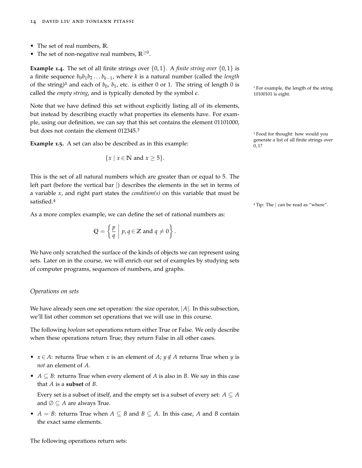- The set of real numbers, **R**.
- The set of non-negative real numbers, **R**≥<sup>0</sup> .

**Example 1.4.** The set of all finite strings over  $\{0, 1\}$ . A *finite string over*  $\{0, 1\}$  is a finite sequence *b*0*b*1*b*<sup>2</sup> . . . *bk*−<sup>1</sup> , where *k* is a natural number (called the *length* of the string)<sup>2</sup> and each of  $b_0$ ,  $b_1$ , etc. is either 0 or 1. The string of length 0 is <sup>2</sup> For example, the length of the string called the *empty string*, and is typically denoted by the symbol  $\epsilon$ . 10100101 is eight.

Note that we have defined this set without explicitly listing all of its elements, but instead by describing exactly what properties its elements have. For example, using our definition, we can say that this set contains the element 01101000, but does not contain the element 012345.<sup>3</sup>

**Example 1.5.** A set can also be described as in this example:<br> $\begin{array}{ccc}\n0 & 12 \\
0 & 12\n\end{array}$ 

$$
\{x \mid x \in \mathbb{N} \text{ and } x \ge 5\}.
$$

This is the set of all natural numbers which are greater than or equal to 5. The left part (before the vertical bar |) describes the elements in the set in terms of a variable *x*, and right part states the *condition(s)* on this variable that must be satisfied.<sup>4</sup>

As a more complex example, we can define the set of rational numbers as:

$$
Q = \left\{ \frac{p}{q} \middle| p, q \in \mathbb{Z} \text{ and } q \neq 0 \right\}.
$$

We have only scratched the surface of the kinds of objects we can represent using sets. Later on in the course, we will enrich our set of examples by studying sets of computer programs, sequences of numbers, and graphs.

#### *Operations on sets*

We have already seen one set operation: the size operator, |*A*|. In this subsection, we'll list other common set operations that we will use in this course.

The following *boolean* set operations return either True or False. We only describe when these operations return True; they return False in all other cases.

- $x \in A$ : returns True when *x* is an element of *A*;  $y \notin A$  returns True when *y* is *not* an element of *A*.
- *A*  $\subseteq$  *B*: returns True when every element of *A* is also in *B*. We say in this case that *A* is a **subset** of *B*.

Every set is a subset of itself, and the empty set is a subset of every set:  $A \subseteq A$ and  $\emptyset \subseteq A$  are always True.

• *A* = *B*: returns True when *A*  $\subseteq$  *B* and *B*  $\subseteq$  *A*. In this case, *A* and *B* contain the exact same elements.

<sup>3</sup> Food for thought: how would you

<sup>4</sup> Tip: The | can be read as "where".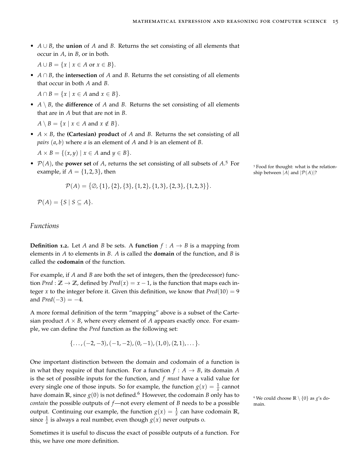• *A* ∪ *B*, the **union** of *A* and *B*. Returns the set consisting of all elements that occur in *A*, in *B*, or in both.

 $A \cup B = \{x \mid x \in A \text{ or } x \in B\}.$ 

• *A* ∩ *B*, the **intersection** of *A* and *B*. Returns the set consisting of all elements that occur in both *A* and *B*.

 $A \cap B = \{x \mid x \in A \text{ and } x \in B\}.$ 

•  $A \setminus B$ , the **difference** of *A* and *B*. Returns the set consisting of all elements that are in *A* but that are not in *B*.

 $A \setminus B = \{x \mid x \in A \text{ and } x \notin B\}.$ 

• *A* × *B*, the **(Cartesian) product** of *A* and *B*. Returns the set consisting of all *pairs* (*a*, *b*) where *a* is an element of *A* and *b* is an element of *B*.

 $A \times B = \{ (x, y) \mid x \in A \text{ and } y \in B \}.$ 

•  $P(A)$ , the **power set** of *A*, returns the set consisting of all subsets of  $A$ <sup>5</sup> For example, if  $A = \{1, 2, 3\}$ , then ship between  $|\tilde{A}|$  and  $|\mathcal{P}(A)|$ ?

$$
\mathcal{P}(A) = \{ \emptyset, \{1\}, \{2\}, \{3\}, \{1,2\}, \{1,3\}, \{2,3\}, \{1,2,3\} \}.
$$

 $P(A) = \{S \mid S \subseteq A\}.$ 

# <span id="page-14-0"></span>*Functions*

**Definition 1.2.** Let *A* and *B* be sets. A **function**  $f : A \rightarrow B$  is a mapping from elements in *A* to elements in *B*. *A* is called the **domain** of the function, and *B* is called the **codomain** of the function.

For example, if *A* and *B* are both the set of integers, then the (predecessor) function *Pred* :  $\mathbb{Z} \to \mathbb{Z}$ , defined by *Pred*(*x*) = *x* − 1, is the function that maps each integer *x* to the integer before it. Given this definition, we know that  $Pred(10) = 9$ and  $Pred(-3) = -4$ .

A more formal definition of the term "mapping" above is a subset of the Cartesian product  $A \times B$ , where every element of A appears exactly once. For example, we can define the *Pred* function as the following set:

$$
\{\ldots, (-2,-3), (-1,-2), (0,-1), (1,0), (2,1), \ldots\}.
$$

One important distinction between the domain and codomain of a function is in what they require of that function. For a function  $f : A \rightarrow B$ , its domain *A* is the set of possible inputs for the function, and *f must* have a valid value for every single one of those inputs. So for example, the function  $g(x) = \frac{1}{x}$  cannot have domain **R**, since  $g(0)$  is not defined.<sup>6</sup> However, the codomain *B* only has to  $\overline{g}$  We could choose **R** \ {0} as *g*'s do*contain* the possible outputs of *f*—not every element of *B* needs to be a possible main. output. Continuing our example, the function  $g(x) = \frac{1}{x}$  can have codomain **R**, since  $\frac{1}{x}$  is always a real number, even though  $g(x)$  never outputs o.

Sometimes it is useful to discuss the exact of possible outputs of a function. For this, we have one more definition.

<sup>5</sup> Food for thought: what is the relation-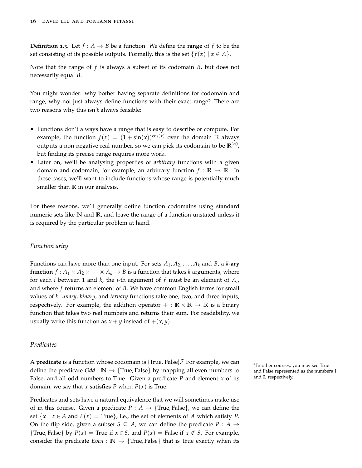**Definition 1.3.** Let  $f: A \rightarrow B$  be a function. We define the **range** of f to be the set consisting of its possible outputs. Formally, this is the set  $\{f(x) | x \in A\}$ .

Note that the range of *f* is always a subset of its codomain *B*, but does not necessarily equal *B*.

You might wonder: why bother having separate definitions for codomain and range, why not just always define functions with their exact range? There are two reasons why this isn't always feasible:

- Functions don't always have a range that is easy to describe or compute. For example, the function  $f(x) = (1 + \sin(x))^{\cos(x)}$  over the domain **R** always outputs a non-negative real number, so we can pick its codomain to be **R**≥<sup>0</sup> , but finding its precise range requires more work.
- Later on, we'll be analysing properties of *arbitrary* functions with a given domain and codomain, for example, an arbitrary function  $f : \mathbb{R} \to \mathbb{R}$ . In these cases, we'll want to include functions whose range is potentially much smaller than **R** in our analysis.

For these reasons, we'll generally define function codomains using standard numeric sets like **N** and **R**, and leave the range of a function unstated unless it is required by the particular problem at hand.

#### *Function arity*

Functions can have more than one input. For sets  $A_1, A_2, \ldots, A_k$  and *B*, a *k*-ary **function**  $f : A_1 \times A_2 \times \cdots \times A_k \rightarrow B$  is a function that takes *k* arguments, where for each *i* between 1 and *k*, the *i*-th argument of *f* must be an element of *A<sup>i</sup>* , and where *f* returns an element of *B*. We have common English terms for small values of *k*: *unary*, *binary*, and *ternary* functions take one, two, and three inputs, respectively. For example, the addition operator  $+ : \mathbb{R} \times \mathbb{R} \to \mathbb{R}$  is a binary function that takes two real numbers and returns their sum. For readability, we usually write this function as  $x + y$  instead of  $+(x, y)$ .

#### *Predicates*

<sup>A</sup> **predicate** is a function whose codomain is {True, False}.<sup>7</sup> For example, we can <sup>7</sup> define the predicate  $Odd : \mathbb{N} \rightarrow \{True, False\}$  by mapping all even numbers to False, and all odd numbers to True. Given a predicate *P* and element *x* of its domain, we say that *x* **satisfies** *P* when  $P(x)$  is True.

Predicates and sets have a natural equivalence that we will sometimes make use of in this course. Given a predicate  $P : A \rightarrow \{True, False\}$ , we can define the set  $\{x \mid x \in A \text{ and } P(x) = \text{True}\}\$ , i.e., the set of elements of A which satisfy P. On the flip side, given a subset  $S \subseteq A$ , we can define the predicate  $P : A \rightarrow$ {True, False} by  $P(x) =$  True if  $x \in S$ , and  $P(x) =$  False if  $x \notin S$ . For example, consider the predicate *Even* :  $\mathbb{N} \to \{ \text{True}, \text{False} \}$  that is True exactly when its <sup>7</sup> In other courses, you may see True and False represented as the numbers 1 and 0, respectively.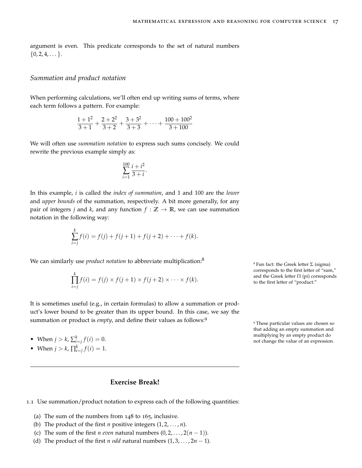argument is even. This predicate corresponds to the set of natural numbers  $\{0, 2, 4, \dots\}.$ 

### <span id="page-16-0"></span>*Summation and product notation*

When performing calculations, we'll often end up writing sums of terms, where each term follows a pattern. For example:

$$
\frac{1+1^2}{3+1} + \frac{2+2^2}{3+2} + \frac{3+3^2}{3+3} + \dots + \frac{100+100^2}{3+100}
$$

We will often use *summation notation* to express such sums concisely. We could rewrite the previous example simply as:

$$
\sum_{i=1}^{100} \frac{i+i^2}{3+i}.
$$

In this example, *i* is called the *index of summation*, and 1 and 100 are the *lower* and *upper bounds* of the summation, respectively. A bit more generally, for any pair of integers *j* and *k*, and any function  $f : \mathbb{Z} \to \mathbb{R}$ , we can use summation notation in the following way:

$$
\sum_{i=j}^{k} f(i) = f(j) + f(j+1) + f(j+2) + \cdots + f(k).
$$

We can similarly use *product notation* to abbreviate multiplication:<sup>8</sup>

$$
\prod_{i=j}^k f(i) = f(j) \times f(j+1) \times f(j+2) \times \cdots \times f(k).
$$

It is sometimes useful (e.g., in certain formulas) to allow a summation or product's lower bound to be greater than its upper bound. In this case, we say the summation or product is *empty*, and define their values as follows:<sup>9</sup>

- 
- When  $j > k$ ,  $\prod_{i=j}^{k} f(i) = 1$ .

# **Exercise Break!**

1.1 Use summation/product notation to express each of the following quantities:

- (a) The sum of the numbers from 148 to 165, inclusive.
- (b) The product of the first  $n$  positive integers  $(1, 2, \ldots, n)$ .
- (c) The sum of the first *n even* natural numbers  $(0, 2, \ldots, 2(n-1))$ .
- (d) The product of the first *n* odd natural numbers  $(1, 3, \ldots, 2n 1)$ .

<sup>8</sup> Fun fact: the Greek letter  $\Sigma$  (sigma) corresponds to the first letter of "sum," and the Greek letter  $\Pi$  (pi) corresponds to the first letter of "product."

<sup>9</sup> These particular values are chosen so that adding an empty summation and multiplying by an empty product do • When  $j > k$ ,  $\sum_{i=1}^{k} f(i) = 0$ .<br>**j** in the value of an expression.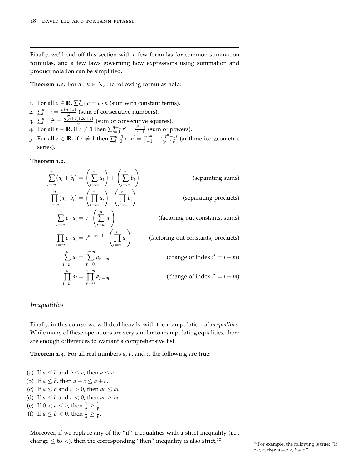Finally, we'll end off this section with a few formulas for common summation formulas, and a few laws governing how expressions using summation and product notation can be simplified.

**Theorem 1.1.** For all  $n \in \mathbb{N}$ , the following formulas hold:

- 1. For all  $c \in \mathbb{R}$ ,  $\sum_{i=1}^{n} c = c \cdot n$  (sum with constant terms).
- 2.  $\sum_{i=1}^{n} i = \frac{n(n+1)}{2}$  $\frac{2^{(n+1)}}{2}$  (sum of consecutive numbers).
- 3.  $\sum_{i=1}^{n} i^2 = \frac{n(n+1)(2n+1)}{6}$  $\frac{6}{6}$  (sum of consecutive squares).
- 4. For all  $r \in \mathbb{R}$ , if  $r \neq 1$  then  $\sum_{i=0}^{n-1} r^i = \frac{r^n 1}{r 1}$  (sum of powers). 5. For all  $r \in \mathbb{R}$ , if  $r \neq 1$  then  $\sum_{i=0}^{n-1} i \cdot r^i = \frac{n \cdot r^n}{r-1} - \frac{r(r^n-1)}{(r-1)^2}$ (*r*−1) 2 (arithmetico-geometric series).

**Theorem 1.2.**

$$
\sum_{i=m}^{n} (a_i + b_i) = \left(\sum_{i=m}^{n} a_i\right) + \left(\sum_{i=m}^{n} b_i\right)
$$
 (separating sums)  
\n
$$
\prod_{i=m}^{n} (a_i \cdot b_i) = \left(\prod_{i=m}^{n} a_i\right) \cdot \left(\prod_{i=m}^{n} b_i\right)
$$
 (separating products)  
\n
$$
\sum_{i=m}^{n} c \cdot a_i = c \cdot \left(\sum_{i=m}^{n} a_i\right)
$$
 (factoring out constants, sums)  
\n
$$
\prod_{i=m}^{n} c \cdot a_i = c^{n-m+1} \cdot \left(\prod_{i=m}^{n} a_i\right)
$$
 (factoring out constants, products)  
\n
$$
\sum_{i=m}^{n} a_i = \sum_{i'=0}^{n-m} a_{i'+m}
$$
 (change of index  $i' = i - m$ )  
\n
$$
\prod_{i=m}^{n} a_i = \prod_{i'=0}^{n-m} a_{i'+m}
$$
 (change of index  $i' = i - m$ )

#### <span id="page-17-0"></span>*Inequalities*

Finally, in this course we will deal heavily with the manipulation of *inequalities*. While many of these operations are very similar to manipulating equalities, there are enough differences to warrant a comprehensive list.

**Theorem 1.3.** For all real numbers *a*, *b*, and *c*, the following are true:

- (a) If  $a \leq b$  and  $b \leq c$ , then  $a \leq c$ .
- (b) If  $a \leq b$ , then  $a + c \leq b + c$ .
- (c) If  $a \leq b$  and  $c > 0$ , then  $ac \leq bc$ .
- (d) If  $a \leq b$  and  $c < 0$ , then  $ac \geq bc$ .
- (e) If  $0 < a \le b$ , then  $\frac{1}{a} \ge \frac{1}{b}$ .
- (f) If  $a \le b < 0$ , then  $\frac{1}{a} \ge \frac{1}{b}$ .

Moreover, if we replace any of the "if" inequalities with a strict inequality (i.e., change  $\leq$  to  $\lt$ ), then the corresponding "then" inequality is also strict.<sup>10</sup>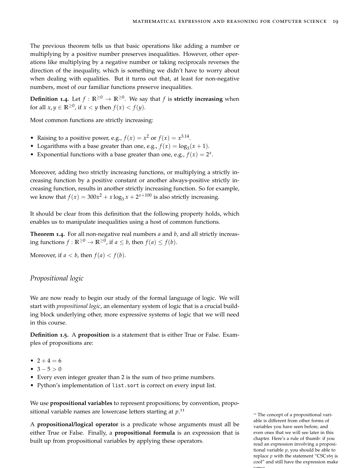The previous theorem tells us that basic operations like adding a number or multiplying by a positive number preserves inequalities. However, other operations like multiplying by a negative number or taking reciprocals reverses the direction of the inequality, which is something we didn't have to worry about when dealing with equalities. But it turns out that, at least for non-negative numbers, most of our familiar functions preserve inequalities.

**Definition 1.4.** Let  $f : \mathbb{R}^{\geq 0} \to \mathbb{R}^{\geq 0}$ . We say that  $f$  is **strictly increasing** when for all  $x, y \in \mathbb{R}^{\geq 0}$ , if  $x < y$  then  $f(x) < f(y)$ .

Most common functions are strictly increasing:

- Raising to a positive power, e.g.,  $f(x) = x^2$  or  $f(x) = x^{3.14}$ .
- Logarithms with a base greater than one, e.g.,  $f(x) = \log_3(x + 1)$ .
- Exponential functions with a base greater than one, e.g.,  $f(x) = 2^x$ .

Moreover, adding two strictly increasing functions, or multiplying a strictly increasing function by a positive constant or another always-positive strictly increasing function, results in another strictly increasing function. So for example, we know that  $f(x) = 300x^2 + x \log_3 x + 2^{x+100}$  is also strictly increasing.

It should be clear from this definition that the following property holds, which enables us to manipulate inequalities using a host of common functions.

**Theorem 1.4.** For all non-negative real numbers *a* and *b*, and all strictly increas- $\text{diag} \text{ functions } f: \mathbb{R}^{\geq 0} \to \mathbb{R}^{\geq 0}, \text{ if } a \leq b \text{, then } f(a) \leq f(b).$ 

Moreover, if  $a < b$ , then  $f(a) < f(b)$ .

#### <span id="page-18-0"></span>*Propositional logic*

We are now ready to begin our study of the formal language of logic. We will start with *propositional logic*, an elementary system of logic that is a crucial building block underlying other, more expressive systems of logic that we will need in this course.

**Definition 1.5.** A **proposition** is a statement that is either True or False. Examples of propositions are:

- $2 + 4 = 6$
- $3 5 > 0$
- Every even integer greater than 2 is the sum of two prime numbers.
- Python's implementation of list.sort is correct on every input list.

We use **propositional variables** to represent propositions; by convention, propositional variable names are lowercase letters starting at *p*. 11

A **propositional/logical operator** is a predicate whose arguments must all be either True or False. Finally, a **propositional formula** is an expression that is built up from propositional variables by applying these operators.

<sup>11</sup> The concept of a propositional variable is different from other forms of variables you have seen before, and even ones that we will see later in this chapter. Here's a rule of thumb: if you read an expression involving a propositional variable *p*, you should be able to replace  $p$  with the statement "CSC165 is cool" and still have the expression make sense.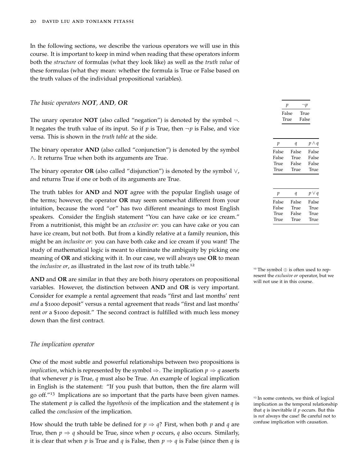In the following sections, we describe the various operators we will use in this course. It is important to keep in mind when reading that these operators inform both the *structure* of formulas (what they look like) as well as the *truth value* of these formulas (what they mean: whether the formula is True or False based on the truth values of the individual propositional variables).

#### *The basic operators NOT, AND, OR*

The unary operator **NOT** (also called "negation") is denoted by the symbol  $\neg$ . It negates the truth value of its input. So if  $p$  is True, then  $\neg p$  is False, and vice versa. This is shown in the *truth table* at the side.

The binary operator **AND** (also called "conjunction") is denoted by the symbol ∧. It returns True when both its arguments are True.

The binary operator **OR** (also called "disjunction") is denoted by the symbol ∨, and returns True if one or both of its arguments are True.

The truth tables for **AND** and **NOT** agree with the popular English usage of

| р             | $\neg p$      |
|---------------|---------------|
| False<br>True | True<br>False |
|               |               |

| р     | ч     | $p \wedge q$ |
|-------|-------|--------------|
| False | False | False        |
| False | True  | False        |
| True  | False | False        |
| True  | True  | True         |
|       |       |              |
|       |       |              |
|       |       |              |

| р     | и     | $p \vee q$ |
|-------|-------|------------|
| False | False | False      |
| False | True  | True       |
| True  | False | True       |
| True  | True  | True       |

the terms; however, the operator **OR** may seem somewhat different from your intuition, because the word "or" has two different meanings to most English speakers. Consider the English statement "You can have cake or ice cream." From a nutritionist, this might be an *exclusive or*: you can have cake or you can have ice cream, but not both. But from a kindly relative at a family reunion, this might be an *inclusive or*: you can have both cake and ice cream if you want! The study of mathematical logic is meant to eliminate the ambiguity by picking one meaning of **OR** and sticking with it. In our case, we will always use **OR** to mean the *inclusive or*, as illustrated in the last row of its truth table.<sup>12</sup>

**AND** and **OR** are similar in that they are both *binary* operators on propositional will not use it in this course. variables. However, the distinction between **AND** and **OR** is very important. Consider for example a rental agreement that reads "first and last months' rent *and* a \$1000 deposit" versus a rental agreement that reads "first and last months' rent *or* a \$1000 deposit." The second contract is fulfilled with much less money down than the first contract.

#### *The implication operator*

One of the most subtle and powerful relationships between two propositions is *implication*, which is represented by the symbol  $\Rightarrow$ . The implication  $p \Rightarrow q$  asserts that whenever *p* is True, *q* must also be True. An example of logical implication in English is the statement: "If you push that button, then the fire alarm will go off.<sup> $n_{13}$ </sup> Implications are so important that the parts have been given names.<br><sup>13</sup> In some contexts, we think of logical The statement *p* is called the *hypothesis* of the implication and the statement *q* is called the *conclusion* of the implication.

How should the truth table be defined for  $p \Rightarrow q$ ? First, when both p and q are True, then  $p \Rightarrow q$  should be True, since when p occurs, q also occurs. Similarly, it is clear that when *p* is True and *q* is False, then  $p \Rightarrow q$  is False (since then *q* is <sup>12</sup> The symbol ⊕ is often used to represent the *exclusive or* operator, but we

implication as the temporal relationship that *q* is inevitable if *p* occurs. But this is *not* always the case! Be careful not to confuse implication with causation.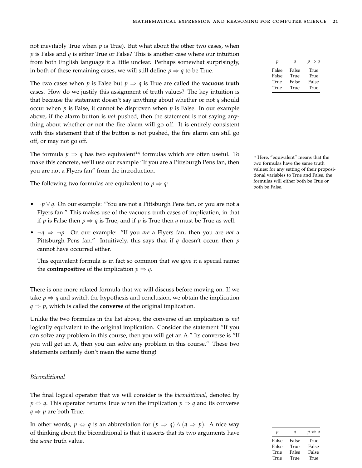not inevitably True when *p* is True). But what about the other two cases, when *p* is False and *q* is either True or False? This is another case where our intuition from both English language it a little unclear. Perhaps somewhat surprisingly, in both of these remaining cases, we will still define  $p \Rightarrow q$  to be True.

The two cases when *p* is False but  $p \Rightarrow q$  is True are called the **vacuous truth** cases. How do we justify this assignment of truth values? The key intuition is that because the statement doesn't say anything about whether or not *q* should occur when *p* is False, it cannot be disproven when *p* is False. In our example above, if the alarm button is *not* pushed, then the statement is not saying anything about whether or not the fire alarm will go off. It is entirely consistent with this statement that if the button is not pushed, the fire alarm can still go off, or may not go off.

The formula  $p \Rightarrow q$  has two equivalent<sup>14</sup> formulas which are often useful. To  $\frac{14}{4}$  Here, "equivalent" means that the make this concrete, we'll use our example "If you are a Pittsburgh Pens fan, then you are not a Flyers fan" from the introduction.

The following two formulas are equivalent to  $p \Rightarrow q$ :

- ¬*p* ∨ *q*. On our example: "You are not a Pittsburgh Pens fan, or you are not a Flyers fan." This makes use of the vacuous truth cases of implication, in that if *p* is False then  $p \Rightarrow q$  is True, and if *p* is True then *q* must be True as well.
- ¬*q* ⇒ ¬*p*. On our example: "If you *are* a Flyers fan, then you are *not* a Pittsburgh Pens fan." Intuitively, this says that if *q* doesn't occur, then *p* cannot have occurred either.

This equivalent formula is in fact so common that we give it a special name: the **contrapositive** of the implication  $p \Rightarrow q$ .

There is one more related formula that we will discuss before moving on. If we take  $p \Rightarrow q$  and switch the hypothesis and conclusion, we obtain the implication  $q \Rightarrow p$ , which is called the **converse** of the original implication.

Unlike the two formulas in the list above, the converse of an implication is *not* logically equivalent to the original implication. Consider the statement "If you can solve any problem in this course, then you will get an A." Its converse is "If you will get an A, then you can solve any problem in this course." These two statements certainly don't mean the same thing!

#### *Biconditional*

The final logical operator that we will consider is the *biconditional*, denoted by  $p \Leftrightarrow q$ . This operator returns True when the implication  $p \Rightarrow q$  and its converse  $q \Rightarrow p$  are both True.

In other words,  $p \Leftrightarrow q$  is an abbreviation for  $(p \Rightarrow q) \wedge (q \Rightarrow p)$ . A nice way of thinking about the biconditional is that it asserts that its two arguments have the *same* truth value.

| р     | q     | $p \Rightarrow q$ |
|-------|-------|-------------------|
| False | False | True              |
| False | True  | True              |
| True  | False | False             |
| True  | True  | True              |

two formulas have the same truth values; for any setting of their propositional variables to True and False, the formulas will either both be True or both be False.

| р     | a     | $p \Leftrightarrow q$ |
|-------|-------|-----------------------|
| False | False | True                  |
| False | True  | False                 |
| True  | False | False                 |
| True  | True  | True                  |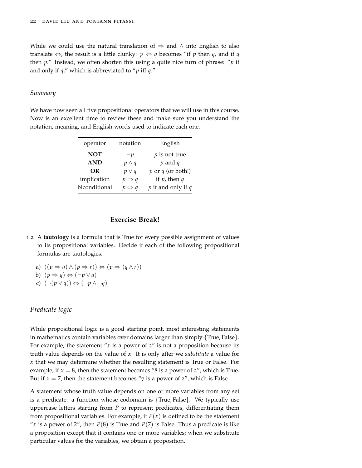While we could use the natural translation of  $\Rightarrow$  and  $\wedge$  into English to also translate  $\Leftrightarrow$ , the result is a little clunky:  $p \Leftrightarrow q$  becomes "if p then q, and if q then *p*." Instead, we often shorten this using a quite nice turn of phrase: "*p* if and only if *q*," which is abbreviated to "*p* iff *q*."

#### *Summary*

We have now seen all five propositional operators that we will use in this course. Now is an excellent time to review these and make sure you understand the notation, meaning, and English words used to indicate each one.

| operator      | notation              | English                |
|---------------|-----------------------|------------------------|
| <b>NOT</b>    | $\neg p$              | $p$ is not true        |
| <b>AND</b>    | $p \wedge q$          | $p$ and $q$            |
| OR            | $p \vee q$            | $p$ or $q$ (or both!)  |
| implication   | $p \Rightarrow q$     | if $p$ , then $q$      |
| biconditional | $p \Leftrightarrow q$ | $p$ if and only if $q$ |

### **Exercise Break!**

1.2 A **tautology** is a formula that is True for every possible assignment of values to its propositional variables. Decide if each of the following propositional formulas are tautologies.

a)  $((p \Rightarrow q) \land (p \Rightarrow r)) \Leftrightarrow (p \Rightarrow (q \land r))$ b)  $(p \Rightarrow q) \Leftrightarrow (\neg p \vee q)$ 

c)  $(¬(p ∨ q)) \Leftrightarrow (¬p ∧ ¬q)$ 

# <span id="page-21-0"></span>*Predicate logic*

While propositional logic is a good starting point, most interesting statements in mathematics contain variables over domains larger than simply  $\{True, False\}.$ For example, the statement " $x$  is a power of  $2$ " is not a proposition because its truth value depends on the value of *x*. It is only after we *substitute* a value for *x* that we may determine whether the resulting statement is True or False. For example, if  $x = 8$ , then the statement becomes "8 is a power of  $z$ ", which is True. But if  $x = 7$ , then the statement becomes "7 is a power of  $2$ ", which is False.

A statement whose truth value depends on one or more variables from any set is a predicate: a function whose codomain is {True, False}. We typically use uppercase letters starting from *P* to represent predicates, differentiating them from propositional variables. For example, if  $P(x)$  is defined to be the statement "x is a power of 2", then  $P(8)$  is True and  $P(7)$  is False. Thus a predicate is like a proposition except that it contains one or more variables; when we substitute particular values for the variables, we obtain a proposition.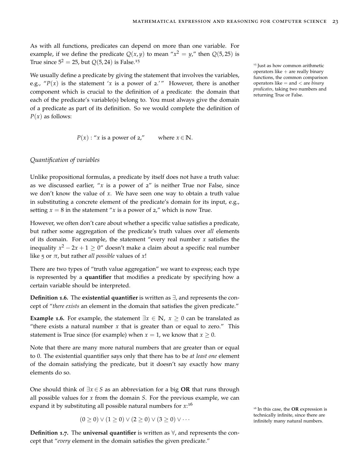As with all functions, predicates can depend on more than one variable. For example, if we define the predicate  $Q(x, y)$  to mean " $x^2 = y$ ," then  $Q(5, 25)$  is True since  $5^2 = 25$ , but  $Q(5, 24)$  is False.<sup>15</sup>

We usually define a predicate by giving the statement that involves the variables, e.g., " $P(x)$  is the statement '*x* is a power of 2.'" However, there is another component which is crucial to the definition of a predicate: the domain that each of the predicate's variable(s) belong to. You must always give the domain of a predicate as part of its definition. So we would complete the definition of  $P(x)$  as follows:

<sup>15</sup> Just as how common arithmetic operators like  $+$  are really binary functions, the common comparison operators like = and < are *binary predicates*, taking two numbers and returning True or False.

$$
P(x)
$$
: "x is a power of 2," where  $x \in \mathbb{N}$ .

#### *Quantification of variables*

Unlike propositional formulas, a predicate by itself does not have a truth value: as we discussed earlier, " $x$  is a power of  $z$ " is neither True nor False, since we don't know the value of *x*. We have seen one way to obtain a truth value in substituting a concrete element of the predicate's domain for its input, e.g., setting  $x = 8$  in the statement "*x* is a power of  $2$ ," which is now True.

However, we often don't care about whether a specific value satisfies a predicate, but rather some aggregation of the predicate's truth values over *all* elements of its domain. For example, the statement "every real number *x* satisfies the inequality  $x^2 - 2x + 1 \geq 0$ " doesn't make a claim about a specific real number like 5 or  $\pi$ , but rather *all possible* values of *x*!

There are two types of "truth value aggregation" we want to express; each type is represented by a **quantifier** that modifies a predicate by specifying how a certain variable should be interpreted.

**Definition 1.6.** The **existential quantifier** is written as ∃, and represents the concept of "*there exists* an element in the domain that satisfies the given predicate."

**Example 1.6.** For example, the statement  $\exists x \in \mathbb{N}, x \geq 0$  can be translated as "there exists a natural number  $x$  that is greater than or equal to zero." This statement is True since (for example) when  $x = 1$ , we know that  $x \ge 0$ .

Note that there are many more natural numbers that are greater than or equal to 0. The existential quantifier says only that there has to be *at least one* element of the domain satisfying the predicate, but it doesn't say exactly how many elements do so.

One should think of ∃*x* ∈ *S* as an abbreviation for a big **OR** that runs through all possible values for *x* from the domain *S*. For the previous example, we can expand it by substituting all possible natural numbers for *x*: 16

 $(0 \ge 0) \vee (1 \ge 0) \vee (2 \ge 0) \vee (3 \ge 0) \vee \cdots$  infinitely many natural numbers.

**Definition <b>1.7**. The **universal quantifier** is written as  $\forall$ , and represents the concept that "*every* element in the domain satisfies the given predicate."

<sup>16</sup> In this case, the **OR** expression is technically infinite, since there are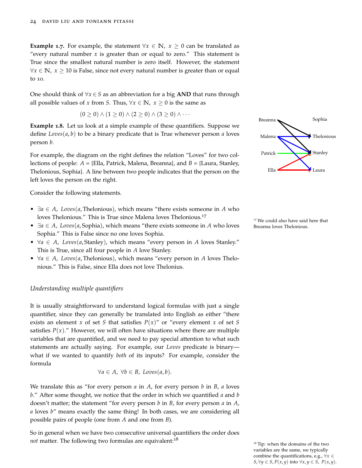**Example 1.7.** For example, the statement  $\forall x \in \mathbb{N}$ ,  $x \geq 0$  can be translated as "every natural number *x* is greater than or equal to zero." This statement is True since the smallest natural number is zero itself. However, the statement  $∀x ∈ ℕ, x ≥ 10$  is False, since not every natural number is greater than or equal to 10.

One should think of ∀*x* ∈ *S* as an abbreviation for a big **AND** that runs through all possible values of *x* from *S*. Thus,  $\forall x \in \mathbb{N}$ ,  $x \geq 0$  is the same as

$$
(0 \geq 0) \wedge (1 \geq 0) \wedge (2 \geq 0) \wedge (3 \geq 0) \wedge \cdots
$$

**Example 1.8.** Let us look at a simple example of these quantifiers. Suppose we define *Loves*(*a*, *b*) to be a binary predicate that is True whenever person *a* loves person *b*.

For example, the diagram on the right defines the relation "Loves" for two collections of people: *A* = {Ella, Patrick, Malena, Breanna}, and *B* = {Laura, Stanley, Thelonious, Sophia}. A line between two people indicates that the person on the left loves the person on the right.

Consider the following statements.

- ∃*a* ∈ *A*, *Loves*(*a*, Thelonious), which means "there exists someone in *A* who loves Thelonious." This is True since Malena loves Thelonious.<sup>17</sup>
- $\exists a \in A$ , *Loves*(*a*, Sophia), which means "there exists someone in *A* who loves Breanna loves Thelonious. Sophia." This is False since no one loves Sophia.
- ∀*a* ∈ *A*, *Loves*(*a*, Stanley), which means "every person in *A* loves Stanley." This is True, since all four people in *A* love Stanley.
- ∀*a* ∈ *A*, *Loves*(*a*, Thelonious), which means "every person in *A* loves Thelonious." This is False, since Ella does not love Thelonius.

### *Understanding multiple quantifiers*

It is usually straightforward to understand logical formulas with just a single quantifier, since they can generally be translated into English as either "there exists an element *x* of set *S* that satisfies  $P(x)$ " or "every element *x* of set *S* satisfies  $P(x)$ ." However, we will often have situations where there are multiple variables that are quantified, and we need to pay special attention to what such statements are actually saying. For example, our *Loves* predicate is binary what if we wanted to quantify *both* of its inputs? For example, consider the formula

$$
\forall a \in A, \ \forall b \in B, \ Loves(a, b).
$$

We translate this as "for every person *a* in *A*, for every person *b* in *B*, *a* loves *b*." After some thought, we notice that the order in which we quantified *a* and *b* doesn't matter; the statement "for every person *b* in *B*, for every person *a* in *A*, *a* loves *b*" means exactly the same thing! In both cases, we are considering all possible pairs of people (one from *A* and one from *B*).

So in general when we have two consecutive universal quantifiers the order does not matter. The following two formulas are equivalent:<sup>18</sup>



<sup>17</sup> We could also have said here that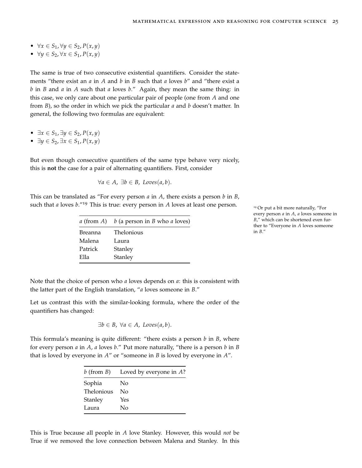- ∀*x* ∈ *S*1, ∀*y* ∈ *S*2, *P*(*x*, *y*)
- ∀*y* ∈ *S*2, ∀*x* ∈ *S*1, *P*(*x*, *y*)

The same is true of two consecutive existential quantifiers. Consider the statements "there exist an *a* in *A* and *b* in *B* such that *a* loves *b*" and "there exist a *b* in *B* and *a* in *A* such that *a* loves *b*." Again, they mean the same thing: in this case, we only care about one particular pair of people (one from *A* and one from *B*), so the order in which we pick the particular *a* and *b* doesn't matter. In general, the following two formulas are equivalent:

- ∃*x* ∈ *S*1, ∃*y* ∈ *S*2, *P*(*x*, *y*)
- ∃*y* ∈ *S*2, ∃*x* ∈ *S*1, *P*(*x*, *y*)

But even though consecutive quantifiers of the same type behave very nicely, this is **not** the case for a pair of alternating quantifiers. First, consider

$$
\forall a \in A, \ \exists b \in B, \ Loves(a, b).
$$

This can be translated as "For every person *a* in *A*, there exists a person *b* in *B*, such that *a* loves  $b$ ."<sup>19</sup> This is true: every person in *A* loves at least one person. <sup>19</sup> Or put a bit more naturally, "For

|         | a (from A) $b$ (a person in B who a loves) |
|---------|--------------------------------------------|
| Breanna | <b>Thelonious</b>                          |
| Malena  | Laura                                      |
| Patrick | Stanley                                    |
| Ella    | Stanley                                    |

every person *a* in *A*, *a* loves someone in *B*," which can be shortened even further to "Everyone in *A* loves someone in *B*."

Note that the choice of person who *a* loves depends on *a*: this is consistent with the latter part of the English translation, "*a* loves someone in *B*."

Let us contrast this with the similar-looking formula, where the order of the quantifiers has changed:

$$
\exists b \in B, \ \forall a \in A, \ Loves(a, b).
$$

This formula's meaning is quite different: "there exists a person *b* in *B*, where for every person *a* in *A*, *a* loves *b*." Put more naturally, "there is a person *b* in *B* that is loved by everyone in *A*" or "someone in *B* is loved by everyone in *A*".

|                   | b (from B) Loved by everyone in $A$ ? |
|-------------------|---------------------------------------|
| Sophia            | No                                    |
| <b>Thelonious</b> | Nο                                    |
| Stanley           | Yes                                   |
| Laura             | Nο                                    |

This is True because all people in *A* love Stanley. However, this would *not* be True if we removed the love connection between Malena and Stanley. In this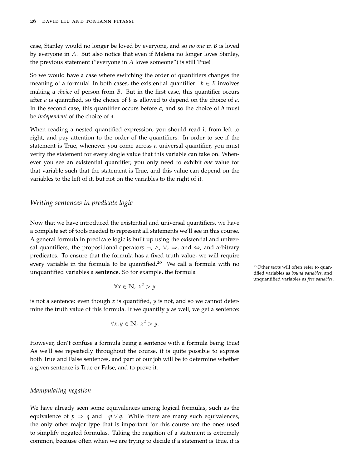case, Stanley would no longer be loved by everyone, and so *no one* in *B* is loved by everyone in *A*. But also notice that even if Malena no longer loves Stanley, the previous statement ("everyone in *A* loves someone") is still True!

So we would have a case where switching the order of quantifiers changes the meaning of a formula! In both cases, the existential quantifier ∃*b* ∈ *B* involves making a *choice* of person from *B*. But in the first case, this quantifier occurs after *a* is quantified, so the choice of *b* is allowed to depend on the choice of *a*. In the second case, this quantifier occurs before *a*, and so the choice of *b* must be *independent* of the choice of *a*.

When reading a nested quantified expression, you should read it from left to right, and pay attention to the order of the quantifiers. In order to see if the statement is True, whenever you come across a universal quantifier, you must verify the statement for every single value that this variable can take on. Whenever you see an existential quantifier, you only need to exhibit *one* value for that variable such that the statement is True, and this value can depend on the variables to the left of it, but not on the variables to the right of it.

### <span id="page-25-0"></span>*Writing sentences in predicate logic*

Now that we have introduced the existential and universal quantifiers, we have a complete set of tools needed to represent all statements we'll see in this course. A general formula in predicate logic is built up using the existential and universal quantifiers, the propositional operators  $\neg$ ,  $\wedge$ ,  $\vee$ ,  $\Rightarrow$ , and  $\Leftrightarrow$ , and arbitrary predicates. To ensure that the formula has a fixed truth value, we will require every variable in the formula to be quantified.<sup>20</sup> We call a formula with no  $\frac{20}{20}$  Other texts will often refer to quanunquantified variables a **sentence**. So for example, the formula

$$
\forall x \in \mathbb{N}, \ x^2 > y
$$

is not a sentence: even though *x* is quantified, *y* is not, and so we cannot determine the truth value of this formula. If we quantify  $\gamma$  as well, we get a sentence:

$$
\forall x, y \in \mathbb{N}, \ x^2 > y.
$$

However, don't confuse a formula being a sentence with a formula being True! As we'll see repeatedly throughout the course, it is quite possible to express both True and False sentences, and part of our job will be to determine whether a given sentence is True or False, and to prove it.

#### *Manipulating negation*

We have already seen some equivalences among logical formulas, such as the equivalence of  $p \Rightarrow q$  and  $\neg p \lor q$ . While there are many such equivalences, the only other major type that is important for this course are the ones used to simplify negated formulas. Taking the negation of a statement is extremely common, because often when we are trying to decide if a statement is True, it is tified variables as *bound variables*, and unquantified variables as *free variables*.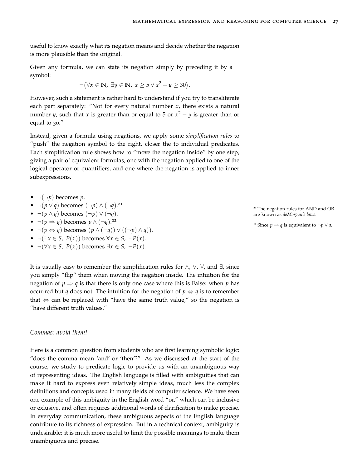useful to know exactly what its negation means and decide whether the negation is more plausible than the original.

Given any formula, we can state its negation simply by preceding it by a  $\neg$ symbol:

$$
\neg (\forall x \in \mathbb{N}, \exists y \in \mathbb{N}, x \ge 5 \lor x^2 - y \ge 30).
$$

However, such a statement is rather hard to understand if you try to transliterate each part separately: "Not for every natural number *x*, there exists a natural number *y*, such that *x* is greater than or equal to 5 or *x* <sup>2</sup> − *y* is greater than or equal to 30."

Instead, given a formula using negations, we apply some *simplification rules* to "push" the negation symbol to the right, closer the to individual predicates. Each simplification rule shows how to "move the negation inside" by one step, giving a pair of equivalent formulas, one with the negation applied to one of the logical operator or quantifiers, and one where the negation is applied to inner subexpressions.

- $\neg(\neg p)$  becomes *p*.
- ¬(*p* ∨ *q*) becomes (¬*p*) ∧ (¬*q*). 21
- $\neg(p \land q)$  becomes  $(\neg p) \lor (\neg q)$ .
- $\neg(p \Rightarrow q)$  becomes  $p \wedge (\neg q)$ .<sup>22</sup>
- ¬(*p* ⇔ *q*) becomes (*p* ∧ (¬*q*)) ∨ ((¬*p*) ∧ *q*)).
- ¬(∃*x* ∈ *S*, *P*(*x*)) becomes ∀*x* ∈ *S*, ¬*P*(*x*).
- ¬(∀*x* ∈ *S*, *P*(*x*)) becomes ∃*x* ∈ *S*, ¬*P*(*x*).

It is usually easy to remember the simplification rules for ∧,  $\vee$ ,  $\forall$ , and  $\exists$ , since you simply "flip" them when moving the negation inside. The intuition for the negation of  $p \Rightarrow q$  is that there is only one case where this is False: when *p* has occurred but *q* does not. The intuition for the negation of  $p \Leftrightarrow q$  is to remember that  $\Leftrightarrow$  can be replaced with "have the same truth value," so the negation is "have different truth values."

#### *Commas: avoid them!*

Here is a common question from students who are first learning symbolic logic: "does the comma mean 'and' or 'then'?" As we discussed at the start of the course, we study to predicate logic to provide us with an unambiguous way of representing ideas. The English language is filled with ambiguities that can make it hard to express even relatively simple ideas, much less the complex definitions and concepts used in many fields of computer science. We have seen one example of this ambiguity in the English word "or," which can be inclusive or exlusive, and often requires additional words of clarification to make precise. In everyday communication, these ambiguous aspects of the English language contribute to its richness of expression. But in a technical context, ambiguity is undesirable: it is much more useful to limit the possible meanings to make them unambiguous and precise.

<sup>21</sup> The negation rules for AND and OR

<sup>22</sup> Since *p*  $\Rightarrow$  *q* is equivalent to  $\neg p \lor q$ .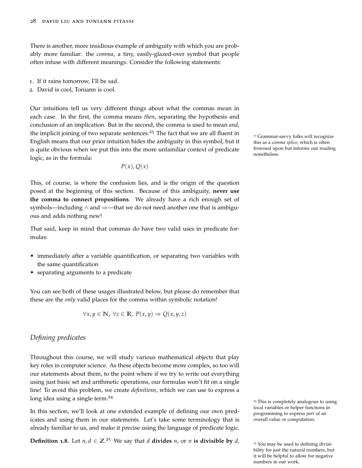There is another, more insidious example of ambiguity with which you are probably more familiar: the *comma*, a tiny, easily-glazed-over symbol that people often infuse with different meanings. Consider the following statements:

- 1. If it rains tomorrow, I'll be sad.
- 2. David is cool, Toniann is cool.

Our intuitions tell us very different things about what the commas mean in each case. In the first, the comma means *then*, separating the hypothesis and conclusion of an implication. But in the second, the comma is used to mean *and*, the implicit joining of two separate sentences.<sup>23</sup> The fact that we are all fluent in  $\frac{23}{2}$  Grammar-savvy folks will recognize English means that our prior intuition hides the ambiguity in this symbol, but it is quite obvious when we put this into the more unfamiliar context of predicate logic, as in the formula:

 $P(x)$ ,  $Q(x)$ 

This, of course, is where the confusion lies, and is the origin of the question posed at the beginning of this section. Because of this ambiguity, **never use the comma to connect propositions**. We already have a rich enough set of symbols—including  $\land$  and  $\Rightarrow$ —that we do not need another one that is ambiguous and adds nothing new!

That said, keep in mind that commas do have two valid uses in predicate formulas:

- immediately after a variable quantification, or separating two variables with the same quantification
- separating arguments to a predicate

You can see both of these usages illustrated below, but please do remember that these are the *only* valid places for the comma within symbolic notation!

$$
\forall x, y \in \mathbb{N}, \ \forall z \in \mathbb{R}, \ P(x, y) \Rightarrow Q(x, y, z)
$$

# <span id="page-27-0"></span>*Defining predicates*

Throughout this course, we will study various mathematical objects that play key roles in computer science. As these objects become more complex, so too will our statements about them, to the point where if we try to write out everything using just basic set and arithmetic operations, our formulas won't fit on a single line! To avoid this problem, we create *definitions*, which we can use to express a long idea using a single term.<sup>24</sup>

In this section, we'll look at one extended example of defining our own predicates and using them in our statements. Let's take some terminology that is already familiar to us, and make it precise using the language of predicate logic.

**Definition 1.8.** Let  $n, d \in \mathbb{Z}^{25}$  We say that *d* **divides** *n*, or *n* **is divisible by** *d*,

this as a *comma splice*, which is often frowned upon but informs our reading nonetheless.

<sup>24</sup> This is completely analogous to using local variables or helper functions in programming to express *part* of an overall value or computation.

<sup>&</sup>lt;sup>25</sup> You may be used to defining divisibility for just the natural numbers, but it will be helpful to allow for negative numbers in our work.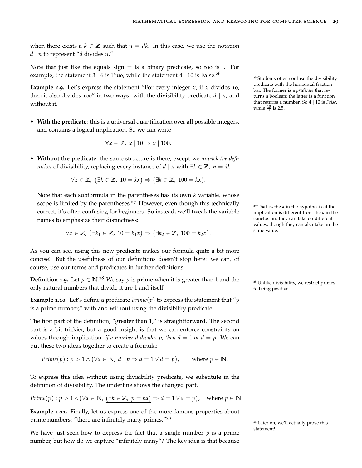when there exists a  $k \in \mathbb{Z}$  such that  $n = dk$ . In this case, we use the notation *d* | *n* to represent "*d* divides *n*."

Note that just like the equals sign  $=$  is a binary predicate, so too is  $\vert$ . For example, the statement 3 | 6 is True, while the statement 4 | 10 is False.<sup>26</sup>

**Example 1.9.** Let's express the statement "For every integer  $x$ , if  $x$  divides 10, then it also divides 100" in two ways: with the divisibility predicate  $d \mid n$ , and without it.

• **With the predicate**: this is a universal quantification over all possible integers, and contains a logical implication. So we can write

$$
\forall x \in \mathbb{Z}, \ x \mid 10 \Rightarrow x \mid 100.
$$

• **Without the predicate**: the same structure is there, except we *unpack the definition* of divisibility, replacing every instance of *d* | *n* with ∃*k* ∈ **Z**, *n* = *dk*.

 $\forall x \in \mathbb{Z}$ ,  $(\exists k \in \mathbb{Z}, 10 = kx) \Rightarrow (\exists k \in \mathbb{Z}, 100 = kx).$ 

Note that each subformula in the parentheses has its own *k* variable, whose scope is limited by the parentheses.<sup>27</sup> However, even though this technically <sup>27</sup> That is, the *k* in the hypothesis of the correct, it's often confusing for beginners. So instead, we'll tweak the variable names to emphasize their distinctness:

$$
\forall x \in \mathbb{Z}, \ (\exists k_1 \in \mathbb{Z}, \ 10 = k_1 x) \Rightarrow (\exists k_2 \in \mathbb{Z}, \ 100 = k_2 x).
$$

As you can see, using this new predicate makes our formula quite a bit more concise! But the usefulness of our definitions doesn't stop here: we can, of course, use our terms and predicates in further definitions.

**Definition 1.9.** Let  $p \in \mathbb{N}$ .<sup>28</sup> We say  $p$  is **prime** when it is greater than 1 and the  $\qquad$ <sup>28</sup> Unlike divisibility, we restrict primes **Definition 1.9.** Let  $p \in \mathbb{N}$ . We say  $p$  is **prime** when it is greater than I and the set  $p$  as Unlike divisibility, we restrict primes to being positive.

**Example 1.10.** Let's define a predicate  $Prime(p)$  to express the statement that "*p* is a prime number," with and without using the divisibility predicate.

The first part of the definition, "greater than 1," is straightforward. The second part is a bit trickier, but a good insight is that we can enforce constraints on values through implication: *if a number d divides p, then*  $d = 1$  *or*  $d = p$ *.* We can put these two ideas together to create a formula:

*Prime*(*p*) : 
$$
p > 1 \land (\forall d \in \mathbb{N}, d \mid p \Rightarrow d = 1 \lor d = p)
$$
, where  $p \in \mathbb{N}$ .

To express this idea without using divisibility predicate, we substitute in the definition of divisibility. The underline shows the changed part.

$$
Prime(p): p > 1 \land (\forall d \in \mathbb{N}, (\exists k \in \mathbb{Z}, p = kd) \Rightarrow d = 1 \lor d = p), \text{ where } p \in \mathbb{N}.
$$

**Example 1.11.** Finally, let us express one of the more famous properties about prime numbers: "there are infinitely many primes."<sup>29</sup>

We have just seen how to express the fact that a single number  $p$  is a prime number, but how do we capture "infinitely many"? The key idea is that because <sup>26</sup> Students often confuse the divisibility predicate with the horizontal fraction bar. The former is a *predicate* that returns a boolean; the latter is a function that returns a number. So 4 | 10 is *False*, while  $\frac{10}{4}$  is 2.5.

implication is different from the *k* in the conclusion: they can take on different values, though they can also take on the same value.

<sup>29</sup> Later on, we'll actually prove this statement!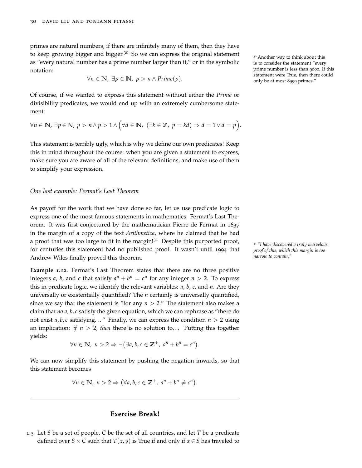primes are natural numbers, if there are infinitely many of them, then they have to keep growing bigger and bigger.<sup>30</sup> So we can express the original statement  $\frac{30}{20}$  Another way to think about this as "every natural number has a prime number larger than it," or in the symbolic notation:

$$
\forall n \in \mathbb{N}, \ \exists p \in \mathbb{N}, \ p > n \land Prime(p).
$$

Of course, if we wanted to express this statement without either the *Prime* or divisibility predicates, we would end up with an extremely cumbersome statement:

$$
\forall n \in \mathbb{N}, \ \exists p \in \mathbb{N}, \ p > n \land p > 1 \land \big(\forall d \in \mathbb{N}, \ (\exists k \in \mathbb{Z}, \ p = kd) \Rightarrow d = 1 \lor d = p \big).
$$

This statement is terribly ugly, which is why we define our own predicates! Keep this in mind throughout the course: when you are given a statement to express, make sure you are aware of all of the relevant definitions, and make use of them to simplify your expression.

#### *One last example: Fermat's Last Theorem*

As payoff for the work that we have done so far, let us use predicate logic to express one of the most famous statements in mathematics: Fermat's Last Theorem. It was first conjectured by the mathematician Pierre de Fermat in 1637 in the margin of a copy of the text *Arithmetica*, where he claimed that he had a proof that was too large to fit in the margin!<sup>31</sup> Despite this purported proof, <sup>31</sup> *"I have discovered a truly marvelous* for centuries this statement had no published proof. It wasn't until 1994 that Andrew Wiles finally proved this theorem.

**Example 1.12.** Fermat's Last Theorem states that there are no three positive integers *a*, *b*, and *c* that satisfy  $a^n + b^n = c^n$  for any integer  $n > 2$ . To express this in predicate logic, we identify the relevant variables: *a*, *b*, *c*, and *n*. Are they universally or existentially quantified? The *n* certainly is universally quantified, since we say that the statement is "for any  $n > 2$ ." The statement also makes a claim that *no a*, *b*, *c* satisfy the given equation, which we can rephrase as "there do not exist  $a, b, c$  satisfying..." Finally, we can express the condition  $n > 2$  using an implication: *if*  $n > 2$ , *then* there is no solution to... Putting this together yields:

$$
\forall n \in \mathbb{N}, n > 2 \Rightarrow \neg (\exists a, b, c \in \mathbb{Z}^+, a^n + b^n = c^n).
$$

We can now simplify this statement by pushing the negation inwards, so that this statement becomes

$$
\forall n \in \mathbb{N}, n > 2 \Rightarrow (\forall a, b, c \in \mathbb{Z}^+, a^n + b^n \neq c^n).
$$

# **Exercise Break!**

1.3 Let *S* be a set of people, *C* be the set of all countries, and let *T* be a predicate defined over *S* × *C* such that  $T(x, y)$  is True if and only if  $x \in S$  has traveled to is to consider the statement "every prime number is less than 9000. If this statement were True, then there could only be at most 8999 primes."

*proof of this, which this margin is too narrow to contain."*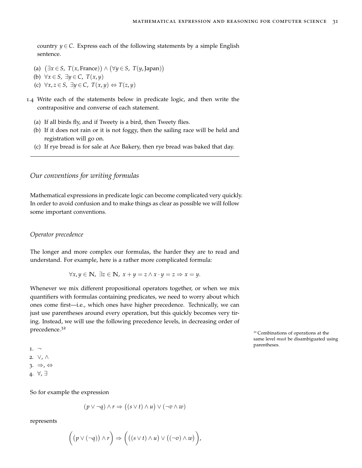country  $y \in C$ . Express each of the following statements by a simple English sentence.

- (a)  $(∃x ∈ S, T(x, France)) ∧ (∀y ∈ S, T(y, Japan))$
- (b) ∀*x* ∈ *S*, ∃*y* ∈ *C*, *T*(*x*, *y*)
- (c) ∀*x*, *z* ∈ *S*, ∃*y* ∈ *C*, *T*(*x*, *y*) ⇔ *T*(*z*, *y*)
- 1.4 Write each of the statements below in predicate logic, and then write the contrapositive and converse of each statement.
	- (a) If all birds fly, and if Tweety is a bird, then Tweety flies.
	- (b) If it does not rain or it is not foggy, then the sailing race will be held and registration will go on.
	- (c) If rye bread is for sale at Ace Bakery, then rye bread was baked that day.

# <span id="page-30-0"></span>*Our conventions for writing formulas*

Mathematical expressions in predicate logic can become complicated very quickly. In order to avoid confusion and to make things as clear as possible we will follow some important conventions.

### *Operator precedence*

The longer and more complex our formulas, the harder they are to read and understand. For example, here is a rather more complicated formula:

$$
\forall x, y \in \mathbb{N}, \exists z \in \mathbb{N}, \ x + y = z \land x \cdot y = z \Rightarrow x = y.
$$

Whenever we mix different propositional operators together, or when we mix quantifiers with formulas containing predicates, we need to worry about which ones come first—i.e., which ones have higher precedence. Technically, we can just use parentheses around every operation, but this quickly becomes very tiring. Instead, we will use the following precedence levels, in decreasing order of precedence.<sup>32</sup>

<sup>32</sup> Combinations of operations at the same level *must* be disambiguated using parentheses.

1. ¬ 2. ∨, ∧  $3. \Rightarrow A \Leftrightarrow$ 4. ∀, ∃

So for example the expression

$$
(p \lor \neg q) \land r \Rightarrow ((s \lor t) \land u) \lor (\neg v \land w)
$$

represents

$$
\bigg(\big(p\vee(\neg q)\big)\wedge r\bigg)\Rightarrow \bigg(\big((s\vee t)\wedge u\big)\vee\big((\neg v)\wedge w\big)\bigg),
$$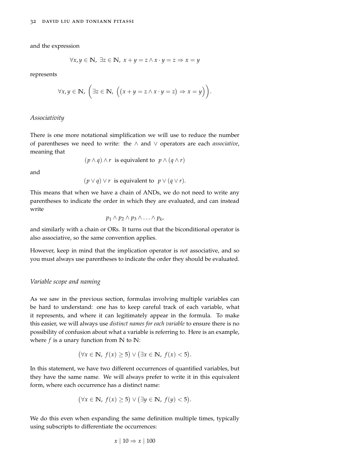and the expression

$$
\forall x, y \in \mathbb{N}, \exists z \in \mathbb{N}, \ x + y = z \land x \cdot y = z \Rightarrow x = y
$$

represents

$$
\forall x, y \in \mathbb{N}, \ \bigg(\exists z \in \mathbb{N}, \ \bigg((x+y=z \land x \cdot y=z) \Rightarrow x=y\bigg)\bigg).
$$

#### *Associativity*

There is one more notational simplification we will use to reduce the number of parentheses we need to write: the ∧ and ∨ operators are each *associative*, meaning that

$$
(p \land q) \land r
$$
 is equivalent to  $p \land (q \land r)$ 

and

 $(p \lor q) \lor r$  is equivalent to  $p \lor (q \lor r)$ .

This means that when we have a chain of ANDs, we do not need to write any parentheses to indicate the order in which they are evaluated, and can instead write

$$
p_1 \wedge p_2 \wedge p_3 \wedge \ldots \wedge p_k,
$$

and similarly with a chain or ORs. It turns out that the biconditional operator is also associative, so the same convention applies.

However, keep in mind that the implication operator is *not* associative, and so you must always use parentheses to indicate the order they should be evaluated.

#### *Variable scope and naming*

As we saw in the previous section, formulas involving multiple variables can be hard to understand: one has to keep careful track of each variable, what it represents, and where it can legitimately appear in the formula. To make this easier, we will always use *distinct names for each variable* to ensure there is no possibility of confusion about what a variable is referring to. Here is an example, where  $f$  is a unary function from  $\mathbb N$  to  $\mathbb N$ :

$$
(\forall x \in \mathbb{N}, f(x) \ge 5) \lor (\exists x \in \mathbb{N}, f(x) < 5).
$$

In this statement, we have two different occurrences of quantified variables, but they have the same name. We will always prefer to write it in this equivalent form, where each occurrence has a distinct name:

$$
(\forall x \in \mathbb{N}, f(x) \ge 5) \lor (\exists y \in \mathbb{N}, f(y) < 5).
$$

We do this even when expanding the same definition multiple times, typically using subscripts to differentiate the occurrences:

$$
x \mid 10 \Rightarrow x \mid 100
$$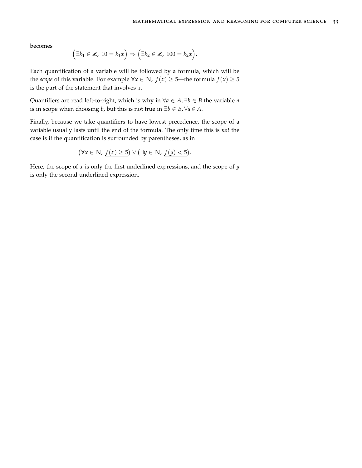becomes

$$
(\exists k_1 \in \mathbb{Z}, 10 = k_1 x) \Rightarrow (\exists k_2 \in \mathbb{Z}, 100 = k_2 x).
$$

Each quantification of a variable will be followed by a formula, which will be the *scope* of this variable. For example  $\forall x \in \mathbb{N}$ ,  $f(x) \ge 5$ —the formula  $f(x) \ge 5$ is the part of the statement that involves *x*.

Quantifiers are read left-to-right, which is why in  $\forall a \in A$ ,  $\exists b \in B$  the variable *a* is in scope when choosing *b*, but this is not true in  $\exists b \in B, \forall a \in A$ .

Finally, because we take quantifiers to have lowest precedence, the scope of a variable usually lasts until the end of the formula. The only time this is *not* the case is if the quantification is surrounded by parentheses, as in

$$
(\forall x \in \mathbb{N}, f(x) \ge 5) \lor (\exists y \in \mathbb{N}, f(y) < 5).
$$

Here, the scope of *x* is only the first underlined expressions, and the scope of *y* is only the second underlined expression.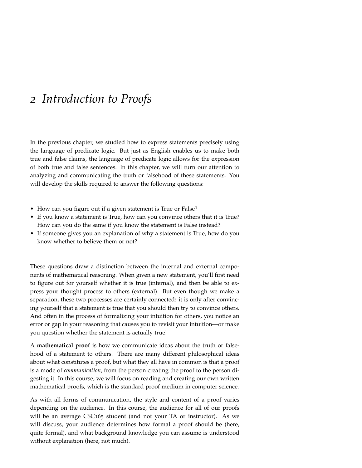# <span id="page-34-0"></span>*2 Introduction to Proofs*

In the previous chapter, we studied how to express statements precisely using the language of predicate logic. But just as English enables us to make both true and false claims, the language of predicate logic allows for the expression of both true and false sentences. In this chapter, we will turn our attention to analyzing and communicating the truth or falsehood of these statements. You will develop the skills required to answer the following questions:

- How can you figure out if a given statement is True or False?
- If you know a statement is True, how can you convince others that it is True? How can you do the same if you know the statement is False instead?
- If someone gives you an explanation of why a statement is True, how do you know whether to believe them or not?

These questions draw a distinction between the internal and external components of mathematical reasoning. When given a new statement, you'll first need to figure out for yourself whether it is true (internal), and then be able to express your thought process to others (external). But even though we make a separation, these two processes are certainly connected: it is only after convincing yourself that a statement is true that you should then try to convince others. And often in the process of formalizing your intuition for others, you notice an error or gap in your reasoning that causes you to revisit your intuition—or make you question whether the statement is actually true!

A **mathematical proof** is how we communicate ideas about the truth or falsehood of a statement to others. There are many different philosophical ideas about what constitutes a proof, but what they all have in common is that a proof is a mode of *communication*, from the person creating the proof to the person digesting it. In this course, we will focus on reading and creating our own written mathematical proofs, which is the standard proof medium in computer science.

As with all forms of communication, the style and content of a proof varies depending on the audience. In this course, the audience for all of our proofs will be an average CSC165 student (and not your TA or instructor). As we will discuss, your audience determines how formal a proof should be (here, quite formal), and what background knowledge you can assume is understood without explanation (here, not much).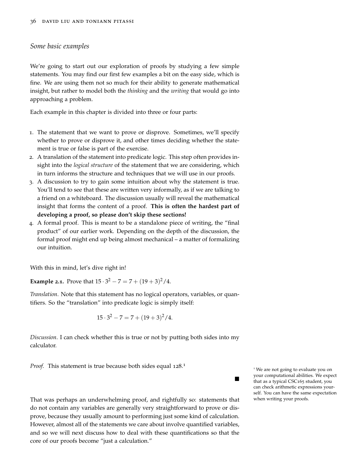#### <span id="page-35-0"></span>*Some basic examples*

We're going to start out our exploration of proofs by studying a few simple statements. You may find our first few examples a bit on the easy side, which is fine. We are using them not so much for their ability to generate mathematical insight, but rather to model both the *thinking* and the *writing* that would go into approaching a problem.

Each example in this chapter is divided into three or four parts:

- 1. The statement that we want to prove or disprove. Sometimes, we'll specify whether to prove or disprove it, and other times deciding whether the statement is true or false is part of the exercise.
- 2. A translation of the statement into predicate logic. This step often provides insight into the *logical structure* of the statement that we are considering, which in turn informs the structure and techniques that we will use in our proofs.
- 3. A discussion to try to gain some intuition about why the statement is true. You'll tend to see that these are written very informally, as if we are talking to a friend on a whiteboard. The discussion usually will reveal the mathematical insight that forms the content of a proof. **This is often the hardest part of developing a proof, so please don't skip these sections!**
- 4. A formal proof. This is meant to be a standalone piece of writing, the "final product" of our earlier work. Depending on the depth of the discussion, the formal proof might end up being almost mechanical – a matter of formalizing our intuition.

With this in mind, let's dive right in!

**Example 2.1.** Prove that  $15 \cdot 3^2 - 7 = 7 + (19 + 3)^2 / 4$ .

*Translation*. Note that this statement has no logical operators, variables, or quantifiers. So the "translation" into predicate logic is simply itself:

$$
15 \cdot 3^2 - 7 = 7 + (19 + 3)^2 / 4.
$$

*Discussion*. I can check whether this is true or not by putting both sides into my calculator.

Proof. This statement is true because both sides equal 128.<sup>1</sup>

That was perhaps an underwhelming proof, and rightfully so: statements that do not contain any variables are generally very straightforward to prove or disprove, because they usually amount to performing just some kind of calculation. However, almost all of the statements we care about involve quantified variables, and so we will next discuss how to deal with these quantifications so that the core of our proofs become "just a calculation."

<sup>1</sup> We are not going to evaluate you on your computational abilities. We expect that as a typical CSC165 student, you can check arithmetic expressions yourself. You can have the same expectation when writing your proofs.

 $\blacksquare$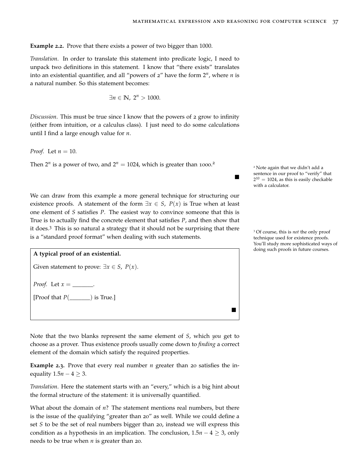ш

 $\blacksquare$ 

**Example 2.2.** Prove that there exists a power of two bigger than 1000.

*Translation*. In order to translate this statement into predicate logic, I need to unpack two definitions in this statement. I know that "there exists" translates into an existential quantifier, and all "powers of 2" have the form 2*<sup>n</sup>* , where *n* is a natural number. So this statement becomes:

$$
\exists n \in \mathbb{N}, \ 2^n > 1000.
$$

*Discussion*. This must be true since I know that the powers of 2 grow to infinity (either from intuition, or a calculus class). I just need to do some calculations until I find a large enough value for *n*.

*Proof.* Let *n* = 10.

Then  $2^n$  is a power of two, and  $2^n = 1024$ , which is greater than 1000.<sup>2</sup>

We can draw from this example a more general technique for structuring our existence proofs. A statement of the form  $\exists x \in S$ ,  $P(x)$  is True when at least one element of *S* satisfies *P*. The easiest way to convince someone that this is True is to actually find the concrete element that satisfies *P*, and then show that it does.<sup>3</sup> This is so natural a strategy that it should not be surprising that there <sup>3</sup> Of course, this is *not* the only proof is a "standard proof format" when dealing with such statements.

#### **A typical proof of an existential.**

Given statement to prove:  $\exists x \in S$ ,  $P(x)$ .

*Proof.* Let  $x =$  \_\_\_\_\_\_\_.

[Proof that *P*(\_\_\_\_\_\_\_) is True.]

Note that the two blanks represent the same element of *S*, which *you* get to choose as a prover. Thus existence proofs usually come down to *finding* a correct element of the domain which satisfy the required properties.

**Example** 2.3. Prove that every real number *n* greater than 20 satisfies the inequality  $1.5n - 4 \geq 3$ .

*Translation*. Here the statement starts with an "every," which is a big hint about the formal structure of the statement: it is universally quantified.

What about the domain of *n*? The statement mentions real numbers, but there is the issue of the qualifying "greater than 20" as well. While we could define a set *S* to be the set of real numbers bigger than 20, instead we will express this condition as a hypothesis in an implication. The conclusion,  $1.5n - 4 \geq 3$ , only needs to be true when *n* is greater than 20.

<sup>2</sup> Note again that we didn't add a sentence in our proof to "verify" that  $2^{10} = 1024$ , as this is easily checkable with a calculator.

technique used for existence proofs. You'll study more sophisticated ways of doing such proofs in future courses.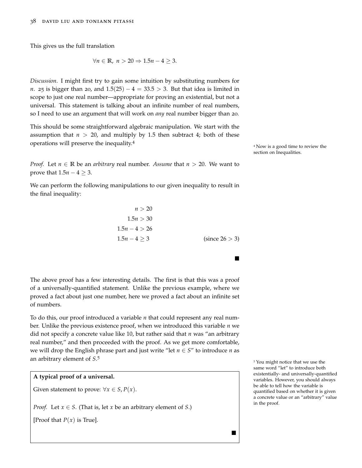This gives us the full translation

$$
\forall n \in \mathbb{R}, n > 20 \Rightarrow 1.5n - 4 \ge 3.
$$

*Discussion*. I might first try to gain some intuition by substituting numbers for *n*. 25 is bigger than 20, and  $1.5(25) - 4 = 33.5 > 3$ . But that idea is limited in scope to just one real number—appropriate for proving an existential, but not a universal. This statement is talking about an infinite number of real numbers, so I need to use an argument that will work on *any* real number bigger than 20.

This should be some straightforward algebraic manipulation. We start with the assumption that  $n > 20$ , and multiply by 1.5 then subtract 4; both of these operations will preserve the inequality.<sup>4</sup>

*Proof.* Let  $n \in \mathbb{R}$  be an *arbitrary* real number. Assume that  $n > 20$ . We want to prove that  $1.5n - 4 \geq 3$ .

We can perform the following manipulations to our given inequality to result in the final inequality:

$$
n > 20
$$
  
1.5n > 30  
1.5n - 4 > 26  
1.5n - 4 \ge 3 (since 26 > 3)

 $\blacksquare$ 

The above proof has a few interesting details. The first is that this was a proof of a universally-quantified statement. Unlike the previous example, where we proved a fact about just one number, here we proved a fact about an infinite set of numbers.

To do this, our proof introduced a variable  $n$  that could represent any real number. Unlike the previous existence proof, when we introduced this variable *n* we did not specify a concrete value like 10, but rather said that *n* was "an arbitrary real number," and then proceeded with the proof. As we get more comfortable, we will drop the English phrase part and just write "let  $n \in S$ " to introduce *n* as an arbitrary element of *S*. 5



<sup>5</sup> You might notice that we use the same word "let" to introduce both existentially- and universally-quantified variables. However, you should always be able to tell how the variable is quantified based on whether it is given a concrete value or an "arbitrary" value in the proof.

<sup>4</sup> Now is a good time to review the [section on Inequalities.](#page-17-0)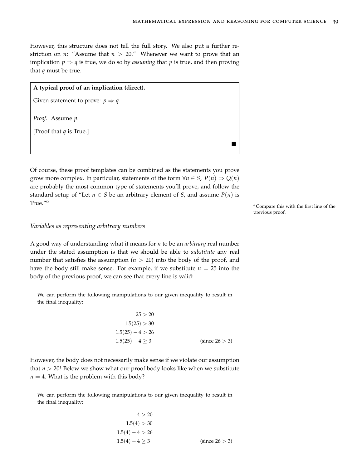However, this structure does not tell the full story. We also put a further restriction on *n*: "Assume that  $n > 20$ ." Whenever we want to prove that an implication  $p \Rightarrow q$  is true, we do so by *assuming* that *p* is true, and then proving that *q* must be true.

# **A typical proof of an implication (direct).**

Given statement to prove:  $p \Rightarrow q$ .

*Proof.* Assume *p*.

[Proof that *q* is True.]

Of course, these proof templates can be combined as the statements you prove grow more complex. In particular, statements of the form  $\forall n \in S$ ,  $P(n) \Rightarrow Q(n)$ are probably the most common type of statements you'll prove, and follow the standard setup of "Let  $n \in S$  be an arbitrary element of *S*, and assume  $P(n)$  is True."<sup>6</sup>

<sup>6</sup> Compare this with the first line of the previous proof.

#### *Variables as representing arbitrary numbers*

A good way of understanding what it means for *n* to be an *arbitrary* real number under the stated assumption is that we should be able to *substitute* any real number that satisfies the assumption  $(n > 20)$  into the body of the proof, and have the body still make sense. For example, if we substitute  $n = 25$  into the body of the previous proof, we can see that every line is valid:

We can perform the following manipulations to our given inequality to result in the final inequality:

| 25 > 20              |                |
|----------------------|----------------|
| 1.5(25) > 30         |                |
| $1.5(25) - 4 > 26$   |                |
| $1.5(25) - 4 \geq 3$ | (since 26 > 3) |

However, the body does not necessarily make sense if we violate our assumption that *n* > 20! Below we show what our proof body looks like when we substitute  $n = 4$ . What is the problem with this body?

We can perform the following manipulations to our given inequality to result in the final inequality:

$$
4 > 20
$$
  
1.5(4) > 30  
1.5(4) - 4 > 26  
1.5(4) - 4 \ge 3 (since 26 > 3)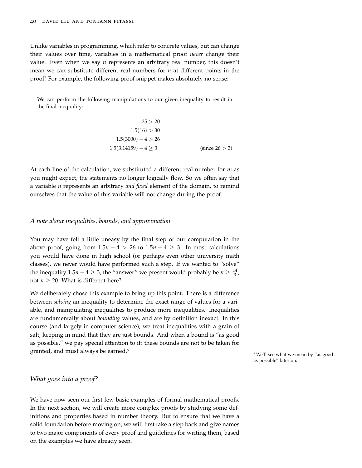Unlike variables in programming, which refer to concrete values, but can change their values over time, variables in a mathematical proof *never* change their value. Even when we say *n* represents an arbitrary real number, this doesn't mean we can substitute different real numbers for *n* at different points in the proof! For example, the following proof snippet makes absolutely no sense:

We can perform the following manipulations to our given inequality to result in the final inequality:

$$
25 > 20
$$
  
1.5(16) > 30  
1.5(3000) - 4 > 26  
1.5(3.14159) - 4 \ge 3 (since 26 > 3)

At each line of the calculation, we substituted a different real number for *n*; as you might expect, the statements no longer logically flow. So we often say that a variable *n* represents an arbitrary *and fixed* element of the domain, to remind ourselves that the value of this variable will not change during the proof.

#### *A note about inequalities, bounds, and approximation*

You may have felt a little uneasy by the final step of our computation in the above proof, going from  $1.5n - 4 > 26$  to  $1.5n - 4 \geq 3$ . In most calculations you would have done in high school (or perhaps even other university math classes), we never would have performed such a step. If we wanted to "solve" the inequality  $1.5n - 4 \geq 3$ , the "answer" we present would probably be  $n \geq \frac{14}{3}$ , not  $n > 20$ . What is different here?

We deliberately chose this example to bring up this point. There is a difference between *solving* an inequality to determine the exact range of values for a variable, and manipulating inequalities to produce more inequalities. Inequalities are fundamentally about *bounding* values, and are by definition inexact. In this course (and largely in computer science), we treat inequalities with a grain of salt, keeping in mind that they are just bounds. And when a bound is "as good as possible," we pay special attention to it: these bounds are not to be taken for granted, and must always be earned.<sup>7</sup>

<sup>7</sup> We'll see what we mean by "as good as possible" later on.

# *What goes into a proof?*

We have now seen our first few basic examples of formal mathematical proofs. In the next section, we will create more complex proofs by studying some definitions and properties based in number theory. But to ensure that we have a solid foundation before moving on, we will first take a step back and give names to two major components of every proof and guidelines for writing them, based on the examples we have already seen.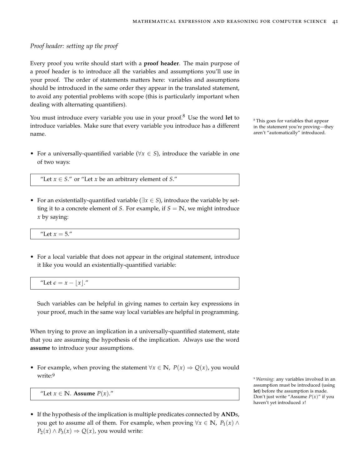### *Proof header: setting up the proof*

Every proof you write should start with a **proof header**. The main purpose of a proof header is to introduce all the variables and assumptions you'll use in your proof. The order of statements matters here: variables and assumptions should be introduced in the same order they appear in the translated statement, to avoid any potential problems with scope (this is particularly important when dealing with alternating quantifiers).

You must introduce every variable you use in your proof.<sup>8</sup> Use the word let to <sup>8</sup> This goes for variables that appear introduce variables. Make sure that every variable you introduce has a different name.

• For a universally-quantified variable ( $\forall x \in S$ ), introduce the variable in one of two ways:

"Let  $x \in S$ ." or "Let *x* be an arbitrary element of *S*."

• For an existentially-quantified variable (∃*x* ∈ *S*), introduce the variable by setting it to a concrete element of *S*. For example, if  $S = \mathbb{N}$ , we might introduce *x* by saying:

"Let  $x = 5$ ."

• For a local variable that does not appear in the original statement, introduce it like you would an existentially-quantified variable:

"Let  $\epsilon = x - |x|$ ."

Such variables can be helpful in giving names to certain key expressions in your proof, much in the same way local variables are helpful in programming.

When trying to prove an implication in a universally-quantified statement, state that you are assuming the hypothesis of the implication. Always use the word **assume** to introduce your assumptions.

• For example, when proving the statement  $\forall x \in \mathbb{N}$ ,  $P(x) \Rightarrow Q(x)$ , you would write:<sup>9</sup>

"Let  $x \in \mathbb{N}$ . **Assume**  $P(x)$ ."

• If the hypothesis of the implication is multiple predicates connected by **AND**s, you get to assume all of them. For example, when proving  $\forall x \in \mathbb{N}$ ,  $P_1(x) \land P_2(x)$  $P_2(x) \wedge P_3(x) \Rightarrow Q(x)$ , you would write:

in the statement you're proving—they aren't "automatically" introduced.

<sup>9</sup> *Warning*: any variables involved in an assumption must be introduced (using **let**) before the assumption is made. Don't just write "Assume *P*(*x*)" if you haven't yet introduced *x*!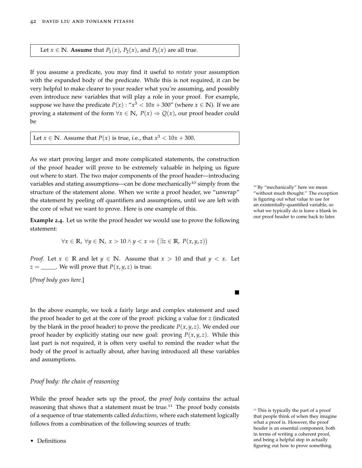#### Let *x*  $\in$  **N**. **Assume** that *P*<sub>1</sub>(*x*), *P*<sub>2</sub>(*x*), and *P*<sub>3</sub>(*x*) are all true.

If you assume a predicate, you may find it useful to *restate* your assumption with the expanded body of the predicate. While this is not required, it can be very helpful to make clearer to your reader what you're assuming, and possibly even introduce new variables that will play a role in your proof. For example, suppose we have the predicate  $P(x)$  : " $x^3 < 10x + 300$ " (where  $x \in \mathbb{N}$ ). If we are proving a statement of the form  $\forall x \in \mathbb{N}$ ,  $P(x) \Rightarrow Q(x)$ , our proof header could be

Let *x*  $\in$  **N**. Assume that *P*(*x*) is true, i.e., that *x*<sup>3</sup>  $<$  10*x* + 300.

As we start proving larger and more complicated statements, the construction of the proof header will prove to be extremely valuable in helping us figure out where to start. The two major components of the proof header—introducing variables and stating assumptions—can be done mechanically<sup>10</sup> simply from the  $10 B_y$  "mechanically" here we mean structure of the statement alone. When we write a proof header, we "unwrap" the statement by peeling off quantifiers and assumptions, until we are left with the core of what we want to prove. Here is one example of this.

**Example 2.4.** Let us write the proof header we would use to prove the following statement:

$$
\forall x \in \mathbb{R}, \ \forall y \in \mathbb{N}, \ x > 10 \land y < x \Rightarrow (\exists z \in \mathbb{R}, \ P(x, y, z))
$$

*Proof.* Let  $x \in \mathbb{R}$  and let  $y \in \mathbb{N}$ . Assume that  $x > 10$  and that  $y < x$ . Let  $z =$  \_\_\_\_\_. We will prove that  $P(x, y, z)$  is true.

[*Proof body goes here.*]

In the above example, we took a fairly large and complex statement and used the proof header to get at the core of the proof: picking a value for *z* (indicated by the blank in the proof header) to prove the predicate  $P(x, y, z)$ . We ended our proof header by explicitly stating our new goal: proving  $P(x, y, z)$ . While this last part is not required, it is often very useful to remind the reader what the body of the proof is actually about, after having introduced all these variables and assumptions.

#### *Proof body: the chain of reasoning*

While the proof header sets up the proof, the *proof body* contains the actual reasoning that shows that a statement must be true.<sup>11</sup> The proof body consists <sup>11</sup> This is typically the part of a proof of a sequence of true statements called *deductions*, where each statement logically follows from a combination of the following sources of truth:

• Definitions

"without much thought." The exception is figuring out what value to use for an existentially-quantified variable, so what we typically do is leave a blank in our proof header to come back to later.

П

that people think of when they imagine what a proof is. However, the proof header is an essential component, both in terms of writing a coherent proof, and being a helpful step in actually figuring out how to prove something.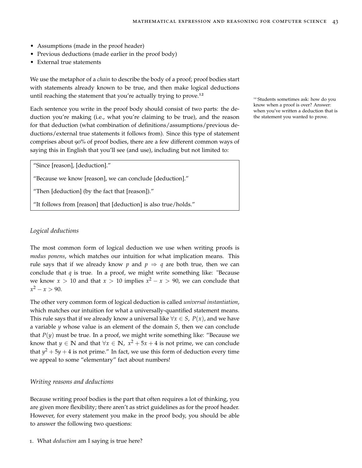- Assumptions (made in the proof header)
- Previous deductions (made earlier in the proof body)
- External true statements

We use the metaphor of a *chain* to describe the body of a proof; proof bodies start with statements already known to be true, and then make logical deductions until reaching the statement that you're actually trying to prove.<sup>12</sup>

Each sentence you write in the proof body should consist of two parts: the deduction you're making (i.e., what you're claiming to be true), and the reason for that deduction (what combination of definitions/assumptions/previous deductions/external true statements it follows from). Since this type of statement comprises about 90% of proof bodies, there are a few different common ways of saying this in English that you'll see (and use), including but not limited to:

"Since [reason], [deduction]."

"Because we know [reason], we can conclude [deduction]."

"Then [deduction] (by the fact that [reason])."

"It follows from [reason] that [deduction] is also true/holds."

# *Logical deductions*

The most common form of logical deduction we use when writing proofs is *modus ponens*, which matches our intuition for what implication means. This rule says that if we already know p and  $p \Rightarrow q$  are both true, then we can conclude that *q* is true. In a proof, we might write something like: "Because we know  $x > 10$  and that  $x > 10$  implies  $x^2 - x > 90$ , we can conclude that  $x^2 - x > 90$ .

The other very common form of logical deduction is called *universal instantiation*, which matches our intuition for what a universally-quantified statement means. This rule says that if we already know a universal like  $\forall x \in S$ ,  $P(x)$ , and we have a variable *y* whose value is an element of the domain *S*, then we can conclude that  $P(y)$  must be true. In a proof, we might write something like: "Because we know that  $y \in \mathbb{N}$  and that  $\forall x \in \mathbb{N}$ ,  $x^2 + 5x + 4$  is not prime, we can conclude that  $y^2 + 5y + 4$  is not prime." In fact, we use this form of deduction every time we appeal to some "elementary" fact about numbers!

#### *Writing reasons and deductions*

Because writing proof bodies is the part that often requires a lot of thinking, you are given more flexibility; there aren't as strict guidelines as for the proof header. However, for every statement you make in the proof body, you should be able to answer the following two questions:

1. What *deduction* am I saying is true here?

<sup>12</sup> Students sometimes ask: how do you know when a proof is over? Answer: when you've written a deduction that is the statement you wanted to prove.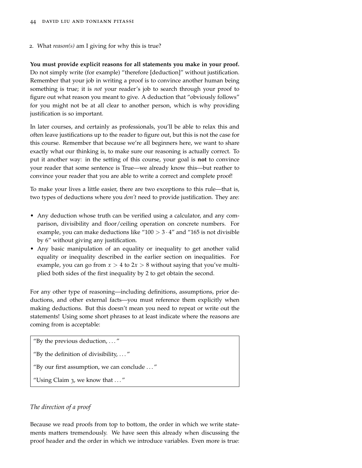2. What *reason(s)* am I giving for why this is true?

**You must provide explicit reasons for all statements you make in your proof.** Do not simply write (for example) "therefore [deduction]" without justification. Remember that your job in writing a proof is to convince another human being something is true; it is *not* your reader's job to search through your proof to figure out what reason you meant to give. A deduction that "obviously follows" for you might not be at all clear to another person, which is why providing justification is so important.

In later courses, and certainly as professionals, you'll be able to relax this and often leave justifications up to the reader to figure out, but this is not the case for this course. Remember that because we're all beginners here, we want to share exactly what our thinking is, to make sure our reasoning is actually correct. To put it another way: in the setting of this course, your goal is **not** to convince your reader that some sentence is True—we already know this—but reather to convince your reader that you are able to write a correct and complete proof!

To make your lives a little easier, there are two exceptions to this rule—that is, two types of deductions where you *don't* need to provide justification. They are:

- Any deduction whose truth can be verified using a calculator, and any comparison, divisibility and floor/ceiling operation on concrete numbers. For example, you can make deductions like " $100 > 3 \cdot 4$ " and "165 is not divisible by 6" without giving any justification.
- Any basic manipulation of an equality or inequality to get another valid equality or inequality described in the earlier [section on inequalities.](#page-17-0) For example, you can go from  $x > 4$  to  $2x > 8$  without saying that you've multiplied both sides of the first inequality by 2 to get obtain the second.

For any other type of reasoning—including definitions, assumptions, prior deductions, and other external facts—you must reference them explicitly when making deductions. But this doesn't mean you need to repeat or write out the statements! Using some short phrases to at least indicate where the reasons are coming from is acceptable:

"By the previous deduction,  $\dots$ "

"By the definition of divisibility,  $\dots$ "

"By our first assumption, we can conclude . . . "

"Using Claim  $3$ , we know that  $\dots$ "

#### *The direction of a proof*

Because we read proofs from top to bottom, the order in which we write statements matters tremendously. We have seen this already when discussing the proof header and the order in which we introduce variables. Even more is true: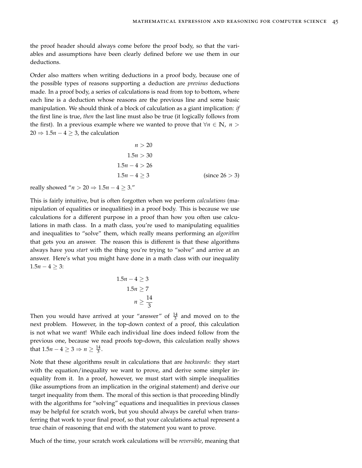the proof header should always come before the proof body, so that the variables and assumptions have been clearly defined before we use them in our deductions.

Order also matters when writing deductions in a proof body, because one of the possible types of reasons supporting a deduction are *previous* deductions made. In a proof body, a series of calculations is read from top to bottom, where each line is a deduction whose reasons are the previous line and some basic manipulation. We should think of a block of calculation as a giant implication: *if* the first line is true, *then* the last line must also be true (it logically follows from the first). In a previous example where we wanted to prove that  $\forall n \in \mathbb{N}$ ,  $n >$  $20 \Rightarrow 1.5n - 4 \geq 3$ , the calculation

$$
n > 20
$$
  
1.5n > 30  
1.5n-4 > 26  
1.5n-4 \ge 3 (since 26 > 3)

really showed " $n > 20 \Rightarrow 1.5n - 4 \geq 3$ ."

This is fairly intuitive, but is often forgotten when we perform *calculations* (manipulation of equalities or inequalities) in a proof body. This is because we use calculations for a different purpose in a proof than how you often use calculations in math class. In a math class, you're used to manipulating equalities and inequalities to "solve" them, which really means performing an *algorithm* that gets you an answer. The reason this is different is that these algorithms always have you *start* with the thing you're trying to "solve" and arrive at an answer. Here's what you might have done in a math class with our inequality  $1.5n - 4 \geq 3$ :

$$
1.5n - 4 \ge 3
$$

$$
1.5n \ge 7
$$

$$
n \ge \frac{14}{3}
$$

Then you would have arrived at your "answer" of  $\frac{14}{3}$  and moved on to the next problem. However, in the top-down context of a proof, this calculation is not what we want! While each individual line does indeed follow from the previous one, because we read proofs top-down, this calculation really shows that  $1.5n - 4 \geq 3 \Rightarrow n \geq \frac{14}{3}$ .

Note that these algorithms result in calculations that are *backwards*: they start with the equation/inequality we want to prove, and derive some simpler inequality from it. In a proof, however, we must start with simple inequalities (like assumptions from an implication in the original statement) and derive our target inequality from them. The moral of this section is that proceeding blindly with the algorithms for "solving" equations and inequalities in previous classes may be helpful for scratch work, but you should always be careful when transferring that work to your final proof, so that your calculations actual represent a true chain of reasoning that end with the statement you want to prove.

Much of the time, your scratch work calculations will be *reversible*, meaning that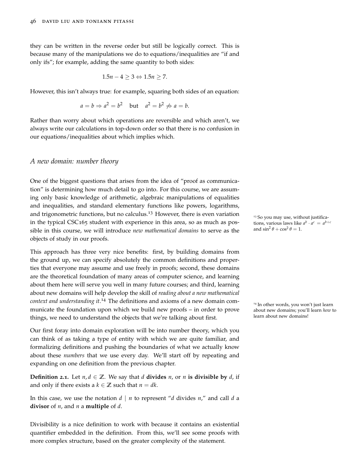they can be written in the reverse order but still be logically correct. This is because many of the manipulations we do to equations/inequalities are "if and only ifs"; for example, adding the same quantity to both sides:

$$
1.5n - 4 \ge 3 \Leftrightarrow 1.5n \ge 7.
$$

However, this isn't always true: for example, squaring both sides of an equation:

$$
a = b \Rightarrow a^2 = b^2
$$
 but  $a^2 = b^2 \not\Rightarrow a = b$ .

Rather than worry about which operations are reversible and which aren't, we always write our calculations in top-down order so that there is no confusion in our equations/inequalities about which implies which.

### *A new domain: number theory*

One of the biggest questions that arises from the idea of "proof as communication" is determining how much detail to go into. For this course, we are assuming only basic knowledge of arithmetic, algebraic manipulations of equalities and inequalities, and standard elementary functions like powers, logarithms, and trigonometric functions, but no calculus.<sup>13</sup> However, there is even variation  $\frac{13}{13}$  So you may use, without justificain the typical CSC165 student with experience in this area, so as much as possible in this course, we will introduce *new mathematical domains* to serve as the objects of study in our proofs.

This approach has three very nice benefits: first, by building domains from the ground up, we can specify absolutely the common definitions and properties that everyone may assume and use freely in proofs; second, these domains are the theoretical foundation of many areas of computer science, and learning about them here will serve you well in many future courses; and third, learning about new domains will help develop the skill of *reading about a new mathematical context and understanding it*. <sup>14</sup> The definitions and axioms of a new domain com- <sup>14</sup> In other words, you won't just learn municate the foundation upon which we build new proofs – in order to prove things, we need to understand the objects that we're talking about first.

Our first foray into domain exploration will be into number theory, which you can think of as taking a type of entity with which we are quite familiar, and formalizing definitions and pushing the boundaries of what we actually know about these *numbers* that we use every day. We'll start off by repeating and expanding on one definition from the previous chapter.

**Definition 2.1.** Let  $n, d \in \mathbb{Z}$ . We say that *d* **divides** *n*, or *n* **is divisible by** *d*, if and only if there exists a  $k \in \mathbb{Z}$  such that  $n = dk$ .

In this case, we use the notation *d* | *n* to represent "*d* divides *n*," and call *d* a **divisor** of *n*, and *n* a **multiple** of *d*.

Divisibility is a nice definition to work with because it contains an existential quantifier embedded in the definition. From this, we'll see some proofs with more complex structure, based on the greater complexity of the statement.

tions, various laws like  $a^b \cdot a^c = a^{b+c}$ and  $\sin^2 \theta + \cos^2 \theta = 1$ .

about new domains; you'll learn *how* to learn about new domains!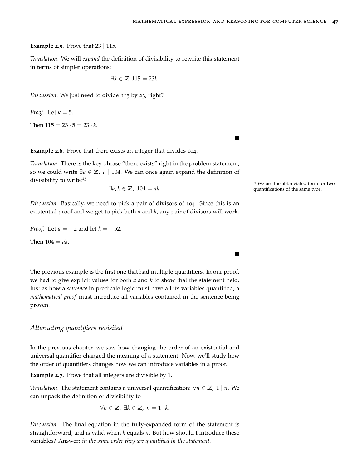$\blacksquare$ 

**Example 2.5.** Prove that 23 | 115.

*Translation*. We will *expand* the definition of divisibility to rewrite this statement in terms of simpler operations:

$$
\exists k \in \mathbb{Z}, 115 = 23k.
$$

*Discussion*. We just need to divide 115 by 23, right?

*Proof.* Let  $k = 5$ .

Then  $115 = 23 \cdot 5 = 23 \cdot k$ .

**Example 2.6.** Prove that there exists an integer that divides 104.

*Translation*. There is the key phrase "there exists" right in the problem statement, so we could write ∃*a* ∈ **Z**, *a* | 104. We can once again expand the definition of divisibility to write:<sup>15</sup>

*Discussion*. Basically, we need to pick a pair of divisors of 104. Since this is an existential proof and we get to pick both *a* and *k*, any pair of divisors will work.

*Proof.* Let *a* = −2 and let *k* = −52.

Then  $104 = ak$ .

The previous example is the first one that had multiple quantifiers. In our proof, we had to give explicit values for both *a* and *k* to show that the statement held. Just as how a *sentence* in predicate logic must have all its variables quantified, a *mathematical proof* must introduce all variables contained in the sentence being proven.

# *Alternating quantifiers revisited*

In the previous chapter, we saw how changing the order of an existential and universal quantifier changed the meaning of a statement. Now, we'll study how the order of quantifiers changes how we can introduce variables in a proof.

**Example 2.7.** Prove that all integers are divisible by 1.

*Translation*. The statement contains a universal quantification:  $\forall n \in \mathbb{Z}$ , 1 | *n*. We can unpack the definition of divisibility to

$$
\forall n \in \mathbb{Z}, \ \exists k \in \mathbb{Z}, \ n = 1 \cdot k.
$$

*Discussion*. The final equation in the fully-expanded form of the statement is straightforward, and is valid when *k* equals *n*. But how should I introduce these variables? Answer: *in the same order they are quantified in the statement.*

<sup>15</sup> We use the abbreviated form for two  $\exists a, k \in \mathbb{Z}$ , 104 = *ak*. quantifications of the same type.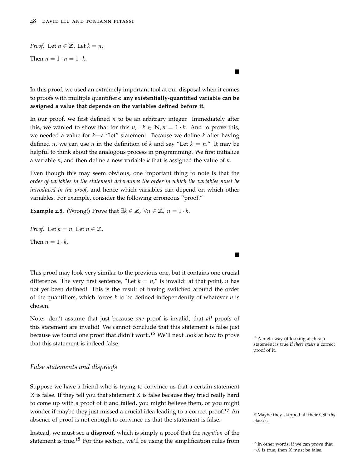### *Proof.* Let  $n \in \mathbb{Z}$ . Let  $k = n$ .

Then  $n = 1 \cdot n = 1 \cdot k$ .

In this proof, we used an extremely important tool at our disposal when it comes to proofs with multiple quantifiers: **any existentially-quantified variable can be assigned a value that depends on the variables defined before it.**

 $\blacksquare$ 

 $\blacksquare$ 

In our proof, we first defined *n* to be an arbitrary integer. Immediately after this, we wanted to show that for this  $n, \exists k \in \mathbb{N}, n = 1 \cdot k$ . And to prove this, we needed a value for *k*—a "let" statement. Because we define *k* after having defined *n*, we can use *n* in the definition of *k* and say "Let  $k = n$ ." It may be helpful to think about the analogous process in programming. We first initialize a variable *n*, and then define a new variable *k* that is assigned the value of *n*.

Even though this may seem obvious, one important thing to note is that the *order of variables in the statement determines the order in which the variables must be introduced in the proof*, and hence which variables can depend on which other variables. For example, consider the following erroneous "proof."

**Example 2.8.** (Wrong!) Prove that  $\exists k \in \mathbb{Z}$ ,  $\forall n \in \mathbb{Z}$ ,  $n = 1 \cdot k$ .

*Proof.* Let  $k = n$ . Let  $n \in \mathbb{Z}$ .

Then  $n = 1 \cdot k$ .

This proof may look very similar to the previous one, but it contains one crucial difference. The very first sentence, "Let  $k = n$ ," is invalid: at that point, *n* has not yet been defined! This is the result of having switched around the order of the quantifiers, which forces *k* to be defined independently of whatever *n* is chosen.

Note: don't assume that just because *one* proof is invalid, that *all* proofs of this statement are invalid! We cannot conclude that this statement is false just because we found one proof that didn't work.<sup>16</sup> We'll next look at how to prove  $\frac{16}{4}$  meta way of looking at this: a that this statement is indeed false.

# *False statements and disproofs*

Suppose we have a friend who is trying to convince us that a certain statement *X* is false. If they tell you that statement *X* is false because they tried really hard to come up with a proof of it and failed, you might believe them, or you might wonder if maybe they just missed a crucial idea leading to a correct proof.<sup>17</sup> An  $_{17}$  Maybe they skipped all their CSC165 absence of proof is not enough to convince us that the statement is false. classes.

Instead, we must see a **disproof**, which is simply a proof that the *negation* of the statement is true.<sup>18</sup> For this section, we'll be using the simplification rules from  $\frac{18}{18}$  In other words, if we can prove that

statement is true if *there exists* a correct proof of it.

<sup>¬</sup>*X* is true, then *X* must be false.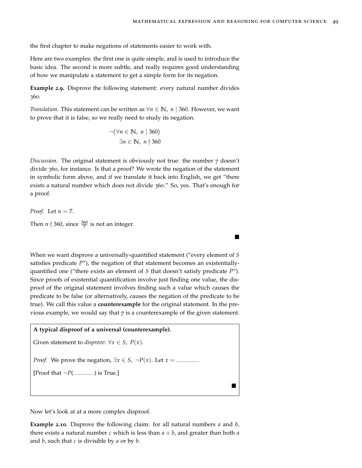$\blacksquare$ 

the first chapter to make negations of statements easier to work with.

Here are two examples: the first one is quite simple, and is used to introduce the basic idea. The second is more subtle, and really requires good understanding of how we manipulate a statement to get a simple form for its negation.

**Example 2.9.** Disprove the following statement: every natural number divides 360.

*Translation*. This statement can be written as  $\forall n \in \mathbb{N}$ , *n* | 360. However, we want to prove that it is false, so we really need to study its negation.

$$
\neg (\forall n \in \mathbb{N}, n \mid 360)
$$
  

$$
\exists n \in \mathbb{N}, n \nmid 360
$$

*Discussion*. The original statement is obviously not true: the number 7 doesn't divide 360, for instance. Is that a proof? We wrote the negation of the statement in symbolic form above, and if we translate it back into English, we get "there exists a natural number which does not divide 360." So, yes. That's enough for a proof.

*Proof.* Let 
$$
n = 7
$$
.  
Then  $n \nmid 360$ , since  $\frac{360}{7}$  is not an integer.

When we want disprove a universally-quantified statement ("every element of *S* satisfies predicate *P*"), the negation of that statement becomes an existentiallyquantified one ("there exists an element of *S* that doesn't satisfy predicate *P*"). Since proofs of existential quantification involve just finding one value, the disproof of the original statement involves finding such a value which causes the predicate to be false (or alternatively, causes the negation of the predicate to be true). We call this value a **counterexample** for the original statement. In the previous example, we would say that  $7$  is a counterexample of the given statement.

# **A typical disproof of a universal (counterexample).**

```
Given statement to disprove: \forall x \in S, P(x).
```
*Proof.* We prove the negation,  $\exists x \in S$ ,  $\neg P(x)$ . Let  $x =$  \_\_\_\_\_\_\_.

[Proof that  $\neg P$ (\_\_\_\_\_\_\_) is True.]

Now let's look at at a more complex disproof.

**Example 2.10.** Disprove the following claim: for all natural numbers *a* and *b*, there exists a natural number *c* which is less than  $a + b$ , and greater than both *a* and *b*, such that *c* is divisible by *a* or by *b*.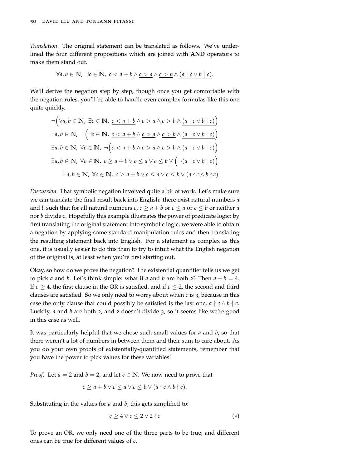*Translation*. The original statement can be translated as follows. We've underlined the four different propositions which are joined with **AND** operators to make them stand out.

$$
\forall a, b \in \mathbb{N}, \exists c \in \mathbb{N}, \ \underline{c < a + b} \land \underline{c > a} \land \underline{c > b} \land (a \mid c \lor b \mid c).
$$

We'll derive the negation step by step, though once you get comfortable with the negation rules, you'll be able to handle even complex formulas like this one quite quickly.

$$
\neg (\forall a, b \in \mathbb{N}, \exists c \in \mathbb{N}, \underbrace{c < a + b \land c > a \land c > b \land (a \mid c \lor b \mid c)}_{\exists a, b \in \mathbb{N}, \neg (\exists c \in \mathbb{N}, \underbrace{c < a + b \land c > a \land c > b \land (a \mid c \lor b \mid c)})}_{\exists a, b \in \mathbb{N}, \forall c \in \mathbb{N}, \neg (\underbrace{c < a + b \land c > a \land c > b \land (a \mid c \lor b \mid c)}_{\exists a, b \in \mathbb{N}, \forall c \in \mathbb{N}, \underbrace{c \ge a + b \lor c \le a \lor c \le b \lor (\neg (a \mid c \lor b \mid c))}_{\exists a, b \in \mathbb{N}, \forall c \in \mathbb{N}, \underbrace{c \ge a + b \lor c \le a \lor c \le b \lor (a \nmid c \land b \nmid c)}_{\exists a, b \in \mathbb{N}, \forall c \in \mathbb{N}, \underbrace{c \ge a + b \lor c \le a \lor c \le b \lor (a \nmid c \land b \nmid c)}_{\exists a, b \in \mathbb{N}, \forall c \in \mathbb{N}, \underbrace{c \ge a + b \lor c \le a \lor c \le b \lor (a \nmid c \land b \nmid c)}_{\exists a, b \in \mathbb{N}, \forall c \in \mathbb{N}, \underbrace{c \ge a + b \lor c \le a \lor c \le b \lor (a \nmid c \land b \nmid c)}_{\exists a, b \in \mathbb{N}, \forall c \in \mathbb{N}, \underbrace{c \ge a + b \lor c \le a \lor c \le b \lor (a \nmid c \land b \nmid c)}_{\exists a, b \in \mathbb{N}, \forall c \in \mathbb{N}, \underbrace{c \ge a + b \lor c \le a \lor c \le b \lor (a \nmid c \land b \nmid c)}_{\exists a, b \in \mathbb{N}, \forall c \in \mathbb{N}, \underbrace{c \ge a + b \lor c \le a \lor c \le b \lor (a \nmid c \land b \nmid c)}_{\exists a, b \in \mathbb{N}, \forall c \in \mathbb{N}, \underbrace{c \ge a + b \lor c \le a \lor c \le b \lor (a \nmid c \land b \
$$

*Discussion*. That symbolic negation involved quite a bit of work. Let's make sure we can translate the final result back into English: there exist natural numbers *a* and *b* such that for all natural numbers *c*, *c*  $\geq$  *a* + *b* or *c*  $\leq$  *a* or *c*  $\leq$  *b* or neither *a* nor *b* divide *c*. Hopefully this example illustrates the power of predicate logic: by first translating the original statement into symbolic logic, we were able to obtain a negation by applying some standard manipulation rules and then translating the resulting statement back into English. For a statement as complex as this one, it is usually easier to do this than to try to intuit what the English negation of the original is, at least when you're first starting out.

Okay, so how do we prove the negation? The existential quantifier tells us we get to pick *a* and *b*. Let's think simple: what if *a* and *b* are both 2? Then  $a + b = 4$ . If  $c \geq 4$ , the first clause in the OR is satisfied, and if  $c \leq 2$ , the second and third clauses are satisfied. So we only need to worry about when *c* is 3, because in this case the only clause that could possibly be satisfied is the last one,  $a \nmid c \wedge b \nmid c$ . Luckily, *a* and *b* are both 2, and 2 doesn't divide 3, so it seems like we're good in this case as well.

It was particularly helpful that we chose such small values for *a* and *b*, so that there weren't a lot of numbers in between them and their sum to care about. As you do your own proofs of existentially-quantified statements, remember that you have the power to pick values for these variables!

*Proof.* Let  $a = 2$  and  $b = 2$ , and let  $c \in \mathbb{N}$ . We now need to prove that

$$
c \ge a + b \vee c \le a \vee c \le b \vee (a \nmid c \wedge b \nmid c).
$$

Substituting in the values for *a* and *b*, this gets simplified to:

$$
c \ge 4 \vee c \le 2 \vee 2 \nmid c \tag{*}
$$

To prove an OR, we only need one of the three parts to be true, and different ones can be true for different values of *c*.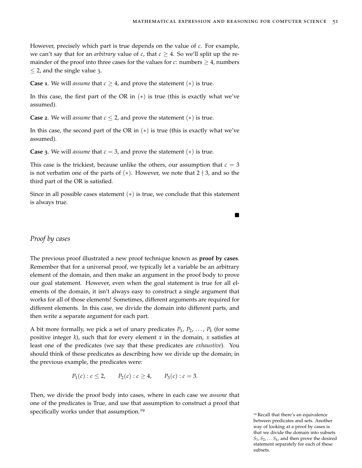However, precisely which part is true depends on the value of *c*. For example, we can't say that for an *arbitrary* value of *c*, that  $c \geq 4$ . So we'll split up the remainder of the proof into three cases for the values for *c*: numbers  $\geq 4$ , numbers  $\leq$  2, and the single value 3.

**Case 1**. We will *assume* that  $c \geq 4$ , and prove the statement  $(*)$  is true.

In this case, the first part of the OR in  $(*)$  is true (this is exactly what we've assumed).

**Case 2**. We will *assume* that  $c \leq 2$ , and prove the statement  $(*)$  is true.

In this case, the second part of the OR in  $(*)$  is true (this is exactly what we've assumed).

**Case** 3. We will *assume* that  $c = 3$ , and prove the statement  $(*)$  is true.

This case is the trickiest, because unlike the others, our assumption that  $c = 3$ is not verbatim one of the parts of  $(*)$ . However, we note that 2  $\nmid$  3, and so the third part of the OR is satisfied.

Since in all possible cases statement  $(*)$  is true, we conclude that this statement is always true.

 $\blacksquare$ 

# *Proof by cases*

The previous proof illustrated a new proof technique known as **proof by cases**. Remember that for a universal proof, we typically let a variable be an arbitrary element of the domain, and then make an argument in the proof body to prove our goal statement. However, even when the goal statement is true for all elements of the domain, it isn't always easy to construct a single argument that works for all of those elements! Sometimes, different arguments are required for different elements. In this case, we divide the domain into different parts, and then write a separate argument for each part.

A bit more formally, we pick a set of unary predicates *P*1, *P*2, . . . , *P<sup>k</sup>* (for some positive integer  $k$ ), such that for every element  $x$  in the domain,  $x$  satisfies at least one of the predicates (we say that these predicates are *exhaustive*). You should think of these predicates as describing how we divide up the domain; in the previous example, the predicates were:

 $P_1(c): c \le 2$ ,  $P_2(c): c \ge 4$ ,  $P_3(c): c = 3$ .

Then, we divide the proof body into cases, where in each case we *assume* that one of the predicates is True, and use that assumption to construct a proof that specifically works under that assumption.<sup>19</sup>

<sup>19</sup> Recall that there's an equivalence between predicates and sets. Another way of looking at a proof by cases is that we divide the domain into subsets  $S_1, S_2, \ldots S_k$ , and then prove the desired statement separately for each of these subsets.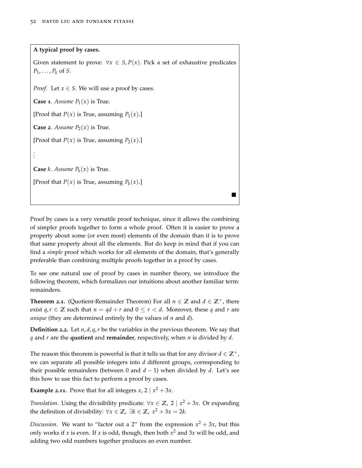**A typical proof by cases.**

Given statement to prove:  $\forall x \in S, P(x)$ . Pick a set of exhaustive predicates *P*1, . . . , *P<sup>k</sup>* of *S*.

*Proof.* Let  $x \in S$ . We will use a proof by cases.

**Case 1.** *Assume*  $P_1(x)$  is True.

[Proof that  $P(x)$  is True, assuming  $P_1(x)$ .]

**Case 2.** *Assume*  $P_2(x)$  is True.

[Proof that  $P(x)$  is True, assuming  $P_2(x)$ .]

**Case** *k*. *Assume*  $P_k(x)$  is True.

. . .

[Proof that  $P(x)$  is True, assuming  $P_k(x)$ .]

Proof by cases is a very versatile proof technique, since it allows the combining of simpler proofs together to form a whole proof. Often it is easier to prove a property about some (or even most) elements of the domain than it is to prove that same property about all the elements. But do keep in mind that if you can find a *simple* proof which works for all elements of the domain, that's generally preferable than combining multiple proofs together in a proof by cases.

 $\blacksquare$ 

To see one natural use of proof by cases in number theory, we introduce the following theorem, which formalizes our intuitions about another familiar term: remainders.

**Theorem 2.1.** (Quotient-Remainder Theorem) For all  $n \in \mathbb{Z}$  and  $d \in \mathbb{Z}^+$ , there exist  $q, r \in \mathbb{Z}$  such that  $n = qd + r$  and  $0 \le r < d$ . Moreover, these q and r are *unique* (they are determined entirely by the values of *n* and *d*).

**Definition 2.2.** Let *n*, *d*, *q*,*r* be the variables in the previous theorem. We say that *q* and *r* are the **quotient** and **remainder**, respectively, when *n* is divided by *d*.

The reason this theorem is powerful is that it tells us that for any divisor  $d \in \mathbb{Z}^+$ , we can separate all possible integers into *d* different groups, corresponding to their possible remainders (between 0 and  $d - 1$ ) when divided by  $d$ . Let's see this how to use this fact to perform a proof by cases.

**Example 2.11.** Prove that for all integers  $x$ ,  $2 \mid x^2 + 3x$ .

*Translation*. Using the divisibility predicate:  $\forall x \in \mathbb{Z}$ , 2 |  $x^2 + 3x$ . Or expanding the definition of divisibility:  $\forall x \in \mathbb{Z}$ ,  $\exists k \in \mathbb{Z}$ ,  $x^2 + 3x = 2k$ .

*Discussion*. We want to "factor out a 2" from the expression  $x^2 + 3x$ , but this only works if *x* is even. If *x* is odd, though, then both *x* <sup>2</sup> and 3*x* will be odd, and adding two odd numbers together produces an even number.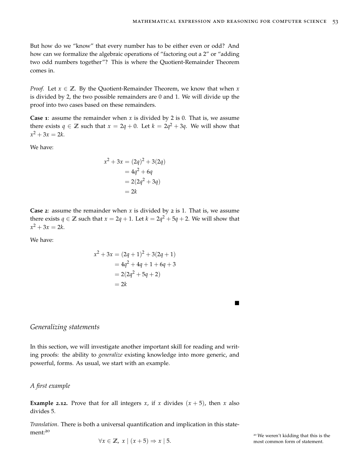But how do we "know" that every number has to be either even or odd? And how can we formalize the algebraic operations of "factoring out a 2" or "adding two odd numbers together"? This is where the Quotient-Remainder Theorem comes in.

*Proof.* Let  $x \in \mathbb{Z}$ . By the Quotient-Remainder Theorem, we know that when x is divided by 2, the two possible remainders are 0 and 1. We will divide up the proof into two cases based on these remainders.

**Case 1**: assume the remainder when *x* is divided by 2 is 0. That is, we assume there exists  $q \in \mathbb{Z}$  such that  $x = 2q + 0$ . Let  $k = 2q^2 + 3q$ . We will show that  $x^2 + 3x = 2k$ .

We have:

$$
x2 + 3x = (2q)2 + 3(2q)
$$
  
= 4q<sup>2</sup> + 6q  
= 2(2q<sup>2</sup> + 3q)  
= 2k

**Case** 2: assume the remainder when  $x$  is divided by 2 is 1. That is, we assume there exists  $q \in \mathbb{Z}$  such that  $x = 2q + 1$ . Let  $k = 2q^2 + 5q + 2$ . We will show that  $x^2 + 3x = 2k$ .

We have:

$$
x^{2} + 3x = (2q + 1)^{2} + 3(2q + 1)
$$
  
= 4q<sup>2</sup> + 4q + 1 + 6q + 3  
= 2(2q<sup>2</sup> + 5q + 2)  
= 2k

*Generalizing statements*

In this section, we will investigate another important skill for reading and writing proofs: the ability to *generalize* existing knowledge into more generic, and powerful, forms. As usual, we start with an example.

#### *A first example*

**Example** 2.12. Prove that for all integers *x*, if *x* divides  $(x + 5)$ , then *x* also divides 5.

*Translation*. There is both a universal quantification and implication in this statement:<sup>20</sup>

<sup>20</sup> We weren't kidding that this is the  $\forall x \in \mathbb{Z}, x \mid (x+5) \Rightarrow x \mid 5.$  most common form of statement.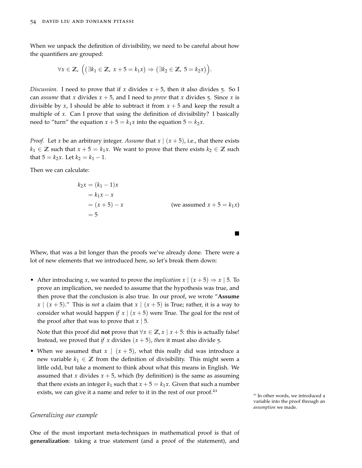When we unpack the definition of divisibility, we need to be careful about how the quantifiers are grouped:

$$
\forall x \in \mathbb{Z}, \ \Big( \big( \exists k_1 \in \mathbb{Z}, \ x+5=k_1x \big) \Rightarrow \big( \exists k_2 \in \mathbb{Z}, \ 5=k_2x \big) \Big).
$$

*Discussion*. I need to prove that if *x* divides  $x + 5$ , then it also divides 5. So I can *assume* that *x* divides  $x + 5$ , and I need to *prove* that *x* divides 5. Since *x* is divisible by *x*, I should be able to subtract it from  $x + 5$  and keep the result a multiple of *x*. Can I prove that using the definition of divisibility? I basically need to "turn" the equation  $x + 5 = k_1 x$  into the equation  $5 = k_2 x$ .

*Proof.* Let *x* be an arbitrary integer. *Assume* that  $x \mid (x+5)$ , i.e., that there exists  $k_1$  ∈ **Z** such that  $x + 5 = k_1x$ . We want to prove that there exists  $k_2$  ∈ **Z** such that  $5 = k_2x$ . Let  $k_2 = k_1 - 1$ .

Then we can calculate:

$$
k_2 x = (k_1 - 1)x
$$
  
=  $k_1 x - x$   
=  $(x + 5) - x$  (we assumed  $x + 5 = k_1 x$ )  
= 5

 $\blacksquare$ 

Whew, that was a bit longer than the proofs we've already done. There were a lot of new elements that we introduced here, so let's break them down:

• After introducing *x*, we wanted to prove the *implication*  $x \mid (x+5) \Rightarrow x \mid 5$ . To prove an implication, we needed to assume that the hypothesis was true, and then prove that the conclusion is also true. In our proof, we wrote "**Assume**  $x \mid (x+5)$ ." This is *not* a claim that  $x \mid (x+5)$  is True; rather, it is a way to consider what would happen *if*  $x \mid (x+5)$  were True. The goal for the rest of the proof after that was to prove that  $x \mid 5$ .

Note that this proof did **not** prove that  $\forall x \in \mathbb{Z}, x \mid x + 5$ : this is actually false! Instead, we proved that *if*  $x$  divides  $(x + 5)$ , *then* it must also divide 5.

• When we assumed that  $x \mid (x+5)$ , what this really did was introduce a new variable  $k_1 \in \mathbb{Z}$  from the definition of divisibility. This might seem a little odd, but take a moment to think about what this means in English. We assumed that *x* divides  $x + 5$ , which (by definition) is the same as assuming that there exists an integer  $k_1$  such that  $x + 5 = k_1x$ . Given that such a number exists, we can give it a name and refer to it in the rest of our proof.<sup>21</sup>

<sup>21</sup> In other words, we introduced a variable into the proof through an *assumption* we made.

# *Generalizing our example*

One of the most important meta-techniques in mathematical proof is that of **generalization**: taking a true statement (and a proof of the statement), and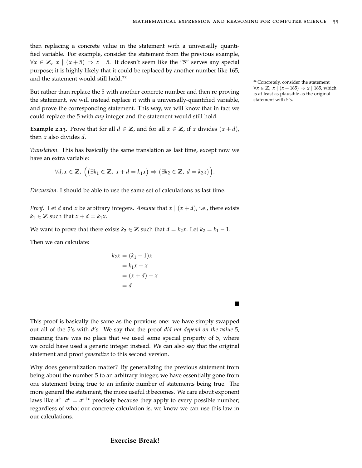then replacing a concrete value in the statement with a universally quantified variable. For example, consider the statement from the previous example,  $\forall x \in \mathbb{Z}$ , *x* | (*x* + 5)  $\Rightarrow$  *x* | 5. It doesn't seem like the "5" serves any special purpose; it is highly likely that it could be replaced by another number like 165, and the statement would still hold.<sup>22</sup>

But rather than replace the 5 with another concrete number and then re-proving the statement, we will instead replace it with a universally-quantified variable, and prove the corresponding statement. This way, we will know that in fact we could replace the 5 with *any* integer and the statement would still hold.

**Example 2.13.** Prove that for all  $d \in \mathbb{Z}$ , and for all  $x \in \mathbb{Z}$ , if *x* divides  $(x + d)$ , then *x* also divides *d*.

*Translation*. This has basically the same translation as last time, except now we have an extra variable:

$$
\forall d, x \in \mathbb{Z}, \ \Big( \big( \exists k_1 \in \mathbb{Z}, \ x + d = k_1 x \big) \Rightarrow \big( \exists k_2 \in \mathbb{Z}, \ d = k_2 x \big) \Big).
$$

*Discussion*. I should be able to use the same set of calculations as last time.

*Proof.* Let *d* and *x* be arbitrary integers. Assume that  $x \mid (x + d)$ , i.e., there exists  $k_1 \in \mathbb{Z}$  such that  $x + d = k_1 x$ .

We want to prove that there exists  $k_2 \in \mathbb{Z}$  such that  $d = k_2 x$ . Let  $k_2 = k_1 - 1$ .

Then we can calculate:

$$
k_2 x = (k_1 - 1)x
$$
  

$$
= k_1 x - x
$$
  

$$
= (x + d) - x
$$
  

$$
= d
$$

This proof is basically the same as the previous one: we have simply swapped out all of the 5's with *d*'s. We say that the proof *did not depend on the value* 5, meaning there was no place that we used some special property of 5, where we could have used a generic integer instead. We can also say that the original statement and proof *generalize* to this second version.

Why does generalization matter? By generalizing the previous statement from being about the number 5 to an arbitrary integer, we have essentially gone from one statement being true to an infinite number of statements being true. The more general the statement, the more useful it becomes. We care about exponent laws like  $a^b \cdot a^c = a^{b+c}$  precisely because they apply to every possible number; regardless of what our concrete calculation is, we know we can use this law in our calculations.

<sup>22</sup> Concretely, consider the statement ∀*x* ∈ **Z**, *x*  $|(x+165)$   $\Rightarrow$  *x*  $|165$ , which is at least as plausible as the original statement with 5's.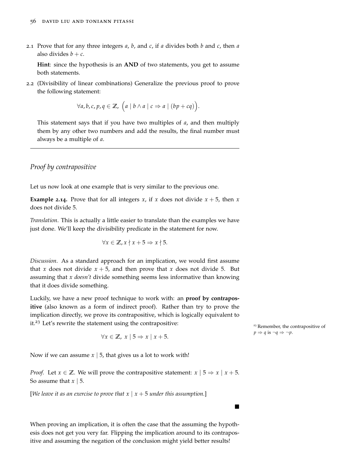2.1 Prove that for any three integers *a*, *b*, and *c*, if *a* divides both *b* and *c*, then *a* also divides  $b + c$ .

**Hint**: since the hypothesis is an **AND** of two statements, you get to assume both statements.

<span id="page-55-0"></span>2.2 (Divisibility of linear combinations) Generalize the previous proof to prove the following statement:

$$
\forall a, b, c, p, q \in \mathbb{Z}, \ (a \mid b \land a \mid c \Rightarrow a \mid (bp + cq)).
$$

This statement says that if you have two multiples of *a*, and then multiply them by any other two numbers and add the results, the final number must always be a multiple of *a*.

## *Proof by contrapositive*

Let us now look at one example that is very similar to the previous one.

**Example** 2.14. Prove that for all integers *x*, if *x* does not divide  $x + 5$ , then *x* does not divide 5.

*Translation*. This is actually a little easier to translate than the examples we have just done. We'll keep the divisibility predicate in the statement for now.

$$
\forall x \in \mathbb{Z}, x \nmid x + 5 \Rightarrow x \nmid 5.
$$

*Discussion*. As a standard approach for an implication, we would first assume that *x* does not divide  $x + 5$ , and then prove that *x* does not divide 5. But assuming that *x doesn't* divide something seems less informative than knowing that it does divide something.

Luckily, we have a new proof technique to work with: an **proof by contrapositive** (also known as a form of indirect proof). Rather than try to prove the implication directly, we prove its contrapositive, which is logically equivalent to it.<sup>23</sup> Let's rewrite the statement using the contrapositive:<br><sup>23</sup> Remember, the contrapositive of

$$
\forall x \in \mathbb{Z}, \ x \mid 5 \Rightarrow x \mid x + 5.
$$

Now if we can assume *x* | 5, that gives us a lot to work with!

*Proof.* Let  $x \in \mathbb{Z}$ . We will prove the contrapositive statement:  $x \mid 5 \Rightarrow x \mid x+5$ . So assume that *x* | 5.

[*We leave it as an exercise to prove that*  $x \mid x + 5$  *under this assumption.*]

When proving an implication, it is often the case that the assuming the hypothesis does not get you very far. Flipping the implication around to its contrapositive and assuming the negation of the conclusion might yield better results!

 $p \Rightarrow q$  is  $\neg q \Rightarrow \neg p$ .

 $\blacksquare$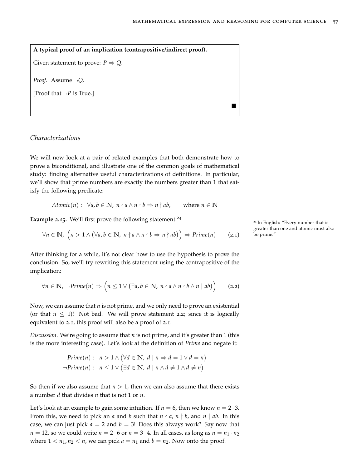**A typical proof of an implication (contrapositive/indirect proof).** Given statement to prove:  $P \Rightarrow Q$ . *Proof.* Assume ¬*Q*. [Proof that  $\neg P$  is True.]  $\blacksquare$ 

# *Characterizations*

We will now look at a pair of related examples that both demonstrate how to prove a biconditional, and illustrate one of the common goals of mathematical study: finding alternative useful characterizations of definitions. In particular, we'll show that prime numbers are exactly the numbers greater than 1 that satisfy the following predicate:

*Atomic*(*n*): 
$$
\forall a, b \in \mathbb{N}, \ n \nmid a \land n \nmid b \Rightarrow n \nmid ab
$$
, where  $n \in \mathbb{N}$ 

**Example 2.15.** We'll first prove the following statement:<sup>24</sup>

$$
\forall n \in \mathbb{N}, \ \left( n > 1 \land \left( \forall a, b \in \mathbb{N}, \ n \nmid a \land n \nmid b \Rightarrow n \nmid ab \right) \right) \Rightarrow Prime(n) \qquad (2.1) \qquad \text{be prime.} \tag{2.3}
$$

After thinking for a while, it's not clear how to use the hypothesis to prove the conclusion. So, we'll try rewriting this statement using the contrapositive of the implication:

<span id="page-56-0"></span>
$$
\forall n \in \mathbb{N}, \ \neg Prime(n) \Rightarrow \left(n \leq 1 \vee (\exists a, b \in \mathbb{N}, \ n \nmid a \wedge n \nmid b \wedge n \mid ab)\right) \qquad (2.2)
$$

Now, we can assume that *n* is not prime, and we only need to prove an existential (or that  $n \leq 1$ )! Not bad. We will prove statement [2](#page-56-0).2; since it is logically equivalent to [2](#page-56-1).1, this proof will also be a proof of [2](#page-56-1).1.

*Discussion*. We're going to assume that *n* is not prime, and it's greater than 1 (this is the more interesting case). Let's look at the definition of *Prime* and negate it:

$$
Prime(n): \quad n > 1 \land (\forall d \in \mathbb{N}, \ d \mid n \Rightarrow d = 1 \lor d = n)
$$
\n
$$
\neg Prime(n): \quad n \leq 1 \lor (\exists d \in \mathbb{N}, \ d \mid n \land d \neq 1 \land d \neq n)
$$

So then if we also assume that  $n > 1$ , then we can also assume that there exists a number *d* that divides *n* that is not 1 or *n*.

Let's look at an example to gain some intuition. If  $n = 6$ , then we know  $n = 2 \cdot 3$ . From this, we need to pick an *a* and *b* such that  $n \nmid a$ ,  $n \nmid b$ , and  $n \mid ab$ . In this case, we can just pick  $a = 2$  and  $b = 3!$  Does this always work? Say now that  $n = 12$ , so we could write  $n = 2 \cdot 6$  or  $n = 3 \cdot 4$ . In all cases, as long as  $n = n_1 \cdot n_2$ where  $1 < n_1, n_2 < n$ , we can pick  $a = n_1$  and  $b = n_2$ . Now onto the proof.

<span id="page-56-1"></span><sup>24</sup> In English: "Every number that is greater than one and atomic must also<br>be prime."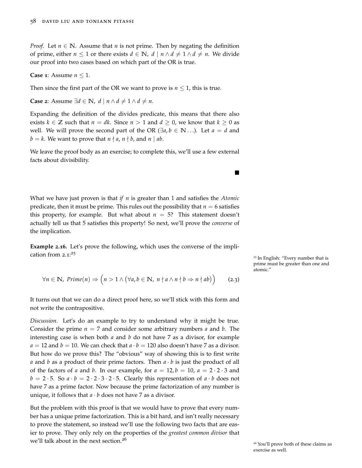*Proof.* Let  $n \in \mathbb{N}$ . Assume that *n* is not prime. Then by negating the definition of prime, either  $n \leq 1$  or there exists  $d \in \mathbb{N}$ ,  $d \mid n \wedge d \neq 1 \wedge d \neq n$ . We divide our proof into two cases based on which part of the OR is true.

**Case 1**: Assume  $n \leq 1$ .

Then since the first part of the OR we want to prove is  $n \leq 1$ , this is true.

**Case 2**: Assume  $\exists d \in \mathbb{N}$ ,  $d | n \land d \neq 1 \land d \neq n$ .

Expanding the definition of the divides predicate, this means that there also exists  $k \in \mathbb{Z}$  such that  $n = dk$ . Since  $n > 1$  and  $d \geq 0$ , we know that  $k \geq 0$  as well. We will prove the second part of the OR ( $\exists a, b \in \mathbb{N} \dots$ ). Let  $a = d$  and  $b = k$ . We want to prove that  $n \nmid a$ ,  $n \nmid b$ , and  $n \mid ab$ .

We leave the proof body as an exercise; to complete this, we'll use a few external facts about divisibility.

What we have just proven is that *if n* is greater than 1 and satisfies the *Atomic* predicate, then it must be prime. This rules out the possibility that  $n = 6$  satisfies this property, for example. But what about  $n = 5$ ? This statement doesn't actually tell us that 5 satisfies this property! So next, we'll prove the *converse* of the implication.

<span id="page-57-0"></span>**Example 2.16.** Let's prove the following, which uses the converse of the implication from [2](#page-56-1).1: 25

$$
\forall n \in \mathbb{N}, \; Prime(n) \Rightarrow \left( n > 1 \land (\forall a, b \in \mathbb{N}, \; n \nmid a \land n \nmid b \Rightarrow n \nmid ab) \right) \tag{2.3}
$$

It turns out that we can do a direct proof here, so we'll stick with this form and not write the contrapositive.

*Discussion*. Let's do an example to try to understand why it might be true. Consider the prime  $n = 7$  and consider some arbitrary numbers *a* and *b*. The interesting case is when both *a* and *b* do not have 7 as a divisor, for example  $a = 12$  and  $b = 10$ . We can check that  $a \cdot b = 120$  also doesn't have 7 as a divisor. But how do we prove this? The "obvious" way of showing this is to first write *a* and *b* as a product of their prime factors. Then  $a \cdot b$  is just the product of all of the factors of *a* and *b*. In our example, for  $a = 12$ ,  $b = 10$ ,  $a = 2 \cdot 2 \cdot 3$  and  $b = 2 \cdot 5$ . So  $a \cdot b = 2 \cdot 2 \cdot 3 \cdot 2 \cdot 5$ . Clearly this representation of  $a \cdot b$  does not have 7 as a prime factor. Now because the prime factorization of any number is unique, it follows that  $a \cdot b$  does not have 7 as a divisor.

But the problem with this proof is that we would have to prove that every number has a unique prime factorization. This is a bit hard, and isn't really necessary to prove the statement, so instead we'll use the following two facts that are easier to prove. They only rely on the properties of the *greatest common divisor* that we'll talk about in the next section.<sup>26</sup>

<sup>25</sup> In English: "Every number that is prime must be greater than one and atomic."

 $\blacksquare$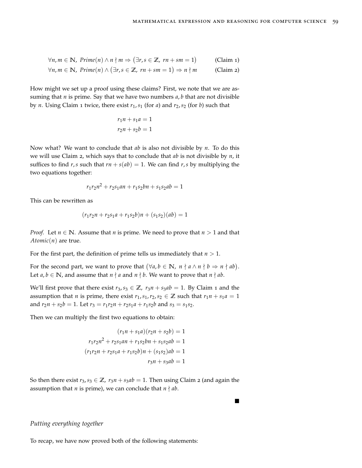$$
\forall n, m \in \mathbb{N}, \text{ Prime}(n) \land n \nmid m \Rightarrow (\exists r, s \in \mathbb{Z}, rn + sm = 1) \qquad \text{(Claim 1)}
$$
\n
$$
\forall n, m \in \mathbb{N}, \text{ Prime}(n) \land (\exists r, s \in \mathbb{Z}, rn + sm = 1) \Rightarrow n \nmid m \qquad \text{(Claim 2)}
$$

How might we set up a proof using these claims? First, we note that we are assuming that *n* is prime. Say that we have two numbers *a*, *b* that are not divisible by *n*. Using Claim 1 twice, there exist  $r_1$ ,  $s_1$  (for *a*) and  $r_2$ ,  $s_2$  (for *b*) such that

$$
r_1 n + s_1 a = 1
$$

$$
r_2 n + s_2 b = 1
$$

Now what? We want to conclude that *ab* is also not divisible by *n*. To do this we will use Claim 2, which says that to conclude that *ab* is not divisible by *n*, it suffices to find *r*,*s* such that  $rn + s(ab) = 1$ . We can find *r*,*s* by multiplying the two equations together:

$$
r_1r_2n^2 + r_2s_1an + r_1s_2bn + s_1s_2ab = 1
$$

This can be rewritten as

$$
(r_1r_2n + r_2s_1a + r_1s_2b)n + (s_1s_2)(ab) = 1
$$

*Proof.* Let  $n \in \mathbb{N}$ . Assume that *n* is prime. We need to prove that  $n > 1$  and that *Atomic*(*n*) are true.

For the first part, the definition of prime tells us immediately that  $n > 1$ .

For the second part, we want to prove that  $(\forall a, b \in \mathbb{N}, n \nmid a \land n \nmid b \Rightarrow n \nmid ab)$ . Let *a*, *b* ∈ **N**, and assume that *n*  $\nmid$  *a* and *n*  $\nmid$  *b*. We want to prove that *n*  $\nmid$  *ab*.

We'll first prove that there exist  $r_3$ ,  $s_3 \in \mathbb{Z}$ ,  $r_3n + s_3ab = 1$ . By Claim 1 and the assumption that *n* is prime, there exist  $r_1$ ,  $s_1$ ,  $r_2$ ,  $s_2 \in \mathbb{Z}$  such that  $r_1n + s_1a = 1$ and  $r_2n + s_2b = 1$ . Let  $r_3 = r_1r_2n + r_2s_1a + r_1s_2b$  and  $s_3 = s_1s_2$ .

Then we can multiply the first two equations to obtain:

$$
(r_1n + s_1a)(r_2n + s_2b) = 1
$$
  

$$
r_1r_2n^2 + r_2s_1an + r_1s_2bn + s_1s_2ab = 1
$$
  

$$
(r_1r_2n + r_2s_1a + r_1s_2b)n + (s_1s_2)ab = 1
$$
  

$$
r_3n + s_3ab = 1
$$

So then there exist  $r_3$ ,  $s_3 \in \mathbb{Z}$ ,  $r_3n + s_3ab = 1$ . Then using Claim 2 (and again the assumption that *n* is prime), we can conclude that  $n \nmid ab$ .

# *Putting everything together*

To recap, we have now proved both of the following statements: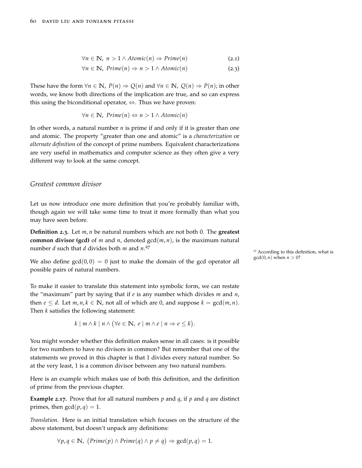$$
\forall n \in \mathbb{N}, n > 1 \land Atomic(n) \Rightarrow Prime(n)
$$
 (2.1)

$$
\forall n \in \mathbb{N}, \, Prime(n) \Rightarrow n > 1 \land Atomic(n) \tag{2.3}
$$

These have the form  $\forall n \in \mathbb{N}$ ,  $P(n) \Rightarrow Q(n)$  and  $\forall n \in \mathbb{N}$ ,  $Q(n) \Rightarrow P(n)$ ; in other words, we know both directions of the implication are true, and so can express this using the biconditional operator,  $\Leftrightarrow$ . Thus we have proven:

$$
\forall n \in \mathbb{N}, \, \text{Prime}(n) \Leftrightarrow n > 1 \land \text{Atomic}(n)
$$

In other words, a natural number *n* is prime if and only if it is greater than one and atomic. The property "greater than one and atomic" is a *characterization* or *alternate definition* of the concept of prime numbers. Equivalent characterizations are very useful in mathematics and computer science as they often give a very different way to look at the same concept.

### *Greatest common divisor*

Let us now introduce one more definition that you're probably familiar with, though again we will take some time to treat it more formally than what you may have seen before.

**Definition 2.3.** Let *m*, *n* be natural numbers which are not both 0. The **greatest common divisor (gcd)** of *m* and *n*, denoted  $gcd(m, n)$ , is the maximum natural number *d* such that *d* divides both *m* and *n*. 27

We also define  $gcd(0, 0) = 0$  just to make the domain of the gcd operator all  $gcd(0, n)$  when  $n > 0$ ? possible pairs of natural numbers.

To make it easier to translate this statement into symbolic form, we can restate the "maximum" part by saying that if *e* is any number which divides *m* and *n*, then  $e \leq d$ . Let  $m, n, k \in \mathbb{N}$ , not all of which are 0, and suppose  $k = \gcd(m, n)$ . Then *k* satisfies the following statement:

$$
k \mid m \wedge k \mid n \wedge (\forall e \in \mathbb{N}, e \mid m \wedge e \mid n \Rightarrow e \leq k).
$$

You might wonder whether this definition makes sense in all cases: is it possible for two numbers to have no divisors in common? But remember that one of the statements we proved in this chapter is that 1 divides every natural number. So at the very least, 1 is a common divisor between any two natural numbers.

Here is an example which makes use of both this definition, and the definition of prime from the previous chapter.

**Example 2.17.** Prove that for all natural numbers  $p$  and  $q$ , if  $p$  and  $q$  are distinct primes, then  $gcd(p,q) = 1$ .

*Translation*. Here is an initial translation which focuses on the structure of the above statement, but doesn't unpack any definitions:

$$
\forall p, q \in \mathbb{N}, (Prime(p) \land Prime(q) \land p \neq q) \Rightarrow gcd(p, q) = 1.
$$

<sup>27</sup> According to this definition, what is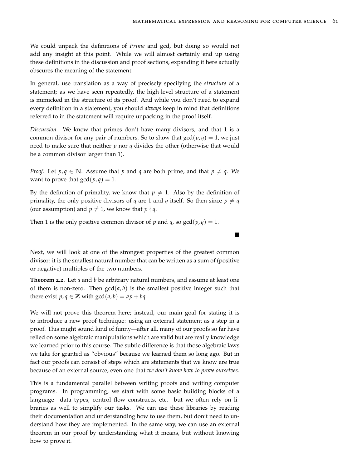We could unpack the definitions of *Prime* and gcd, but doing so would not add any insight at this point. While we will almost certainly end up using these definitions in the discussion and proof sections, expanding it here actually obscures the meaning of the statement.

In general, use translation as a way of precisely specifying the *structure* of a statement; as we have seen repeatedly, the high-level structure of a statement is mimicked in the structure of its proof. And while you don't need to expand every definition in a statement, you should *always* keep in mind that definitions referred to in the statement will require unpacking in the proof itself.

*Discussion*. We know that primes don't have many divisors, and that 1 is a common divisor for any pair of numbers. So to show that  $gcd(p,q) = 1$ , we just need to make sure that neither *p* nor *q* divides the other (otherwise that would be a common divisor larger than 1).

*Proof.* Let  $p, q \in \mathbb{N}$ . Assume that  $p$  and  $q$  are both prime, and that  $p \neq q$ . We want to prove that  $gcd(p, q) = 1$ .

By the definition of primality, we know that  $p \neq 1$ . Also by the definition of primality, the only positive divisors of *q* are 1 and *q* itself. So then since  $p \neq q$ (our assumption) and  $p \neq 1$ , we know that  $p \nmid q$ .

Then 1 is the only positive common divisor of p and q, so  $gcd(p,q) = 1$ .

Next, we will look at one of the strongest properties of the greatest common divisor: it is the smallest natural number that can be written as a sum of (positive or negative) multiples of the two numbers.

<span id="page-60-0"></span>**Theorem 2.2.** Let *a* and *b* be arbitrary natural numbers, and assume at least one of them is non-zero. Then  $gcd(a, b)$  is the smallest positive integer such that there exist  $p, q \in \mathbb{Z}$  with  $gcd(a, b) = ap + bq$ .

We will not prove this theorem here; instead, our main goal for stating it is to introduce a new proof technique: using an external statement as a step in a proof. This might sound kind of funny—after all, many of our proofs so far have relied on some algebraic manipulations which are valid but are really knowledge we learned prior to this course. The subtle difference is that those algebraic laws we take for granted as "obvious" because we learned them so long ago. But in fact our proofs can consist of steps which are statements that we know are true because of an external source, even one that *we don't know how to prove ourselves*.

This is a fundamental parallel between writing proofs and writing computer programs. In programming, we start with some basic building blocks of a language—data types, control flow constructs, etc.—but we often rely on libraries as well to simplify our tasks. We can use these libraries by reading their documentation and understanding how to use them, but don't need to understand how they are implemented. In the same way, we can use an external theorem in our proof by understanding what it means, but without knowing how to prove it.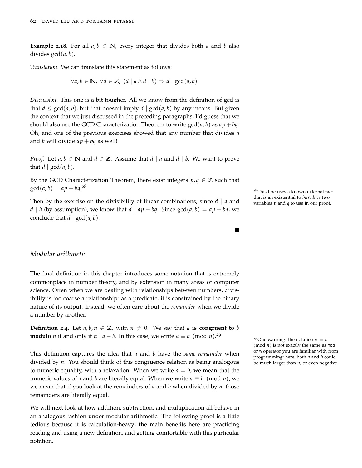**Example 2.18.** For all  $a, b \in \mathbb{N}$ , every integer that divides both *a* and *b* also divides gcd(*a*, *b*).

*Translation*. We can translate this statement as follows:

$$
\forall a, b \in \mathbb{N}, \ \forall d \in \mathbb{Z}, \ (d \mid a \wedge d \mid b) \Rightarrow d \mid \gcd(a, b).
$$

*Discussion*. This one is a bit tougher. All we know from the definition of gcd is that  $d \le \gcd(a, b)$ , but that doesn't imply  $d | \gcd(a, b)$  by any means. But given the context that we just discussed in the preceding paragraphs, I'd guess that we should also use the [GCD Characterization Theorem](#page-60-0) to write  $gcd(a, b)$  as  $ap + bq$ . Oh, and one of the previous exercises showed that any number that divides *a* and *b* will divide  $ap + bq$  as well!

*Proof.* Let  $a, b \in \mathbb{N}$  and  $d \in \mathbb{Z}$ . Assume that  $d \mid a$  and  $d \mid b$ . We want to prove that  $d \mid \gcd(a, b)$ .

By the [GCD Characterization Theorem,](#page-60-0) there exist integers  $p, q \in \mathbb{Z}$  such that  $gcd(a, b) = ap + bq^{28}$ 

Then by the [exercise on the divisibility of linear combinations,](#page-55-0) since  $d \mid a$  and  $\frac{d}{d}$  that is an existential to *introduce* two variables *p* and *q* to use in our proof. *d* | *b* (by assumption), we know that *d* | *ap* + *bq*. Since  $gcd(a, b) = ap + bq$ , we conclude that  $d | gcd(a, b)$ .

# *Modular arithmetic*

The final definition in this chapter introduces some notation that is extremely commonplace in number theory, and by extension in many areas of computer science. Often when we are dealing with relationships between numbers, divisibility is too coarse a relationship: as a predicate, it is constrained by the binary nature of its output. Instead, we often care about the *remainder* when we divide a number by another.

**Definition** 2.4. Let  $a, b, n \in \mathbb{Z}$ , with  $n \neq 0$ . We say that  $a$  **is congruent to**  $b$ **modulo** *n* if and only if *n* | *a* − *b*. In this case, we write *a*  $\equiv$  *b* (mod *n*).<sup>29</sup>

This definition captures the idea that *a* and *b* have the *same remainder* when divided by *n*. You should think of this congruence relation as being analogous to numeric equality, with a relaxation. When we write  $a = b$ , we mean that the numeric values of *a* and *b* are literally equal. When we write  $a \equiv b \pmod{n}$ , we we mean that if you look at the remainders of *a* and *b* when divided by *n*, those remainders are literally equal.

We will next look at how addition, subtraction, and multiplication all behave in an analogous fashion under modular arithmetic. The following proof is a little tedious because it is calculation-heavy; the main benefits here are practicing reading and using a new definition, and getting comfortable with this particular notation.

<sup>28</sup> This line uses a known external fact

Г

<sup>29</sup> One warning: the notation  $a \equiv b$ (mod *n*) is not exactly the same as mod or % operator you are familiar with from programming; here, both *a* and *b* could be much larger than *n*, or even negative.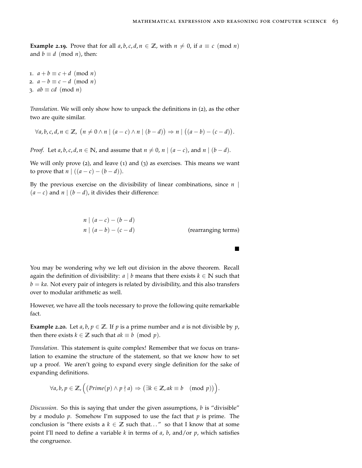**Example 2.19.** Prove that for all  $a, b, c, d, n \in \mathbb{Z}$ , with  $n \neq 0$ , if  $a \equiv c \pmod{n}$ and  $b \equiv d \pmod{n}$ , then:

1.  $a + b \equiv c + d \pmod{n}$ 2.  $a - b \equiv c - d \pmod{n}$ 3.  $ab \equiv cd \pmod{n}$ 

*Translation*. We will only show how to unpack the definitions in (2), as the other two are quite similar.

$$
\forall a, b, c, d, n \in \mathbb{Z}, \ (n \neq 0 \land n \mid (a-c) \land n \mid (b-d)) \Rightarrow n \mid ((a-b)-(c-d)).
$$

*Proof.* Let *a*, *b*, *c*, *d*, *n*  $\in \mathbb{N}$ , and assume that  $n \neq 0$ , *n*  $|(a - c)$ , and *n*  $|(b - d)$ .

We will only prove  $(2)$ , and leave  $(1)$  and  $(3)$  as exercises. This means we want to prove that  $n \mid ((a - c) - (b - d))$ .

By the previous exercise on [the divisibility of linear combinations,](#page-55-0) since *n* |  $(a − c)$  and *n* |  $(b − d)$ , it divides their difference:

*n* | (*a* − *c*) − (*b* − *d*)

$$
n | (a - c) - (b - d)
$$
  
\n
$$
n | (a - b) - (c - d)
$$
 (rearranging terms)

You may be wondering why we left out division in the above theorem. Recall again the definition of divisibility: *a* | *b* means that there exists  $k \in \mathbb{N}$  such that *. Not every pair of integers is related by divisibility, and this also transfers* over to modular arithmetic as well.

However, we have all the tools necessary to prove the following quite remarkable fact.

**Example 2.20.** Let  $a, b, p \in \mathbb{Z}$ . If  $p$  is a prime number and  $a$  is not divisible by  $p$ , then there exists  $k \in \mathbb{Z}$  such that  $ak \equiv b \pmod{p}$ .

*Translation*. This statement is quite complex! Remember that we focus on translation to examine the structure of the statement, so that we know how to set up a proof. We aren't going to expand every single definition for the sake of expanding definitions.

$$
\forall a, b, p \in \mathbb{Z}, ((Prime(p) \wedge p \nmid a) \Rightarrow (\exists k \in \mathbb{Z}, ak \equiv b \pmod{p}) ).
$$

*Discussion*. So this is saying that under the given assumptions, *b* is "divisible" by *a* modulo *p*. Somehow I'm supposed to use the fact that *p* is prime. The conclusion is "there exists a  $k \in \mathbb{Z}$  such that..." so that I know that at some point I'll need to define a variable *k* in terms of *a*, *b*, and/or *p*, which satisfies the congruence.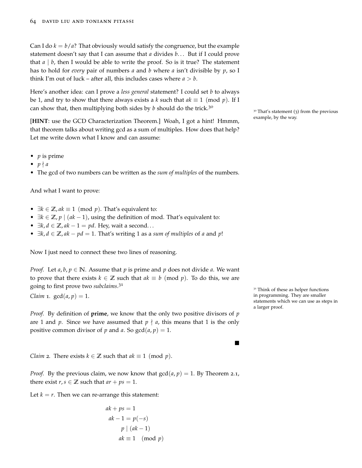Can I do  $k = b/a$ ? That obviously would satisfy the congruence, but the example statement doesn't say that I can assume that *a* divides *b*. . . But if I could prove that  $a \mid b$ , then I would be able to write the proof. So is it true? The statement has to hold for *every* pair of numbers *a* and *b* where *a* isn't divisible by *p*, so I think I'm out of luck – after all, this includes cases where  $a > b$ .

Here's another idea: can I prove a *less general* statement? I could set *b* to always be 1, and try to show that there always exists a *k* such that  $ak \equiv 1 \pmod{p}$ . If I can show that, then multiplying both sides by *<sup>b</sup>* should do the trick.<sup>30</sup>

example, by the way. [**HINT**: use the [GCD Characterization Theorem.](#page-60-0)] Woah, I got a hint! Hmmm, that theorem talks about writing gcd as a sum of multiples. How does that help? Let me write down what I know and can assume:

- *p* is prime
- $p \nmid a$
- The gcd of two numbers can be written as the *sum of multiples* of the numbers.

And what I want to prove:

- $\exists k \in \mathbb{Z}$ ,  $ak \equiv 1 \pmod{p}$ . That's equivalent to:
- $\exists k \in \mathbb{Z}, p \mid (ak-1)$ , using the definition of mod. That's equivalent to:
- $\exists k, d \in \mathbb{Z}$ ,  $ak 1 = pd$ . Hey, wait a second...
- ∃*k*, *d* ∈ **Z**, *ak* − *pd* = 1. That's writing 1 as a *sum of multiples* of *a* and *p*!

Now I just need to connect these two lines of reasoning.

*Proof.* Let *a*, *b*,  $p \in \mathbb{N}$ . Assume that *p* is prime and *p* does not divide *a*. We want to prove that there exists  $k \in \mathbb{Z}$  such that  $ak \equiv b \pmod{p}$ . To do this, we are going to first prove two *subclaims*. 31

*Claim* 1*.*  $gcd(a, p) = 1$ .

*Proof.* By definition of **prime**, we know that the only two positive divisors of *p* are 1 and *p*. Since we have assumed that  $p \nmid a$ , this means that 1 is the only positive common divisor of *p* and *a*. So  $gcd(a, p) = 1$ .

*Claim* 2*.* There exists  $k \in \mathbb{Z}$  such that  $ak \equiv 1 \pmod{p}$ .

*Proof.* By the previous claim, we now know that  $gcd(a, p) = 1$ . By Theorem 2.1, there exist *r*, *s*  $\in \mathbb{Z}$  such that  $ar + ps = 1$ .

Let  $k = r$ . Then we can re-arrange this statement:

$$
ak + ps = 1
$$
  

$$
ak - 1 = p(-s)
$$
  

$$
p | (ak - 1)
$$
  

$$
ak \equiv 1 \pmod{p}
$$

 $30$  That's statement (3) from the previous

<sup>31</sup> Think of these as helper functions in programming. They are smaller statements which we can use as steps in a larger proof.

п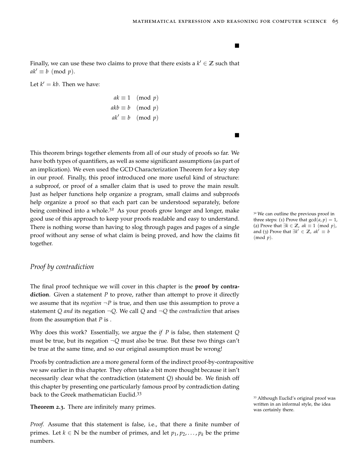$\blacksquare$ 

Finally, we can use these two claims to prove that there exists a  $k' \in \mathbb{Z}$  such that  $ak' \equiv b \pmod{p}$ .

Let  $k' = kb$ . Then we have:

$$
ak \equiv 1 \pmod{p}
$$
  
akb \equiv b \pmod{p}  
ak' \equiv b \pmod{p}

This theorem brings together elements from all of our study of proofs so far. We have both types of quantifiers, as well as some significant assumptions (as part of an implication). We even used the [GCD Characterization Theorem](#page-60-0) for a key step in our proof. Finally, this proof introduced one more useful kind of structure: a subproof, or proof of a smaller claim that is used to prove the main result. Just as helper functions help organize a program, small claims and subproofs help organize a proof so that each part can be understood separately, before being combined into a whole.<sup>32</sup> As your proofs grow longer and longer, make  $\frac{32}{32}$  We can outline the previous proof in good use of this approach to keep your proofs readable and easy to understand. There is nothing worse than having to slog through pages and pages of a single proof without any sense of what claim is being proved, and how the claims fit together.

## *Proof by contradiction*

The final proof technique we will cover in this chapter is the **proof by contradiction**. Given a statement *P* to prove, rather than attempt to prove it directly we assume that its *negation*  $\neg P$  is true, and then use this assumption to prove a statement *Q and* its negation  $\neg Q$ . We call *Q* and  $\neg Q$  the *contradiction* that arises from the assumption that *P* is .

Why does this work? Essentially, we argue the *if P* is false, then statement *Q* must be true, but its negation ¬*Q* must also be true. But these two things can't be true at the same time, and so our original assumption must be wrong!

Proofs by contradiction are a more general form of the indirect proof-by-contrapositive we saw earlier in this chapter. They often take a bit more thought because it isn't necessarily clear what the contradiction (statement *Q*) should be. We finish off this chapter by presenting one particularly famous proof by contradiction dating back to the Greek mathematician Euclid.<sup>33</sup>

**Theorem 2.3.** There are infinitely many primes. was certainly there.

*Proof.* Assume that this statement is false, i.e., that there a finite number of primes. Let  $k \in \mathbb{N}$  be the number of primes, and let  $p_1, p_2, \ldots, p_k$  be the prime numbers.

three steps: (1) Prove that  $gcd(a, p) = 1$ , (2) Prove that ∃*k* ∈ **Z**, *ak* ≡ 1 (mod *p*), and (3) Prove that  $\exists k' \in \mathbb{Z}$ ,  $ak' \equiv b$ (mod *p*).

<sup>33</sup> Although Euclid's original proof was written in an informal style, the idea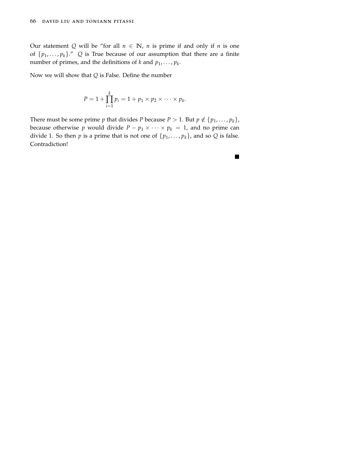Our statement *Q* will be "for all  $n \in \mathbb{N}$ , *n* is prime if and only if *n* is one of  $\{p_1, \ldots, p_k\}$ ." *Q* is True because of our assumption that there are a finite number of primes, and the definitions of  $k$  and  $p_1, \ldots, p_k$ .

Now we will show that *Q* is False. Define the number

$$
P=1+\prod_{i=1}^k p_i=1+p_1\times p_2\times\cdots\times p_k.
$$

There must be some prime *p* that divides *P* because *P* > 1. But  $p \notin \{p_1, \ldots, p_k\}$ , because otherwise *p* would divide  $P - p_1 \times \cdots \times p_k = 1$ , and no prime can divide 1. So then *p* is a prime that is not one of  $\{p_1, \ldots, p_k\}$ , and so *Q* is false. Contradiction!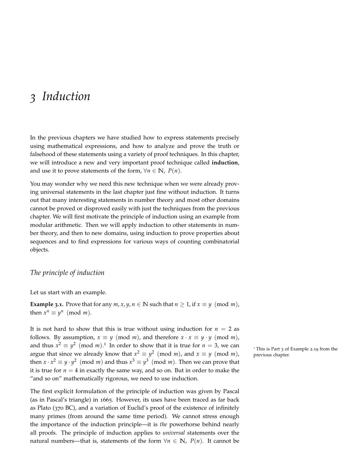# *3 Induction*

In the previous chapters we have studied how to express statements precisely using mathematical expressions, and how to analyze and prove the truth or falsehood of these statements using a variety of proof techniques. In this chapter, we will introduce a new and very important proof technique called **induction**, and use it to prove statements of the form,  $\forall n \in \mathbb{N}$ ,  $P(n)$ .

You may wonder why we need this new technique when we were already proving universal statements in the last chapter just fine without induction. It turns out that many interesting statements in number theory and most other domains cannot be proved or disproved easily with just the techniques from the previous chapter. We will first motivate the principle of induction using an example from modular arithmetic. Then we will apply induction to other statements in number theory, and then to new domains, using induction to prove properties about sequences and to find expressions for various ways of counting combinatorial objects.

# *The principle of induction*

Let us start with an example.

**Example 3.1.** Prove that for any  $m$ ,  $x$ ,  $y$ ,  $n \in \mathbb{N}$  such that  $n \ge 1$ , if  $x \equiv y \pmod{m}$ , then  $x^n \equiv y^n \pmod{m}$ .

It is not hard to show that this is true without using induction for  $n = 2$  as follows. By assumption,  $x \equiv y \pmod{m}$ , and therefore  $x \cdot x \equiv y \cdot y \pmod{m}$ , and thus  $x^2 \equiv y^2 \pmod{m}$ .<sup>1</sup> In order to show that it is true for  $n = 3$ , we can <sup>1</sup> This is Part 3 of Example 2.19 from the argue that since we already know that  $x^2 \equiv y^2 \pmod{m}$ , and  $x \equiv y \pmod{m}$ , previous chapter. then  $x \cdot x^2 \equiv y \cdot y^2 \pmod{m}$  and thus  $x^3 \equiv y^3 \pmod{m}$ . Then we can prove that it is true for  $n = 4$  in exactly the same way, and so on. But in order to make the "and so on" mathematically rigorous, we need to use induction.

The first explicit formulation of the principle of induction was given by Pascal (as in Pascal's triangle) in 1665. However, its uses have been traced as far back as Plato (370 BC), and a variation of Euclid's proof of the existence of infinitely many primes (from around the same time period). We cannot stress enough the importance of the induction principle—it is *the* powerhorse behind nearly all proofs. The principle of induction applies to *universal* statements over the natural numbers—that is, statements of the form  $\forall n \in \mathbb{N}$ ,  $P(n)$ . It cannot be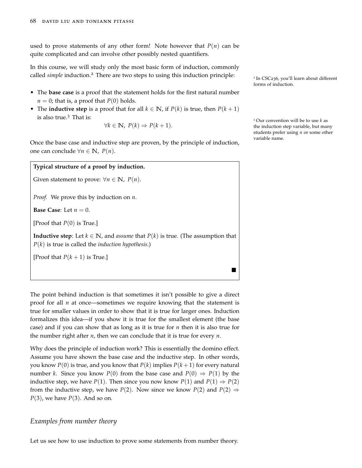used to prove statements of any other form! Note however that  $P(n)$  can be quite complicated and can involve other possibly nested quantifiers.

In this course, we will study only the most basic form of induction, commonly called *simple* induction.<sup>2</sup> There are two steps to using this induction principle:

- The **base case** is a proof that the statement holds for the first natural number  $n = 0$ ; that is, a proof that  $P(0)$  holds.
- The **inductive step** is a proof that for all  $k \in \mathbb{N}$ , if  $P(k)$  is true, then  $P(k+1)$ is also true.<sup>3</sup> That is:  $3 \text{ Our convention will be to use } k \text{ as } 3 \text{.}$

$$
\forall k \in \mathbb{N}, \ P(k) \Rightarrow P(k+1).
$$

Once the base case and inductive step are proven, by the principle of induction, one can conclude ∀*n* ∈ **N**, *P*(*n*).

#### **Typical structure of a proof by induction.**

Given statement to prove:  $\forall n \in \mathbb{N}$ ,  $P(n)$ .

*Proof.* We prove this by induction on *n*.

**Base Case:** Let  $n = 0$ .

[Proof that *P*(0) is True.]

**Inductive step**: Let  $k \in \mathbb{N}$ , and *assume* that  $P(k)$  is true. (The assumption that *P*(*k*) is true is called the *induction hypothesis*.)

[Proof that  $P(k+1)$  is True.]

The point behind induction is that sometimes it isn't possible to give a direct proof for all *n* at once—sometimes we require knowing that the statement is true for smaller values in order to show that it is true for larger ones. Induction formalizes this idea—if you show it is true for the smallest element (the base case) and if you can show that as long as it is true for *n* then it is also true for the number right after *n*, then we can conclude that it is true for every *n*.

Why does the principle of induction work? This is essentially the domino effect. Assume you have shown the base case and the inductive step. In other words, you know  $P(0)$  is true, and you know that  $P(k)$  implies  $P(k+1)$  for every natural number *k*. Since you know *P*(0) from the base case and *P*(0)  $\Rightarrow$  *P*(1) by the inductive step, we have  $P(1)$ . Then since you now know  $P(1)$  and  $P(1) \Rightarrow P(2)$ from the inductive step, we have *P*(2). Now since we know *P*(2) and *P*(2)  $\Rightarrow$ *P*(3), we have *P*(3). And so on.

# *Examples from number theory*

Let us see how to use induction to prove some statements from number theory.

<sup>2</sup> In CSC236, you'll learn about different forms of induction.

the induction step variable, but many students prefer using *n* or some other variable name.

 $\blacksquare$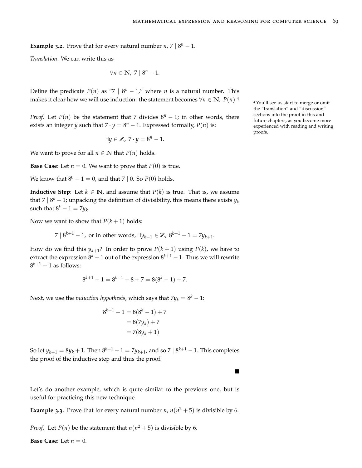**Example** 3.2. Prove that for every natural number  $n, 7 | 8^n - 1$ .

*Translation*. We can write this as

$$
\forall n \in \mathbb{N}, \ 7 \mid 8^n - 1.
$$

Define the predicate  $P(n)$  as "7 |  $8^n - 1$ ," where *n* is a natural number. This makes it clear how we will use induction: the statement becomes  $∀n ∈ ℕ$ ,  $P(n)$ .<sup>4</sup>

*Proof.* Let *P*(*n*) be the statement that 7 divides  $8^n - 1$ ; in other words, there exists an integer *y* such that  $7 \cdot y = 8^n - 1$ . Expressed formally,  $P(n)$  is:

$$
\exists y \in \mathbb{Z}, \ 7 \cdot y = 8^n - 1.
$$

We want to prove for all  $n \in \mathbb{N}$  that  $P(n)$  holds.

**Base Case:** Let  $n = 0$ . We want to prove that  $P(0)$  is true.

We know that  $8^0 - 1 = 0$ , and that 7 | 0. So  $P(0)$  holds.

**Inductive Step**: Let  $k \in \mathbb{N}$ , and assume that  $P(k)$  is true. That is, we assume that 7 | 8 *<sup>k</sup>* − 1; unpacking the definition of divisibility, this means there exists *y<sup>k</sup>* such that  $8^k - 1 = 7y_k$ .

Now we want to show that  $P(k + 1)$  holds:

 $7 | 8^{k+1} - 1$ , or in other words, ∃ $y_{k+1} \in \mathbb{Z}$ ,  $8^{k+1} - 1 = 7y_{k+1}$ .

How do we find this  $y_{k+1}$ ? In order to prove  $P(k+1)$  using  $P(k)$ , we have to extract the expression  $8^k - 1$  out of the expression  $8^{k+1} - 1$ . Thus we will rewrite  $8^{k+1} - 1$  as follows:

$$
8^{k+1} - 1 = 8^{k+1} - 8 + 7 = 8(8^k - 1) + 7.
$$

Next, we use the *induction hypothesis,* which says that  $7y_k = 8^k - 1$ :

$$
8^{k+1} - 1 = 8(8^k - 1) + 7
$$
  
= 8(7y<sub>k</sub>) + 7  
= 7(8y<sub>k</sub> + 1)

So let  $y_{k+1} = 8y_k + 1$ . Then  $8^{k+1} - 1 = 7y_{k+1}$ , and so 7  $|8^{k+1} - 1$ . This completes the proof of the inductive step and thus the proof.

Let's do another example, which is quite similar to the previous one, but is useful for practicing this new technique.

**Example 3.3.** Prove that for every natural number *n*,  $n(n^2 + 5)$  is divisible by 6.

*Proof.* Let *P*(*n*) be the statement that  $n(n^2 + 5)$  is divisible by 6.

**Base Case:** Let  $n = 0$ .

<sup>4</sup> You'll see us start to merge or omit the "translation" and "discussion" sections into the proof in this and future chapters, as you become more experienced with reading and writing proofs.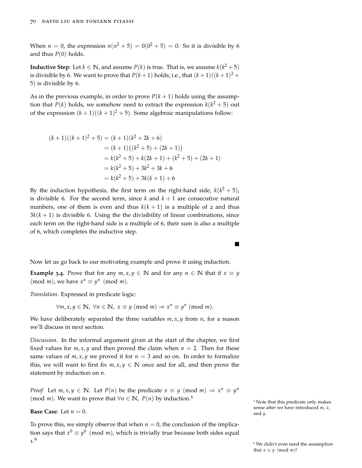When  $n = 0$ , the expression  $n(n^2 + 5) = 0(0^2 + 5) = 0$ . So it is divisible by 6 and thus  $P(0)$  holds.

**Inductive Step**: Let *k* ∈  $\mathbb N$ , and assume *P*(*k*) is true. That is, we assume *k*(*k*<sup>2</sup> + 5) is divisible by 6. We want to prove that  $P(k+1)$  holds; i.e., that  $(k+1)((k+1)^2 +$ 5) is divisible by 6.

As in the previous example, in order to prove  $P(k + 1)$  holds using the assumption that  $P(k)$  holds, we somehow need to extract the expression  $k(k^2+5)$  out of the expression  $(k + 1)((k + 1)^2 + 5)$ . Some algebraic manipulations follow:

$$
(k+1)((k+1)2+5) = (k+1)(k2+2k+6)
$$
  
= (k+1)((k<sup>2</sup>+5) + (2k+1))  
= k(k<sup>2</sup>+5) + k(2k+1) + (k<sup>2</sup>+5) + (2k+1)  
= k(k<sup>2</sup>+5) + 3k<sup>2</sup> + 3k + 6  
= k(k<sup>2</sup>+5) + 3k(k+1) + 6

By the induction hypothesis, the first term on the right-hand side,  $k(k^2 + 5)$ , is divisible 6. For the second term, since  $k$  and  $k + 1$  are consecutive natural numbers, one of them is even and thus  $k(k + 1)$  is a multiple of 2 and thus  $3k(k+1)$  is divisible 6. Using the [the divisibility of linear combinations,](#page-55-0) since each term on the right-hand side is a multiple of 6, their sum is also a multiple of 6, which completes the inductive step.

Now let us go back to our motivating example and prove it using induction.

**Example 3.4.** Prove that for any  $m, x, y \in \mathbb{N}$  and for any  $n \in \mathbb{N}$  that if  $x \equiv y$ (mod *m*), we have  $x^n \equiv y^n \pmod{m}$ .

*Translation*. Expressed in predicate logic:

 $\forall m, x, y \in \mathbb{N}, \forall n \in \mathbb{N}, x \equiv y \pmod{m} \Rightarrow x^n \equiv y^n \pmod{m}.$ 

We have deliberately separated the three variables  $m$ ,  $x$ ,  $y$  from  $n$ , for a reason we'll discuss in next section.

*Discussion*. In the informal argument given at the start of the chapter, we first fixed values for  $m, x, y$  and then proved the claim when  $n = 2$ . Then for these same values of  $m$ ,  $x$ ,  $y$  we proved it for  $n = 3$  and so on. In order to formalize this, we will want to first fix  $m, x, y \in \mathbb{N}$  once and for all, and then prove the statement by induction on *n*.

*Proof.* Let  $m, x, y \in \mathbb{N}$ . Let  $P(n)$  be the predicate  $x \equiv y \pmod{m} \Rightarrow x^n \equiv y^n$ (mod *m*). We want to prove that  $\forall n \in \mathbb{N}$ ,  $P(n)$  by induction.<sup>5</sup>

**Base Case**: Let  $n = 0$ . and *y*.

To prove this, we simply observe that when  $n = 0$ , the conclusion of the implication says that  $x^0 \equiv y^0 \pmod{m}$ , which is trivially true because both sides equal 1. 6

<sup>5</sup> Note that this predicate only makes sense after we have introduced *m*, *x*,

 $\blacksquare$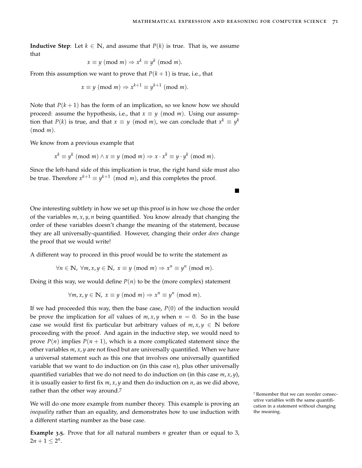■

**Inductive Step**: Let  $k \in \mathbb{N}$ , and assume that  $P(k)$  is true. That is, we assume that

$$
x \equiv y \pmod{m} \Rightarrow x^k \equiv y^k \pmod{m}.
$$

From this assumption we want to prove that  $P(k + 1)$  is true, i.e., that

$$
x \equiv y \pmod{m} \Rightarrow x^{k+1} \equiv y^{k+1} \pmod{m}.
$$

Note that  $P(k+1)$  has the form of an implication, so we know how we should proceed: assume the hypothesis, i.e., that  $x \equiv y \pmod{m}$ . Using our assumption that  $P(k)$  is true, and that  $x \equiv y \pmod{m}$ , we can conclude that  $x^k \equiv y^k$ (mod *m*).

We know from [a previous example](#page-0-0) that

$$
x^k \equiv y^k \pmod{m} \land x \equiv y \pmod{m} \Rightarrow x \cdot x^k \equiv y \cdot y^k \pmod{m}.
$$

Since the left-hand side of this implication is true, the right hand side must also be true. Therefore  $x^{k+1} \equiv y^{k+1} \pmod{m}$ , and this completes the proof.

One interesting subtlety in how we set up this proof is in how we chose the order of the variables *m*, *x*, *y*, *n* being quantified. You know already that changing the order of these variables doesn't change the meaning of the statement, because they are all universally-quantified. However, changing their order *does* change the proof that we would write!

A different way to proceed in this proof would be to write the statement as

$$
\forall n \in \mathbb{N}, \ \forall m, x, y \in \mathbb{N}, \ x \equiv y \ (\text{mod } m) \Rightarrow x^n \equiv y^n \ (\text{mod } m).
$$

Doing it this way, we would define  $P(n)$  to be the (more complex) statement

$$
\forall m, x, y \in \mathbb{N}, x \equiv y \pmod{m} \Rightarrow x^n \equiv y^n \pmod{m}.
$$

If we had proceeded this way, then the base case,  $P(0)$  of the induction would be prove the implication for *all* values of  $m$ ,  $x$ ,  $y$  when  $n = 0$ . So in the base case we would first fix particular but arbitrary values of  $m, x, y \in \mathbb{N}$  before proceeding with the proof. And again in the inductive step, we would need to prove  $P(n)$  implies  $P(n+1)$ , which is a more complicated statement since the other variables *m*, *x*, *y* are not fixed but are universally quantified. When we have a universal statement such as this one that involves one universally quantified variable that we want to do induction on (in this case *n*), plus other universally quantified variables that we do not need to do induction on (in this case  $m$ ,  $x$ ,  $y$ ), it is usually easier to first fix *m*, *x*, *y* and then do induction on *n*, as we did above, rather than the other way around.<sup>7</sup>

We will do one more example from number theory. This example is proving an *inequality* rather than an equality, and demonstrates how to use induction with a different starting number as the base case.

**Example 3.5.** Prove that for all natural numbers *n* greater than or equal to 3,  $2n + 1 \leq 2^n$ .

<sup>7</sup> Remember that we can reorder consecutive variables with the same quantification in a statement without changing the meaning.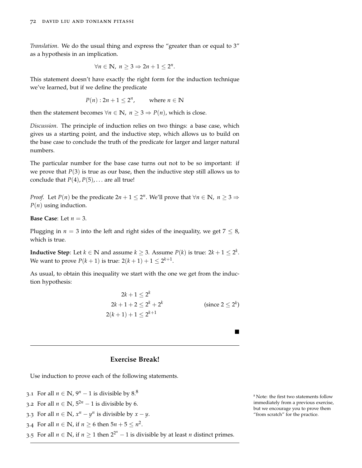*Translation*. We do the usual thing and express the "greater than or equal to 3" as a hypothesis in an implication.

$$
\forall n \in \mathbb{N}, \; n \geq 3 \Rightarrow 2n+1 \leq 2^n.
$$

This statement doesn't have exactly the right form for the induction technique we've learned, but if we define the predicate

$$
P(n): 2n + 1 \le 2^n, \qquad \text{where } n \in \mathbb{N}
$$

then the statement becomes  $\forall n \in \mathbb{N}$ ,  $n \geq 3 \Rightarrow P(n)$ , which is close.

*Discussion*. The principle of induction relies on two things: a base case, which gives us a starting point, and the inductive step, which allows us to build on the base case to conclude the truth of the predicate for larger and larger natural numbers.

The particular number for the base case turns out not to be so important: if we prove that  $P(3)$  is true as our base, then the inductive step still allows us to conclude that  $P(4)$ ,  $P(5)$ , ... are all true!

*Proof.* Let *P*(*n*) be the predicate  $2n + 1 \le 2^n$ . We'll prove that  $\forall n \in \mathbb{N}$ ,  $n \ge 3 \Rightarrow$ *P*(*n*) using induction.

**Base Case**: Let *n* = 3.

Plugging in  $n = 3$  into the left and right sides of the inequality, we get  $7 \leq 8$ , which is true.

**Inductive Step**: Let  $k \in \mathbb{N}$  and assume  $k \geq 3$ . Assume  $P(k)$  is true: 2 $k + 1 \leq 2^k$ . We want to prove  $P(k + 1)$  is true:  $2(k + 1) + 1 \le 2^{k+1}$ .

As usual, to obtain this inequality we start with the one we get from the induction hypothesis:

$$
2k + 1 \le 2^{k}
$$
  
2k + 1 + 2 \le 2<sup>k</sup> + 2<sup>k</sup>  
2(k+1) + 1 \le 2<sup>k+1</sup> (since 2 \le 2<sup>k</sup>)

 $\blacksquare$ 

# **Exercise Break!**

Use induction to prove each of the following statements.

- 3.1 For all  $n \in \mathbb{N}$ ,  $9^n 1$  is divisible by  $8^8$ .
- 3.2 For all *n* ∈ **N**,  $5^{2n}$  − 1 is divisible by 6.
- 3.3 For all  $n \in \mathbb{N}$ ,  $x^n y^n$  is divisible by  $x y$ .

3.4 For all  $n \in \mathbb{N}$ , if  $n \ge 6$  then  $5n + 5 \le n^2$ .

3.5 For all  $n \in \mathbb{N}$ , if  $n \ge 1$  then  $2^{2^n} - 1$  is divisible by at least *n* distinct primes.

 $^8$  Note: the first two statements follow immediately from a previous exercise, but we encourage you to prove them "from scratch" for the practice.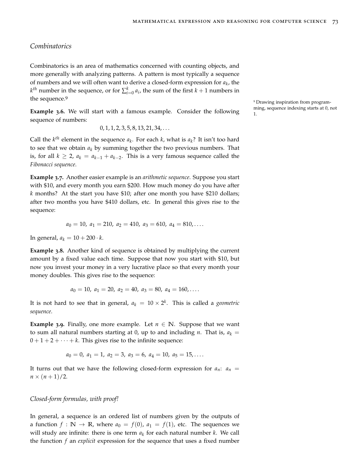# *Combinatorics*

Combinatorics is an area of mathematics concerned with counting objects, and more generally with analyzing patterns. A pattern is most typically a sequence of numbers and we will often want to derive a closed-form expression for *a<sup>k</sup>* , the  $k^{th}$  number in the sequence, or for  $\sum_{i=0}^{k} a_i$ , the sum of the first  $k+1$  numbers in the sequence.<sup>9</sup>

1. **Example 3.6.** We will start with a famous example. Consider the following sequence of numbers:

$$
0, 1, 1, 2, 3, 5, 8, 13, 21, 34, \ldots
$$

Call the  $k^{th}$  element in the sequence  $a_k$ . For each  $k$ , what is  $a_k$ ? It isn't too hard to see that we obtain *a<sup>k</sup>* by summing together the two previous numbers. That is, for all  $k \geq 2$ ,  $a_k = a_{k-1} + a_{k-2}$ . This is a very famous sequence called the *Fibonacci sequence*.

**Example 3.7.** Another easier example is an *arithmetic sequence*. Suppose you start with \$10, and every month you earn \$200. How much money do you have after *k* months? At the start you have \$10; after one month you have \$210 dollars; after two months you have \$410 dollars, etc. In general this gives rise to the sequence:

$$
a_0 = 10, a_1 = 210, a_2 = 410, a_3 = 610, a_4 = 810, \ldots
$$

In general,  $a_k = 10 + 200 \cdot k$ .

**Example 3.8.** Another kind of sequence is obtained by multiplying the current amount by a fixed value each time. Suppose that now you start with \$10, but now you invest your money in a very lucrative place so that every month your money doubles. This gives rise to the sequence:

$$
a_0 = 10
$$
,  $a_1 = 20$ ,  $a_2 = 40$ ,  $a_3 = 80$ ,  $a_4 = 160$ ,...

It is not hard to see that in general,  $a_k = 10 \times 2^k$ . This is called a *geometric sequence*.

**Example 3.9.** Finally, one more example. Let  $n \in \mathbb{N}$ . Suppose that we want to sum all natural numbers starting at 0, up to and including *n*. That is,  $a_k =$  $0 + 1 + 2 + \cdots + k$ . This gives rise to the infinite sequence:

$$
a_0 = 0
$$
,  $a_1 = 1$ ,  $a_2 = 3$ ,  $a_3 = 6$ ,  $a_4 = 10$ ,  $a_5 = 15$ ,...

It turns out that we have the following closed-form expression for  $a_n$ :  $a_n$  $n \times (n+1)/2$ .

#### *Closed-form formulas, with proof!*

In general, a sequence is an ordered list of numbers given by the outputs of a function  $f : \mathbb{N} \to \mathbb{R}$ , where  $a_0 = f(0)$ ,  $a_1 = f(1)$ , etc. The sequences we will study are infinite: there is one term *a<sup>k</sup>* for each natural number *k*. We call the function *f* an *explicit* expression for the sequence that uses a fixed number

<sup>9</sup> Drawing inspiration from programming, sequence indexing starts at 0, not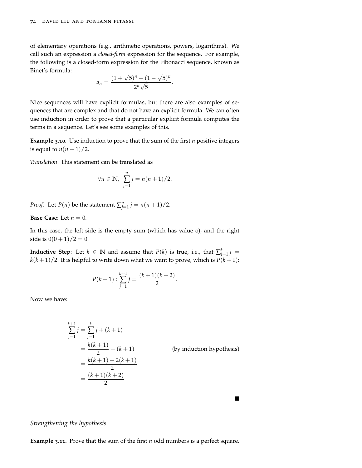of elementary operations (e.g., arithmetic operations, powers, logarithms). We call such an expression a *closed-form* expression for the sequence. For example, the following is a closed-form expression for the Fibonacci sequence, known as Binet's formula: √ √

$$
a_n = \frac{(1+\sqrt{5})^n - (1-\sqrt{5})^n}{2^n\sqrt{5}}.
$$

Nice sequences will have explicit formulas, but there are also examples of sequences that are complex and that do not have an explicit formula. We can often use induction in order to prove that a particular explicit formula computes the terms in a sequence. Let's see some examples of this.

**Example 3.10.** Use induction to prove that the sum of the first *n* positive integers is equal to  $n(n+1)/2$ .

*Translation*. This statement can be translated as

$$
\forall n \in \mathbb{N}, \ \sum_{j=1}^n j = n(n+1)/2.
$$

*Proof.* Let *P*(*n*) be the statement  $\sum_{j=1}^{n} j = n(n+1)/2$ .

**Base Case:** Let  $n = 0$ .

In this case, the left side is the empty sum (which has value 0), and the right side is  $0(0+1)/2 = 0$ .

**Inductive Step**: Let  $k \in \mathbb{N}$  and assume that  $P(k)$  is true, i.e., that  $\sum_{j=1}^{k} j =$  $k(k+1)/2$ . It is helpful to write down what we want to prove, which is  $P(k+1)$ :

$$
P(k+1): \sum_{j=1}^{k+1} j = \frac{(k+1)(k+2)}{2}.
$$

Now we have:

$$
\sum_{j=1}^{k+1} j = \sum_{j=1}^{k} j + (k+1)
$$
  
=  $\frac{k(k+1)}{2} + (k+1)$  (by induction hypothesis)  
=  $\frac{k(k+1) + 2(k+1)}{2}$   
=  $\frac{(k+1)(k+2)}{2}$ 

П

*Strengthening the hypothesis*

**Example 3.11.** Prove that the sum of the first *n* odd numbers is a perfect square.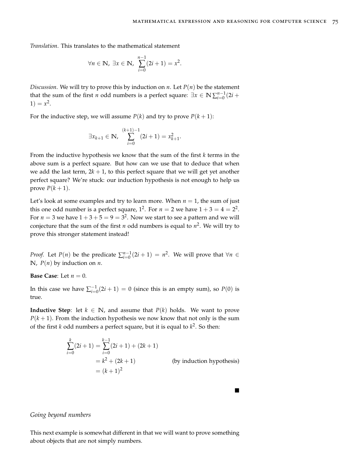$\blacksquare$ 

*Translation*. This translates to the mathematical statement

$$
\forall n \in \mathbb{N}, \ \exists x \in \mathbb{N}, \ \sum_{i=0}^{n-1} (2i+1) = x^2.
$$

*Discussion*. We will try to prove this by induction on *n*. Let  $P(n)$  be the statement that the sum of the first *n* odd numbers is a perfect square:  $\exists x \in \mathbb{N} \sum_{i=0}^{n-1} (2i +$  $1) = x^2$ .

For the inductive step, we will assume  $P(k)$  and try to prove  $P(k+1)$ :

$$
\exists x_{k+1} \in \mathbb{N}, \sum_{i=0}^{(k+1)-1} (2i+1) = x_{k+1}^2
$$

.

From the inductive hypothesis we know that the sum of the first *k* terms in the above sum is a perfect square. But how can we use that to deduce that when we add the last term,  $2k + 1$ , to this perfect square that we will get yet another perfect square? We're stuck: our induction hypothesis is not enough to help us prove  $P(k+1)$ .

Let's look at some examples and try to learn more. When  $n = 1$ , the sum of just this one odd number is a perfect square,  $1^2$ . For  $n = 2$  we have  $1 + 3 = 4 = 2^2$ . For  $n = 3$  we have  $1 + 3 + 5 = 9 = 3^2$ . Now we start to see a pattern and we will conjecture that the sum of the first *n* odd numbers is equal to *n* 2 . We will try to prove this stronger statement instead!

*Proof.* Let *P*(*n*) be the predicate  $\sum_{i=0}^{n-1} (2i + 1) = n^2$ . We will prove that  $\forall n \in \mathbb{R}$  $\mathbb{N}$ ,  $P(n)$  by induction on *n*.

**Base Case:** Let  $n = 0$ .

In this case we have  $\sum_{i=0}^{-1}(2i + 1) = 0$  (since this is an empty sum), so  $P(0)$  is true.

**Inductive Step**: let  $k \in \mathbb{N}$ , and assume that  $P(k)$  holds. We want to prove  $P(k + 1)$ . From the induction hypothesis we now know that not only is the sum of the first *k* odd numbers a perfect square, but it is equal to *k* 2 . So then:

$$
\sum_{i=0}^{k} (2i + 1) = \sum_{i=0}^{k-1} (2i + 1) + (2k + 1)
$$
  
=  $k^2 + (2k + 1)$  (by induction hypothesis)  
=  $(k + 1)^2$ 

#### *Going beyond numbers*

This next example is somewhat different in that we will want to prove something about objects that are not simply numbers.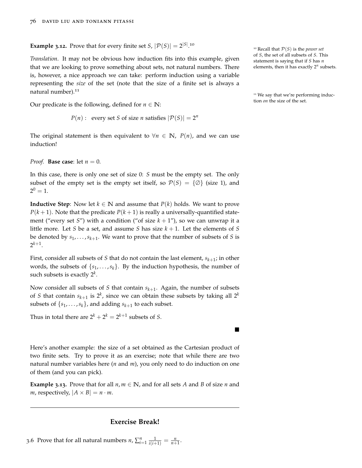**Example 3.12.** Prove that for every finite set  $S$ ,  $|\mathcal{P}(S)| = 2^{|S|}$ .<sup>10</sup>

*Translation*. It may not be obvious how induction fits into this example, given that we are looking to prove something about sets, not natural numbers. There is, however, a nice approach we can take: perform induction using a variable representing the *size* of the set (note that the size of a finite set is always a natural number).<sup>11</sup>

Our predicate is the following, defined for  $n \in \mathbb{N}$ : tion *on* the size of the set.

$$
P(n):
$$
 every set *S* of size *n* satisfies  $|\mathcal{P}(S)| = 2^n$ 

The original statement is then equivalent to  $∀n ∈ ℕ$ ,  $P(n)$ , and we can use induction!

*Proof.* **Base case**: let  $n = 0$ .

In this case, there is only one set of size 0: *S* must be the empty set. The only subset of the empty set is the empty set itself, so  $\mathcal{P}(S) = \{ \emptyset \}$  (size 1), and  $2^0 = 1.$ 

**Inductive Step**: Now let  $k \in \mathbb{N}$  and assume that  $P(k)$  holds. We want to prove  $P(k+1)$ . Note that the predicate  $P(k+1)$  is really a universally-quantified statement ("every set *S*") with a condition ("of size  $k + 1$ "), so we can unwrap it a little more. Let *S* be a set, and assume *S* has size  $k + 1$ . Let the elements of *S* be denoted by *s*1, . . . ,*sk*+<sup>1</sup> . We want to prove that the number of subsets of *S* is  $2^{k+1}$ .

First, consider all subsets of *S* that do not contain the last element, *sk*+<sup>1</sup> ; in other words, the subsets of  $\{s_1, \ldots, s_k\}$ . By the induction hypothesis, the number of such subsets is exactly 2*<sup>k</sup>* .

Now consider all subsets of *S* that contain *sk*+<sup>1</sup> . Again, the number of subsets of *S* that contain  $s_{k+1}$  is  $2^k$ , since we can obtain these subsets by taking all  $2^k$ subsets of  $\{s_1, \ldots, s_k\}$ , and adding  $s_{k+1}$  to each subset.

Thus in total there are  $2^k + 2^k = 2^{k+1}$  subsets of *S*.

Here's another example: the size of a set obtained as the Cartesian product of two finite sets. Try to prove it as an exercise; note that while there are two natural number variables here (*n* and *m*), you only need to do induction on one of them (and you can pick).

**Example 3.13.** Prove that for all  $n, m \in \mathbb{N}$ , and for all sets *A* and *B* of size *n* and *m*, respectively,  $|A \times B| = n \cdot m$ .

# **Exercise Break!**

<sup>10</sup> Recall that P(*S*) is the *power set* of *S*, the set of all subsets of *S*. This statement is saying that if *S* has *n* elements, then it has exactly 2*<sup>n</sup>* subsets.

<sup>11</sup> We say that we're performing induc-

 $\blacksquare$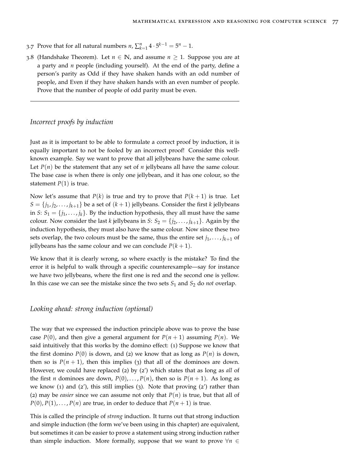- 3.7 Prove that for all natural numbers  $n$ ,  $\sum_{k=1}^{n} 4 \cdot 5^{k-1} = 5^n 1$ .
- 3.8 (Handshake Theorem). Let  $n \in \mathbb{N}$ , and assume  $n \geq 1$ . Suppose you are at a party and *n* people (including yourself). At the end of the party, define a person's parity as Odd if they have shaken hands with an odd number of people, and Even if they have shaken hands with an even number of people. Prove that the number of people of odd parity must be even.

# *Incorrect proofs by induction*

Just as it is important to be able to formulate a correct proof by induction, it is equally important to not be fooled by an incorrect proof! Consider this wellknown example. Say we want to prove that all jellybeans have the same colour. Let  $P(n)$  be the statement that any set of *n* jellybeans all have the same colour. The base case is when there is only one jellybean, and it has one colour, so the statement  $P(1)$  is true.

Now let's assume that  $P(k)$  is true and try to prove that  $P(k+1)$  is true. Let  $S = \{j_1, j_2, \ldots, j_{k+1}\}$  be a set of  $(k+1)$  jellybeans. Consider the first *k* jellybeans in *S*:  $S_1 = \{j_1, \ldots, j_k\}$ . By the induction hypothesis, they all must have the same colour. Now consider the last *k* jellybeans in *S*:  $S_2 = \{j_2, \ldots, j_{k+1}\}\$ . Again by the induction hypothesis, they must also have the same colour. Now since these two sets overlap, the two colours must be the same, thus the entire set  $j_1, \ldots, j_{k+1}$  of jellybeans has the same colour and we can conclude  $P(k + 1)$ .

We know that it is clearly wrong, so where exactly is the mistake? To find the error it is helpful to walk through a specific counterexample—say for instance we have two jellybeans, where the first one is red and the second one is yellow. In this case we can see the mistake since the two sets  $S_1$  and  $S_2$  do *not* overlap.

## *Looking ahead: strong induction (optional)*

The way that we expressed the induction principle above was to prove the base case  $P(0)$ , and then give a general argument for  $P(n + 1)$  assuming  $P(n)$ . We said intuitively that this works by the domino effect: (1) Suppose we know that the first domino  $P(0)$  is down, and (2) we know that as long as  $P(n)$  is down, then so is  $P(n + 1)$ , then this implies (3) that all of the dominoes are down. However, we could have replaced (2) by (2') which states that as long as *all* of the first *n* dominoes are down,  $P(0), \ldots, P(n)$ , then so is  $P(n+1)$ . As long as we know (1) and (2'), this still implies (3). Note that proving (2') rather than (2) may be *easier* since we can assume not only that  $P(n)$  is true, but that all of  $P(0), P(1), \ldots, P(n)$  are true, in order to deduce that  $P(n+1)$  is true.

This is called the principle of *strong* induction. It turns out that strong induction and simple induction (the form we've been using in this chapter) are equivalent, but sometimes it can be easier to prove a statement using strong induction rather than simple induction. More formally, suppose that we want to prove  $\forall n \in$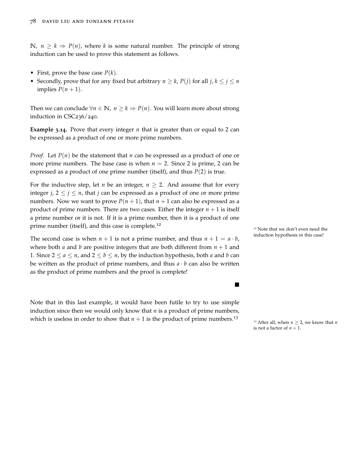**N**, *n* ≥ *k* ⇒ *P*(*n*), where *k* is some natural number. The principle of strong induction can be used to prove this statement as follows.

- First, prove the base case *P*(*k*).
- Secondly, prove that for any fixed but arbitrary  $n \ge k$ ,  $P(j)$  for all  $j, k \le j \le n$ implies  $P(n+1)$ .

Then we can conclude  $\forall n \in \mathbb{N}$ ,  $n \geq k \Rightarrow P(n)$ . You will learn more about strong induction in CSC236/240.

**Example 3.14.** Prove that every integer *n* that is greater than or equal to 2 can be expressed as a product of one or more prime numbers.

*Proof.* Let  $P(n)$  be the statement that *n* can be expressed as a product of one or more prime numbers. The base case is when  $n = 2$ . Since 2 is prime, 2 can be expressed as a product of one prime number (itself), and thus *P*(2) is true.

For the inductive step, let *n* be an integer,  $n \geq 2$ . And assume that for every integer *j*,  $2 \leq j \leq n$ , that *j* can be expressed as a product of one or more prime numbers. Now we want to prove  $P(n + 1)$ , that  $n + 1$  can also be expressed as a product of prime numbers. There are two cases. Either the integer  $n + 1$  is itself a prime number or it is not. If it is a prime number, then it is a product of one prime number (itself), and this case is complete.<sup>12</sup>

The second case is when  $n + 1$  is not a prime number, and thus  $n + 1 = a \cdot b$ , induction hypothesis in this case! where both *a* and *b* are positive integers that are both different from  $n + 1$  and 1. Since  $2 \le a \le n$ , and  $2 \le b \le n$ , by the induction hypothesis, both *a* and *b* can be written as the product of prime numbers, and thus  $a \cdot b$  can also be written as the product of prime numbers and the proof is complete!

Note that in this last example, it would have been futile to try to use simple induction since then we would only know that *n* is a product of prime numbers, which is useless in order to show that  $n + 1$  is the product of prime numbers.<sup>13</sup>

<sup>12</sup> Note that we don't even need the

 $\blacksquare$ 

<sup>13</sup> After all, when  $n \ge 2$ , we know that *n* is not a factor of  $n + 1$ .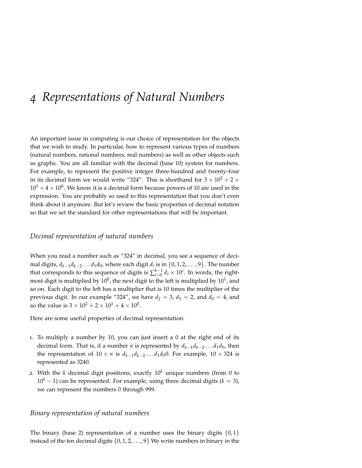# *4 Representations of Natural Numbers*

An important issue in computing is our choice of representation for the objects that we wish to study. In particular, how to represent various types of numbers (natural numbers, rational numbers, real numbers) as well as other objects such as graphs. You are all familiar with the decimal (base 10) system for numbers. For example, to represent the positive integer three-hundred and twenty-four in its decimal form we would write "324". This is shorthand for  $3 \times 10^2 + 2 \times$  $10^1 + 4 \times 10^0.$  We know it is a decimal form because powers of 10 are used in the expression. You are probably so used to this representation that you don't even think about it anymore. But let's review the basic properties of decimal notation so that we set the standard for other representations that will be important.

## *Decimal representation of natural numbers*

When you read a number such as "324" in decimal, you see a sequence of decimal digits, *dk*−1*dk*−<sup>2</sup> . . . *d*1*d*0, where each digit *d<sup>i</sup>* is in {0, 1, 2, . . . , 9}. The number that corresponds to this sequence of digits is  $\sum_{i=0}^{k-1} d_i \times 10^i$ . In words, the rightmost digit is multiplied by  $10^0$ , the next digit to the left is multiplied by  $10^1$ , and so on. Each digit to the left has a multiplier that is 10 times the multiplier of the previous digit. In our example "324", we have  $d_2 = 3$ ,  $d_1 = 2$ , and  $d_0 = 4$ , and so the value is  $3 \times 10^2 + 2 \times 10^1 + 4 \times 10^0$ .

Here are some useful properties of decimal representation:

- 1. To multiply a number by 10, you can just insert a 0 at the right end of its decimal form. That is, if a number *n* is represented by *dk*−1*dk*−<sup>2</sup> . . . *d*1*d*0, then the representation of  $10 \times n$  is  $d_{k-1}d_{k-2} \ldots d_1d_00$ . For example,  $10 \times 324$  is represented as 3240.
- 2. With the *k* decimal digit positions, exactly  $10<sup>k</sup>$  unique numbers (from 0 to  $10<sup>k</sup> - 1$ ) can be represented. For example, using three decimal digits ( $k = 3$ ), we can represent the numbers 0 through 999.

## *Binary representation of natural numbers*

The binary (base 2) representation of a number uses the binary digits  $\{0, 1\}$ instead of the ten decimal digits  $\{0, 1, 2, \ldots, 9\}$  We write numbers in binary in the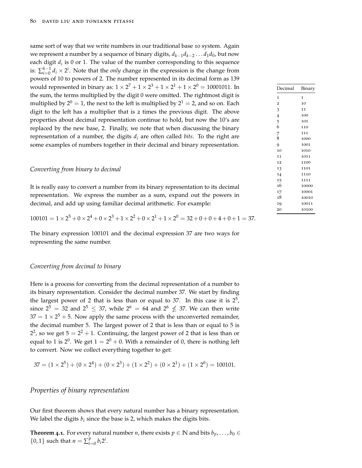same sort of way that we write numbers in our traditional base 10 system. Again we represent a number by a sequence of binary digits, *dk*−1*dk*−<sup>2</sup> . . . *d*1*d*0, but now each digit *d<sup>i</sup>* is 0 or 1. The value of the number corresponding to this sequence is:  $\sum_{i=0}^{k-1} d_i \times 2^i$ . Note that the *only* change in the expression is the change from powers of 10 to powers of 2. The number represented in its decimal form as 139 would represented in binary as:  $1 \times 2^7 + 1 \times 2^3 + 1 \times 2^1 + 1 \times 2^0 =$  10001011. In the sum, the terms multiplied by the digit 0 were omitted. The rightmost digit is multiplied by  $2^0 = 1$ , the next to the left is multiplied by  $2^1 = 2$ , and so on. Each digit to the left has a multiplier that is 2 times the previous digit. The above properties about decimal representation continue to hold, but now the 10's are replaced by the new base, 2. Finally, we note that when discussing the binary representation of a number, the digits  $d_i$  are often called *bits*. To the right are some examples of numbers together in their decimal and binary representation.

#### *Converting from binary to decimal*

It is really easy to convert a number from its binary representation to its decimal representation. We express the number as a sum, expand out the powers in decimal, and add up using familiar decimal arithmetic. For example:

$$
100101 = 1 \times 2^5 + 0 \times 2^4 + 0 \times 2^3 + 1 \times 2^2 + 0 \times 2^1 + 1 \times 2^0 = 32 + 0 + 0 + 4 + 0 + 1 = 37.
$$

The binary expression 100101 and the decimal expression 37 are two ways for representing the same number.

#### *Converting from decimal to binary*

Here is a process for converting from the decimal representation of a number to its binary representation. Consider the decimal number 37. We start by finding the largest power of 2 that is less than or equal to 37. In this case it is  $2^5$ , since  $2^5 = 32$  and  $2^5 \le 37$ , while  $2^6 = 64$  and  $2^6 \nleq 37$ . We can then write  $37 = 1 \times 2^5 + 5$ . Now apply the same process with the unconverted remainder, the decimal number 5. The largest power of 2 that is less than or equal to 5 is  $2^2$ , so we get  $5 = 2^2 + 1$ . Continuing, the largest power of 2 that is less than or equal to 1 is 2<sup>0</sup>. We get 1 = 2<sup>0</sup> + 0. With a remainder of 0, there is nothing left to convert. Now we collect everything together to get:

$$
37 = (1 \times 2^5) + (0 \times 2^4) + (0 \times 2^3) + (1 \times 2^2) + (0 \times 2^1) + (1 \times 2^0) = 100101.
$$

## *Properties of binary representation*

Our first theorem shows that every natural number has a binary representation. We label the digits  $b_i$  since the base is 2, which makes the digits bits.

**Theorem** 4.1. For every natural number *n*, there exists  $p \in \mathbb{N}$  and bits  $b_p, \ldots, b_0 \in$  $\{0, 1\}$  such that  $n = \sum_{i=1}^{p}$  $_{i=0}^{p} b_i 2^i$ .

| Decimal        | Binary       |
|----------------|--------------|
| 1              | $\mathbf{I}$ |
| $\overline{2}$ | 10           |
| 3              | 11           |
| $\overline{4}$ | 100          |
| 5              | 101          |
| 6              | 110          |
| 7              | 111          |
| 8              | 1000         |
| 9              | 1001         |
| 10             | 1010         |
| 11             | 1011         |
| 12             | 1100         |
| 13             | 1101         |
| 14             | 1110         |
| 15             | 1111         |
| 16             | 10000        |
| 17             | 10001        |
| 18             | 10010        |
| 19             | 10011        |
| 20             | 10100        |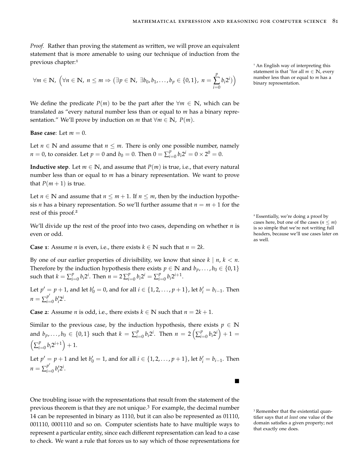*Proof.* Rather than proving the statement as written, we will prove an equivalent statement that is more amenable to using our technique of induction from the previous chapter:<sup>1</sup>

$$
\forall m \in \mathbb{N}, \ \left(\forall n \in \mathbb{N}, \ n \leq m \Rightarrow (\exists p \in \mathbb{N}, \ \exists b_0, b_1, \ldots, b_p \in \{0, 1\}, \ n = \sum_{i=0}^p b_i 2^i)\right) \qquad \text{number less than or even} \text{number less than or even} \text{number less than or even} \text{number less than or even} \text{number less than or even} \text{number less than or even} \text{number less than or even} \text{number less than or even} \text{number less than or even} \text{number less than or even} \text{number less than or even} \text{number less than or even} \text{number less than or even} \text{number less than or even} \text{number less than or even} \text{number less than or even} \text{number less than or even} \text{number less than or even} \text{number less than or even} \text{number less than or even} \text{number less than or even} \text{number less than or even} \text{number less than or even} \text{number less than or even} \text{number less than or even} \text{number less than or even} \text{number less than or even} \text{number less than or even} \text{number less than or even} \text{number less than or even} \text{number less than or even} \text{number less than or even} \text{number less than or even} \text{number less than or even} \text{number less than or even} \text{number less than or even} \text{number less than or even} \text{number less than or even} \text{number less than or even} \text{number less than or even} \text{number less than or even} \text{number less than or even} \text{number less than or even} \text{number less than or even} \text{number less than or even} \text{number less than or even} \text{number less than or even} \text{number less than or even} \text{number less than or even} \text{number less than or even} \text{number less than or even} \text{number less than or even} \text{number less than or even} \text{number less than or even} \text{number less than or even} \text{number less than or even} \text{number less than or even} \text{number less than or even} \text{number less than or even} \text{number less than or even} \text{number less than or even} \text{number less than or even} \text{number less than or even} \text{number less than or even} \text{number less than or even} \text{number less than or even} \text{number less than or even} \text{number less than or even} \text{number less than or even} \text{number less than or even} \text{number less than or even} \text{number less than or even} \text{number less than or even} \text{number less than or even
$$

We define the predicate  $P(m)$  to be the part after the  $\forall m \in \mathbb{N}$ , which can be translated as "every natural number less than or equal to *m* has a binary representation." We'll prove by induction on *m* that  $\forall m \in \mathbb{N}$ ,  $P(m)$ .

**Base case:** Let  $m = 0$ .

Let  $n \in \mathbb{N}$  and assume that  $n \leq m$ . There is only one possible number, namely  $n = 0$ , to consider. Let  $p = 0$  and  $b_0 = 0$ . Then  $0 = \sum_{i=1}^{p}$  $\int_{i=0}^{p} b_i 2^i = 0 \times 2^0 = 0.$ 

**Inductive step.** Let  $m \in \mathbb{N}$ , and assume that  $P(m)$  is true, i.e., that every natural number less than or equal to *m* has a binary representation. We want to prove that  $P(m+1)$  is true.

Let *n*  $\in$  **N** and assume that *n*  $\leq$  *m* + 1. If *n*  $\leq$  *m*, then by the induction hypothesis *n* has a binary representation. So we'll further assume that  $n = m + 1$  for the rest of this proof.<sup>2</sup>

We'll divide up the rest of the proof into two cases, depending on whether *n* is even or odd.

**Case 1**: Assume *n* is even, i.e., there exists  $k \in \mathbb{N}$  such that  $n = 2k$ .

By one of our earlier properties of divisibility, we know that since  $k \mid n, k < n$ . Therefore by the induction hypothesis there exists  $p \in \mathbb{N}$  and  $b_p, \ldots, b_0 \in \{0, 1\}$ such that  $k = \sum_{i=1}^{p}$  $\sum_{i=0}^{p} b_i 2^i$ . Then  $n = 2 \sum_{i=1}^{p}$  $\sum_{i=0}^{p} b_i 2^i = \sum_{i=1}^{p}$  $p_{i=0}^p b_i 2^{i+1}$ .

Let  $p' = p + 1$ , and let  $b'_0 = 0$ , and for all  $i \in \{1, 2, ..., p + 1\}$ , let  $b'_i = b_{i-1}$ . Then  $n = \sum_{i=1}^{p}$  $p'_{i=0} b'_i 2^i$ .

**Case** 2: Assume *n* is odd, i.e., there exists  $k \in \mathbb{N}$  such that  $n = 2k + 1$ .

Similar to the previous case, by the induction hypothesis, there exists  $p \in \mathbb{N}$ and  $b_p, \ldots, b_0 \in \{0,1\}$  such that  $k = \sum_{i=1}^p p_i$  $\sum_{i=0}^{p} b_i 2^i$ . Then  $n = 2 \left( \sum_{i=1}^{p} a_i \right)$  $\int_{i=0}^{p} b_i 2^i + 1 =$  $\left(\sum_{i=1}^p$  $\int_{i=0}^{p} b_i 2^{i+1} \Big) + 1.$ 

Let  $p' = p + 1$  and let  $b'_0 = 1$ , and for all  $i \in \{1, 2, ..., p + 1\}$ , let  $b'_i = b_{i-1}$ . Then  $n = \sum_{i=1}^{p}$  $\int_{i=0}^{p'} b'_i 2^i$ .

One troubling issue with the representations that result from the statement of the previous theorem is that they are not unique.<sup>3</sup> For example, the decimal number  $\frac{3}{3}$  Remember that the existential quan-14 can be represented in binary as 1110, but it can also be represented as 01110, 001110, 0001110 and so on. Computer scientists hate to have multiple ways to represent a particular entity, since each different representation can lead to a case to check. We want a rule that forces us to say which of those representations for

<sup>1</sup> An English way of interpreting this statement is that "for all  $m \in \mathbb{N}$ , every number less than or equal to *m* has a

<sup>2</sup> Essentially, we're doing a proof by cases here, but one of the cases ( $n \leq m$ ) is so simple that we're not writing full headers, because we'll use cases later on as well.

tifier says that *at least* one value of the domain satisfies a given property; not that exactly one does.

П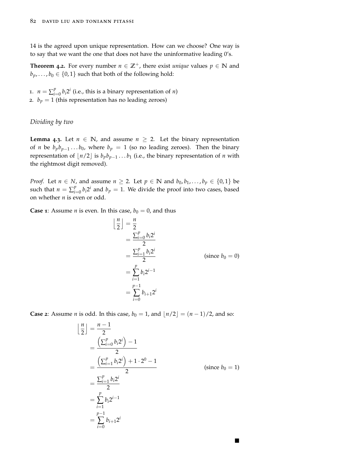14 is the agreed upon unique representation. How can we choose? One way is to say that we want the one that does not have the uninformative leading 0's.

**Theorem 4.2.** For every number  $n \in \mathbb{Z}^+$ , there exist *unique* values  $p \in \mathbb{N}$  and  $b_p$ , ...,  $b_0 \in \{0, 1\}$  such that both of the following hold:

1.  $n = \sum_{i=1}^{p}$  $\int_{i=0}^{p} b_i 2^i$  (i.e., this is a binary representation of *n*) 2.  $b_p = 1$  (this representation has no leading zeroes)

## *Dividing by two*

<span id="page-81-0"></span>**Lemma** 4.3. Let  $n \in \mathbb{N}$ , and assume  $n \geq 2$ . Let the binary representation of *n* be  $b_p b_{p-1} \ldots b_0$ , where  $b_p = 1$  (so no leading zeroes). Then the binary representation of  $\lfloor n/2 \rfloor$  is  $b_p b_{p-1} \ldots b_1$  (i.e., the binary representation of *n* with the rightmost digit removed).

*Proof.* Let  $n \in N$ , and assume  $n \geq 2$ . Let  $p \in \mathbb{N}$  and  $b_0, b_1, \ldots, b_p \in \{0, 1\}$  be such that  $n = \sum_{i=1}^{p}$  $\int_{i=0}^{p} b_i 2^i$  and  $b_p = 1$ . We divide the proof into two cases, based on whether *n* is even or odd.

**Case 1**: Assume *n* is even. In this case,  $b_0 = 0$ , and thus

 $\overline{ }$ 

$$
\frac{n}{2} = \frac{n}{2}
$$
\n
$$
= \frac{\sum_{i=0}^{p} b_i 2^i}{2}
$$
\n
$$
= \frac{\sum_{i=1}^{p} b_i 2^i}{2}
$$
\n(since  $b_0 = 0$ )\n
$$
= \sum_{i=1}^{p} b_i 2^{i-1}
$$
\n
$$
= \sum_{i=0}^{p-1} b_{i+1} 2^i
$$

**Case 2**: Assume *n* is odd. In this case,  $b_0 = 1$ , and  $\lfloor n/2 \rfloor = (n-1)/2$ , and so:

$$
\begin{aligned}\n\left\lfloor \frac{n}{2} \right\rfloor &= \frac{n-1}{2} \\
&= \frac{\left(\sum_{i=0}^{p} b_i 2^i\right) - 1}{2} \\
&= \frac{\left(\sum_{i=1}^{p} b_i 2^i\right) + 1 \cdot 2^0 - 1}{2} \\
&= \frac{\sum_{i=1}^{p} b_i 2^i}{2} \\
&= \sum_{i=1}^{p} b_i 2^{i-1} \\
&= \sum_{i=0}^{p-1} b_{i+1} 2^i\n\end{aligned} \tag{since } b_0 = 1)
$$

п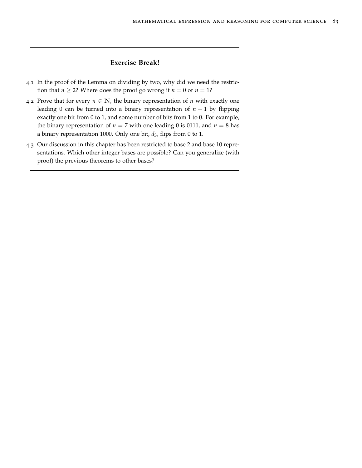# **Exercise Break!**

- 4.1 In the proof of the [Lemma on dividing by two,](#page-81-0) why did we need the restriction that *n*  $\ge$  2? Where does the proof go wrong if *n* = 0 or *n* = 1?
- 4.2 Prove that for every  $n \in \mathbb{N}$ , the binary representation of *n* with exactly one leading 0 can be turned into a binary representation of  $n + 1$  by flipping exactly one bit from 0 to 1, and some number of bits from 1 to 0. For example, the binary representation of  $n = 7$  with one leading 0 is 0111, and  $n = 8$  has a binary representation 1000. Only one bit, *d*3, flips from 0 to 1.
- 4.3 Our discussion in this chapter has been restricted to base 2 and base 10 representations. Which other integer bases are possible? Can you generalize (with proof) the previous theorems to other bases?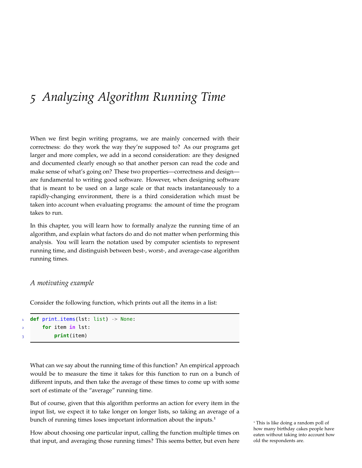# *5 Analyzing Algorithm Running Time*

When we first begin writing programs, we are mainly concerned with their correctness: do they work the way they're supposed to? As our programs get larger and more complex, we add in a second consideration: are they designed and documented clearly enough so that another person can read the code and make sense of what's going on? These two properties—correctness and design are fundamental to writing good software. However, when designing software that is meant to be used on a large scale or that reacts instantaneously to a rapidly-changing environment, there is a third consideration which must be taken into account when evaluating programs: the amount of time the program takes to run.

In this chapter, you will learn how to formally analyze the running time of an algorithm, and explain what factors do and do not matter when performing this analysis. You will learn the notation used by computer scientists to represent running time, and distinguish between best-, worst-, and average-case algorithm running times.

# *A motivating example*

Consider the following function, which prints out all the items in a list:

```
1 def print_items(lst: list) -> None:
      2 for item in lst:
3 print(item)
```
What can we say about the running time of this function? An empirical approach would be to measure the time it takes for this function to run on a bunch of different inputs, and then take the average of these times to come up with some sort of estimate of the "average" running time.

But of course, given that this algorithm performs an action for every item in the input list, we expect it to take longer on longer lists, so taking an average of a bunch of running times loses important information about the inputs.<sup>1</sup>

How about choosing one particular input, calling the function multiple times on that input, and averaging those running times? This seems better, but even here

<sup>1</sup> This is like doing a random poll of how many birthday cakes people have eaten without taking into account how old the respondents are.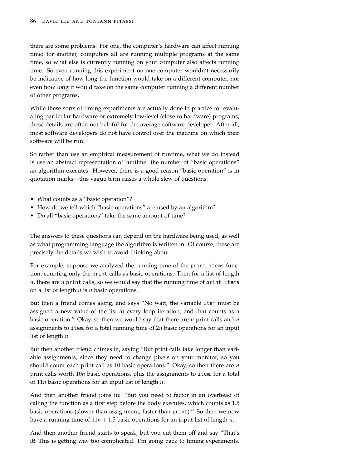there are some problems. For one, the computer's hardware can affect running time; for another, computers all are running multiple programs at the same time, so what else is currently running on your computer also affects running time. So even running this experiment on one computer wouldn't necessarily be indicative of how long the function would take on a different computer, nor even how long it would take on the same computer running a different number of other programs.

While these sorts of timing experiments are actually done in practice for evaluating particular hardware or extremely low-level (close to hardware) programs, these details are often not helpful for the average software developer. After all, most software developers do not have control over the machine on which their software will be run.

So rather than use an empirical measurement of runtime, what we do instead is use an abstract representation of runtime: the number of "basic operations" an algorithm executes. However, there is a good reason "basic operation" is in quotation marks—this vague term raises a whole slew of questions:

- What counts as a "basic operation"?
- How do we tell which "basic operations" are used by an algorithm?
- Do all "basic operations" take the same amount of time?

The answers to these questions can depend on the hardware being used, as well as what programming language the algorithm is written in. Of course, these are precisely the details we wish to avoid thinking about.

For example, suppose we analyzed the running time of the print\_items function, counting only the print calls as basic operations. Then for a list of length *n*, there are *n* print calls, so we would say that the running time of print\_items on a list of length *n* is *n* basic operations.

But then a friend comes along, and says "No wait, the variable item must be assigned a new value of the list at every loop iteration, and that counts as a basic operation." Okay, so then we would say that there are *n* print calls and *n* assignments to item, for a total running time of 2*n* basic operations for an input list of length *n*.

But then another friend chimes in, saying "But print calls take longer than variable assignments, since they need to change pixels on your monitor, so you should count each print call as 10 basic operations." Okay, so then there are *n* print calls worth 10*n* basic operations, plus the assignments to item, for a total of 11*n* basic operations for an input list of length *n*.

And then another friend joins in: "But you need to factor in an overhead of calling the function as a first step before the body executes, which counts as 1.5 basic operations (slower than assignment, faster than print)." So then we now have a running time of 11*n* + 1.5 basic operations for an input list of length *n*.

And then another friend starts to speak, but you cut them off and say "That's it! This is getting way too complicated. I'm going back to timing experiments,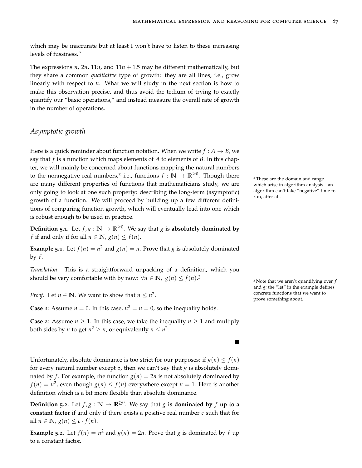П

which may be inaccurate but at least I won't have to listen to these increasing levels of fussiness."

The expressions  $n$ ,  $2n$ ,  $11n$ , and  $11n + 1.5$  may be different mathematically, but they share a common *qualitative* type of growth: they are all lines, i.e., grow linearly with respect to *n*. What we will study in the next section is how to make this observation precise, and thus avoid the tedium of trying to exactly quantify our "basic operations," and instead measure the overall rate of growth in the number of operations.

## *Asymptotic growth*

Here is a quick reminder about function notation. When we write  $f : A \rightarrow B$ , we say that *f* is a function which maps elements of *A* to elements of *B*. In this chapter, we will mainly be concerned about functions mapping the natural numbers to the nonnegative real numbers,<sup>2</sup> i.e., functions  $f : \mathbb{N} \to \mathbb{R}^{\geq 0}$ are many different properties of functions that mathematicians study, we are only going to look at one such property: describing the long-term (asymptotic) growth of a function. We will proceed by building up a few different definitions of comparing function growth, which will eventually lead into one which is robust enough to be used in practice.

**Definition 5.1.** Let  $f, g : \mathbb{N} \to \mathbb{R}^{\geq 0}$ . We say that *g* is **absolutely dominated by** *f* if and only if for all  $n \in \mathbb{N}$ ,  $g(n) \le f(n)$ .

**Example 5.1.** Let  $f(n) = n^2$  and  $g(n) = n$ . Prove that *g* is absolutely dominated by  $f$ .

*Translation*. This is a straightforward unpacking of a definition, which you should be very comfortable with by now:  $\forall n \in \mathbb{N}, g(n) \leq f(n).$ <sup>3</sup>

*Proof.* Let  $n \in \mathbb{N}$ . We want to show that  $n \leq n^2$ .<br>
prove something about.

**Case 1**: Assume  $n = 0$ . In this case,  $n^2 = n = 0$ , so the inequality holds.

**Case 2**: Assume  $n \geq 1$ . In this case, we take the inequality  $n \geq 1$  and multiply both sides by *n* to get  $n^2 \ge n$ , or equivalently  $n \le n^2$ .

Unfortunately, absolute dominance is too strict for our purposes: if  $g(n) \leq f(n)$ for every natural number except 5, then we can't say that  $g$  is absolutely dominated by *f*. For example, the function  $g(n) = 2n$  is not absolutely dominated by  $f(n) = n^2$ , even though  $g(n) \le f(n)$  everywhere except  $n = 1$ . Here is another definition which is a bit more flexible than absolute dominance.

**Definition** 5.2. Let  $f, g : \mathbb{N} \to \mathbb{R}^{\geq 0}$ . We say that *g* is dominated by *f* up to a **constant factor** if and only if there exists a positive real number *c* such that for all  $n \in \mathbb{N}$ ,  $g(n) \leq c \cdot f(n)$ .

**Example** 5.2. Let  $f(n) = n^2$  and  $g(n) = 2n$ . Prove that *g* is dominated by *f* up to a constant factor.

<sup>2</sup> These are the domain and range which arise in algorithm analysis—an algorithm can't take "negative" time to run, after all.

<sup>3</sup> Note that we aren't quantifying over *f* and  $g$ ; the "let" in the example defines concrete functions that we want to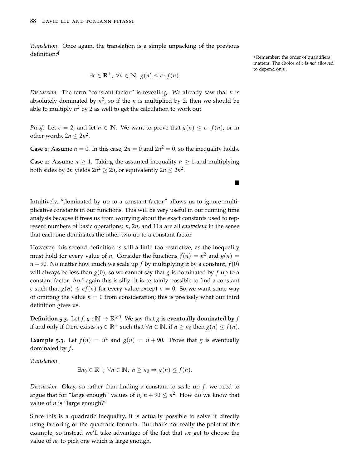*Translation*. Once again, the translation is a simple unpacking of the previous definition:<sup>4</sup>

$$
\exists c \in \mathbb{R}^+, \ \forall n \in \mathbb{N}, \ g(n) \leq c \cdot f(n).
$$

*Discussion*. The term "constant factor" is revealing. We already saw that  $n$  is absolutely dominated by  $n^2$ , so if the  $n$  is multiplied by 2, then we should be able to multiply  $n^2$  by 2 as well to get the calculation to work out.

*Proof.* Let  $c = 2$ , and let  $n \in \mathbb{N}$ . We want to prove that  $g(n) \leq c \cdot f(n)$ , or in other words,  $2n \leq 2n^2$ .

**Case 1**: Assume  $n = 0$ . In this case,  $2n = 0$  and  $2n^2 = 0$ , so the inequality holds.

**Case 2**: Assume  $n \geq 1$ . Taking the assumed inequality  $n \geq 1$  and multiplying both sides by 2*n* yields 2 $n^2 \geq 2n$ , or equivalently 2 $n \leq 2n^2$ .

Intuitively, "dominated by up to a constant factor" allows us to ignore multiplicative constants in our functions. This will be very useful in our running time analysis because it frees us from worrying about the exact constants used to represent numbers of basic operations: *n*, 2*n*, and 11*n* are all *equivalent* in the sense that each one dominates the other two up to a constant factor.

However, this second definition is still a little too restrictive, as the inequality must hold for every value of *n*. Consider the functions  $f(n) = n^2$  and  $g(n) =$  $n + 90$ . No matter how much we scale up *f* by multiplying it by a constant,  $f(0)$ will always be less than  $g(0)$ , so we cannot say that *g* is dominated by *f* up to a constant factor. And again this is silly: it is certainly possible to find a constant *c* such that  $g(n) \leq cf(n)$  for every value except  $n = 0$ . So we want some way of omitting the value  $n = 0$  from consideration; this is precisely what our third definition gives us.

**Definition** 5.3. Let  $f$ ,  $g : \mathbb{N} \to \mathbb{R}^{\geq 0}$ . We say that  $g$  is eventually dominated by  $f$ if and only if there exists  $n_0$  ∈ **R**<sup>+</sup> such that ∀*n* ∈ **N**, if *n* ≥  $n_0$  then  $g(n)$  ≤  $f(n)$ .

**Example** 5.3. Let  $f(n) = n^2$  and  $g(n) = n + 90$ . Prove that *g* is eventually dominated by *f* .

*Translation*.

$$
\exists n_0 \in \mathbb{R}^+, \ \forall n \in \mathbb{N}, \ n \ge n_0 \Rightarrow g(n) \le f(n).
$$

*Discussion*. Okay, so rather than finding a constant to scale up  $f$ , we need to argue that for "large enough" values of *n*,  $n + 90 \le n^2$ . How do we know that value of *n* is "large enough?"

Since this is a quadratic inequality, it is actually possible to solve it directly using factoring or the quadratic formula. But that's not really the point of this example, so instead we'll take advantage of the fact that *we* get to choose the value of  $n_0$  to pick one which is large enough.

<sup>4</sup> Remember: the order of quantifiers matters! The choice of *c* is *not* allowed to depend on *n*.

 $\blacksquare$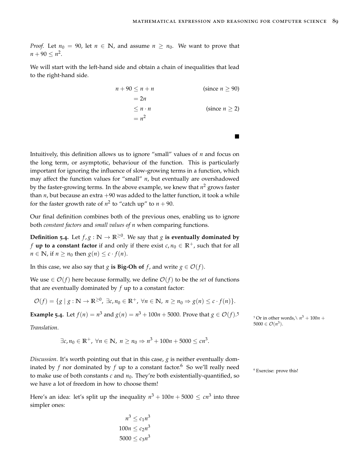$\blacksquare$ 

*Proof.* Let  $n_0 = 90$ , let  $n \in \mathbb{N}$ , and assume  $n \ge n_0$ . We want to prove that  $n + 90 \leq n^2$ .

We will start with the left-hand side and obtain a chain of inequalities that lead to the right-hand side.

> $n + 90 \le n + n$  (since  $n > 90$ )  $= 2n$  $\leq n \cdot n$  (since  $n \geq 2$ )  $= n^2$

Intuitively, this definition allows us to ignore "small" values of *n* and focus on the long term, or asymptotic, behaviour of the function. This is particularly important for ignoring the influence of slow-growing terms in a function, which may affect the function values for "small" *n*, but eventually are overshadowed by the faster-growing terms. In the above example, we knew that *n* <sup>2</sup> grows faster than  $n$ , but because an extra  $+90$  was added to the latter function, it took a while for the faster growth rate of  $n^2$  to "catch up" to  $n + 90$ .

Our final definition combines both of the previous ones, enabling us to ignore both *constant factors* and *small values of n* when comparing functions.

**Definition** 5.4. Let  $f$ ,  $g : \mathbb{N} \to \mathbb{R}^{\geq 0}$ . We say that  $g$  is eventually dominated by *f* **up to a constant factor** if and only if there exist  $c, n_0 \in \mathbb{R}^+$ , such that for all  $n \in \mathbb{N}$ , if  $n \geq n_0$  then  $g(n) \leq c \cdot f(n)$ .

In this case, we also say that *g* **is Big-Oh of** *f*, and write  $g \in \mathcal{O}(f)$ .

We use  $\in \mathcal{O}(f)$  here because formally, we define  $\mathcal{O}(f)$  to be the *set* of functions that are eventually dominated by *f* up to a constant factor:

 $\mathcal{O}(f) = \{g \mid g : \mathbb{N} \to \mathbb{R}^{\geq 0}, \exists c, n_0 \in \mathbb{R}^+, \forall n \in \mathbb{N}, n \geq n_0 \Rightarrow g(n) \leq c \cdot f(n)\}.$ 

**Example 5.4.** Let  $f(n) = n^3$  and  $g(n) = n^3 + 100n + 5000$ . Prove that  $g \in \mathcal{O}(f)$ .<sup>5</sup>

*Translation*.

$$
\exists c, n_0 \in \mathbb{R}^+, \ \forall n \in \mathbb{N}, \ n \ge n_0 \Rightarrow n^3 + 100n + 5000 \le cn^3.
$$

*Discussion*. It's worth pointing out that in this case, *g* is neither eventually dominated by *f* nor dominated by *f* up to a constant factor.<sup>6</sup> So we'll really need  $\epsilon$  Exercise: prove this! to make use of both constants  $c$  and  $n_0$ . They're both existentially-quantified, so we have a lot of freedom in how to choose them!

Here's an idea: let's split up the inequality  $n^3 + 100n + 5000 \leq cn^3$  into three simpler ones:

$$
n^3 \le c_1 n^3
$$
  

$$
100n \le c_2 n^3
$$
  

$$
5000 \le c_3 n^3
$$

<sup>5</sup> Or in other words,  $\lambda$   $n^3 + 100n +$  $5000 \in \mathcal{O}(n^3)$ .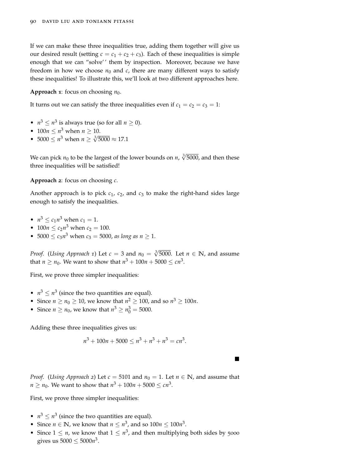If we can make these three inequalities true, adding them together will give us our desired result (setting  $c = c_1 + c_2 + c_3$ ). Each of these inequalities is simple enough that we can "solve' ' them by inspection. Moreover, because we have freedom in how we choose  $n_0$  and  $c$ , there are many different ways to satisfy these inequalities! To illustrate this, we'll look at two different approaches here.

#### **Approach 1**: focus on choosing  $n_0$ .

It turns out we can satisfy the three inequalities even if  $c_1 = c_2 = c_3 = 1$ :

- $n^3 \le n^3$  is always true (so for all  $n \ge 0$ ).
- $100n \le n^3$  when  $n \ge 10$ .
- $5000 \le n^3$  when  $n \ge \sqrt[3]{5000} \approx 17.1$

We can pick  $n_0$  to be the largest of the lower bounds on  $n$ ,  $\sqrt[3]{5000}$ , and then these three inequalities will be satisfied!

**Approach 2**: focus on choosing *c*.

Another approach is to pick  $c_1$ ,  $c_2$ , and  $c_3$  to make the right-hand sides large enough to satisfy the inequalities.

- $n^3 \le c_1 n^3$  when  $c_1 = 1$ .
- $100n \le c_2 n^3$  when  $c_2 = 100$ .
- 5000  $\leq c_3 n^3$  when  $c_3 = 5000$ , *as long as n*  $\geq 1$ .

*Proof.* (*Using Approach 1*) Let  $c = 3$  and  $n_0 = \sqrt[3]{5000}$ . Let  $n \in \mathbb{N}$ , and assume that  $n \geq n_0$ . We want to show that  $n^3 + 100n + 5000 \leq cn^3$ .

First, we prove three simpler inequalities:

- $n^3 \leq n^3$  (since the two quantities are equal).
- Since  $n \ge n_0 \ge 10$ , we know that  $n^2 \ge 100$ , and so  $n^3 \ge 100n$ .
- Since  $n \ge n_0$ , we know that  $n^3 \ge n_0^3 = 5000$ .

Adding these three inequalities gives us:

$$
n^3 + 100n + 5000 \le n^3 + n^3 + n^3 = cn^3.
$$

 $\blacksquare$ 

*Proof.* (*Using Approach* 2) Let  $c = 5101$  and  $n_0 = 1$ . Let  $n \in \mathbb{N}$ , and assume that  $n \geq n_0$ . We want to show that  $n^3 + 100n + 5000 \leq cn^3$ .

First, we prove three simpler inequalities:

- $n^3 \leq n^3$  (since the two quantities are equal).
- Since  $n \in \mathbb{N}$ , we know that  $n \leq n^3$ , and so  $100n \leq 100n^3$ .
- Since  $1 \leq n$ , we know that  $1 \leq n^3$ , and then multiplying both sides by 5000 gives us  $5000 \le 5000n^3$ .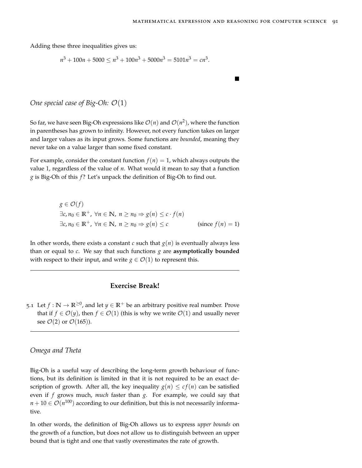$\blacksquare$ 

Adding these three inequalities gives us:

$$
n^3 + 100n + 5000 \le n^3 + 100n^3 + 5000n^3 = 5101n^3 = cn^3.
$$

*One special case of Big-Oh:*  $\mathcal{O}(1)$ 

So far, we have seen Big-Oh expressions like  $\mathcal{O}(n)$  and  $\mathcal{O}(n^2)$ , where the function in parentheses has grown to infinity. However, not every function takes on larger and larger values as its input grows. Some functions are *bounded*, meaning they never take on a value larger than some fixed constant.

For example, consider the constant function  $f(n) = 1$ , which always outputs the value 1, regardless of the value of *n*. What would it mean to say that a function *g* is Big-Oh of this *f* ? Let's unpack the definition of Big-Oh to find out.

$$
g \in \mathcal{O}(f)
$$
  
\n
$$
\exists c, n_0 \in \mathbb{R}^+, \forall n \in \mathbb{N}, n \ge n_0 \Rightarrow g(n) \le c \cdot f(n)
$$
  
\n
$$
\exists c, n_0 \in \mathbb{R}^+, \forall n \in \mathbb{N}, n \ge n_0 \Rightarrow g(n) \le c
$$
 (since  $f(n) = 1$ )

In other words, there exists a constant  $c$  such that  $g(n)$  is eventually always less than or equal to *c*. We say that such functions *g* are **asymptotically bounded** with respect to their input, and write  $g \in \mathcal{O}(1)$  to represent this.

# **Exercise Break!**

5.1 Let  $f : \mathbb{N} \to \mathbb{R}^{\geq 0}$ , and let  $y \in \mathbb{R}^+$  be an arbitrary positive real number. Prove that if  $f \in \mathcal{O}(y)$ , then  $f \in \mathcal{O}(1)$  (this is why we write  $\mathcal{O}(1)$  and usually never see  $\mathcal{O}(2)$  or  $\mathcal{O}(165)$ ).

## *Omega and Theta*

Big-Oh is a useful way of describing the long-term growth behaviour of functions, but its definition is limited in that it is not required to be an exact description of growth. After all, the key inequality  $g(n) \leq cf(n)$  can be satisfied even if *f* grows much, *much* faster than *g*. For example, we could say that  $n+10\in\mathcal{O}(n^{100})$  according to our definition, but this is not necessarily informative.

In other words, the definition of Big-Oh allows us to express *upper bounds* on the growth of a function, but does not allow us to distinguish between an upper bound that is tight and one that vastly overestimates the rate of growth.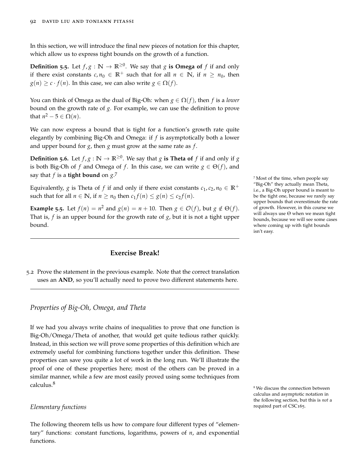In this section, we will introduce the final new pieces of notation for this chapter, which allow us to express tight bounds on the growth of a function.

**Definition 5.5.** Let  $f, g : \mathbb{N} \to \mathbb{R}^{\geq 0}$ . We say that *g* is Omega of *f* if and only if there exist constants  $c, n_0 \in \mathbb{R}^+$  such that for all  $n \in \mathbb{N}$ , if  $n \geq n_0$ , then  $g(n) \geq c \cdot f(n)$ . In this case, we can also write  $g \in \Omega(f)$ .

You can think of Omega as the dual of Big-Oh: when  $g \in \Omega(f)$ , then f is a *lower* bound on the growth rate of *g*. For example, we can use the definition to prove that  $n^2-5 \in \Omega(n)$ .

We can now express a bound that is tight for a function's growth rate quite elegantly by combining Big-Oh and Omega: if *f* is asymptotically both a lower and upper bound for *g*, then *g* must grow at the same rate as *f* .

**Definition 5.6.** Let  $f$ ,  $g : \mathbb{N} \to \mathbb{R}^{\geq 0}$ . We say that  $g$  is Theta of  $f$  if and only if  $g$ is both Big-Oh of *f* and Omega of *f*. In this case, we can write  $g \in \Theta(f)$ , and say that  $f$  is a **tight bound** on  $g$ .<sup>7</sup>

Equivalently, *g* is Theta of *f* if and only if there exist constants  $c_1$ ,  $c_2$ ,  $n_0 \in \mathbb{R}^+$ such that for all  $n \in \mathbb{N}$ , if  $n \ge n_0$  then  $c_1 f(n) \le g(n) \le c_2 f(n)$ .

**Example 5.5**. Let  $f(n) = n^2$  and  $g(n) = n + 10$ . Then  $g \in \mathcal{O}(f)$ , but  $g \notin \Theta(f)$ . That is, *f* is an upper bound for the growth rate of *g*, but it is not a tight upper bound.

# **Exercise Break!**

5.2 Prove the statement in the previous example. Note that the correct translation uses an **AND**, so you'll actually need to prove two different statements here.

## <span id="page-91-0"></span>*Properties of Big-Oh, Omega, and Theta*

If we had you always write chains of inequalities to prove that one function is Big-Oh/Omega/Theta of another, that would get quite tedious rather quickly. Instead, in this section we will prove some properties of this definition which are extremely useful for combining functions together under this definition. These properties can save you quite a lot of work in the long run. We'll illustrate the proof of one of these properties here; most of the others can be proved in a similar manner, while a few are most easily proved using some techniques from calculus.<sup>8</sup>

## *Elementary functions* required part of CSC165.

The following theorem tells us how to compare four different types of "elementary" functions: constant functions, logarithms, powers of *n*, and exponential functions.

<sup>7</sup> Most of the time, when people say "Big-Oh" they actually mean Theta, i.e., a Big-Oh upper bound is meant to be the tight one, because we rarely say upper bounds that overestimate the rate of growth. However, in this course we will always use Θ when we mean tight bounds, because we will see some cases where coming up with tight bounds isn't easy.

<sup>8</sup> We discuss the connection between calculus and asymptotic notation in the following section, but this is *not* a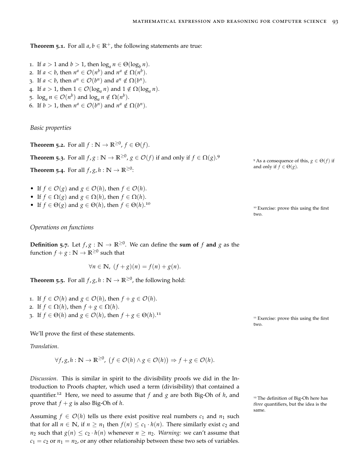**Theorem 5.1.** For all  $a, b \in \mathbb{R}^+$ , the following statements are true:

- 1. If  $a > 1$  and  $b > 1$ , then  $\log_a n \in \Theta(\log_b n)$ .
- 2. If  $a < b$ , then  $n^a \in \mathcal{O}(n^b)$  and  $n^a \notin \Omega(n^b)$ .
- 3. If  $a < b$ , then  $a^n \in \mathcal{O}(b^n)$  and  $a^n \notin \Omega(b^n)$ .
- 4. If  $a > 1$ , then  $1 \in \mathcal{O}(\log_a n)$  and  $1 \notin \Omega(\log_a n)$ .
- 5.  $\log_a n \in \mathcal{O}(n^b)$  and  $\log_a n \notin \Omega(n^b)$ .
- 6. If  $b > 1$ , then  $n^a \in \mathcal{O}(b^n)$  and  $n^a \notin \Omega(b^n)$ .

*Basic properties*

**Theorem 5.2.** For all  $f : \mathbb{N} \to \mathbb{R}^{\geq 0}$ ,  $f \in \Theta(f)$ .

**Theorem 5.3.** For all  $f, g : \mathbb{N} \to \mathbb{R}^{\geq 0}$ ,  $g \in \mathcal{O}(f)$  if and only if  $f \in \Omega(g)$ .

**Theorem 5.4.** For all  $f$ ,  $g$ ,  $h : \mathbb{N} \to \mathbb{R}^{\geq 0}$ :

- If  $f \in \mathcal{O}(g)$  and  $g \in \mathcal{O}(h)$ , then  $f \in \mathcal{O}(h)$ .
- If  $f \in \Omega(g)$  and  $g \in \Omega(h)$ , then  $f \in \Omega(h)$ .
- If  $f \in \Theta(g)$  and  $g \in \Theta(h)$ , then  $f \in \Theta(h)$ .<sup>10</sup>

*Operations on functions*

**Definition 5.7.** Let  $f, g : \mathbb{N} \to \mathbb{R}^{\geq 0}$ . We can define the sum of  $f$  and  $g$  as the function  $f + g : \mathbb{N} \to \mathbb{R}^{\geq 0}$  such that

$$
\forall n \in \mathbb{N}, \ (f+g)(n) = f(n) + g(n).
$$

<span id="page-92-0"></span>**Theorem 5.5.** For all  $f$ ,  $g$ ,  $h : \mathbb{N} \to \mathbb{R}^{\geq 0}$ , the following hold:

1. If  $f \in \mathcal{O}(h)$  and  $g \in \mathcal{O}(h)$ , then  $f + g \in \mathcal{O}(h)$ . 2. If  $f \in \Omega(h)$ , then  $f + g \in \Omega(h)$ . 3. If  $f \in \Theta(h)$  and  $g \in \mathcal{O}(h)$ , then  $f + g \in \Theta(h)$ .<sup>11</sup>

<sup>11</sup> Exercise: prove this using the first two.

We'll prove the first of these statements.

*Translation*.

$$
\forall f, g, h: \mathbb{N} \to \mathbb{R}^{\geq 0}, \ (f \in \mathcal{O}(h) \land g \in \mathcal{O}(h)) \Rightarrow f + g \in \mathcal{O}(h).
$$

*Discussion*. This is similar in spirit to the divisibility proofs we did in the [In](#page-32-0)[troduction to Proofs chapter,](#page-32-0) which used a term (divisibility) that contained a quantifier.<sup>12</sup> Here, we need to assume that  $f$  and  $g$  are both Big-Oh of  $h$ , and  $\frac{1}{2}$  The definition of Big-Oh here has prove that  $f + g$  is also Big-Oh of *h*.

Assuming  $f \in \mathcal{O}(h)$  tells us there exist positive real numbers  $c_1$  and  $n_1$  such that for all  $n \in \mathbb{N}$ , if  $n \geq n_1$  then  $f(n) \leq c_1 \cdot h(n)$ . There similarly exist  $c_2$  and *n*<sub>2</sub> such that  $g(n) \leq c_2 \cdot h(n)$  whenever  $n \geq n_2$ . *Warning:* we can't assume that  $c_1 = c_2$  or  $n_1 = n_2$ , or any other relationship between these two sets of variables. <sup>9</sup> As a consequence of this,  $g \in \Theta(f)$  if and only if  $f \in \Theta(g)$ .

<sup>10</sup> Exercise: prove this using the first two.

*three* quantifiers, but the idea is the same.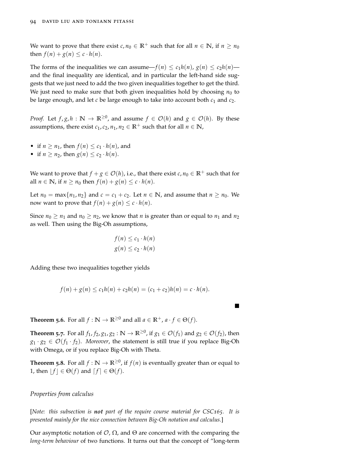We want to prove that there exist  $c, n_0 \in \mathbb{R}^+$  such that for all  $n \in \mathbb{N}$ , if  $n \geq n_0$ then  $f(n) + g(n) \leq c \cdot h(n)$ .

The forms of the inequalities we can assume— $f(n) \leq c_1 h(n)$ ,  $g(n) \leq c_2 h(n)$  and the final inequality are identical, and in particular the left-hand side suggests that we just need to add the two given inequalities together to get the third. We just need to make sure that both given inequalities hold by choosing  $n_0$  to be large enough, and let  $c$  be large enough to take into account both  $c_1$  and  $c_2$ .

*Proof.* Let  $f, g, h : \mathbb{N} \to \mathbb{R}^{\geq 0}$ , and assume  $f \in \mathcal{O}(h)$  and  $g \in \mathcal{O}(h)$ . By these assumptions, there exist  $c_1$ ,  $c_2$ ,  $n_1$ ,  $n_2 \in \mathbb{R}^+$  such that for all  $n \in \mathbb{N}$ ,

- if  $n \geq n_1$ , then  $f(n) \leq c_1 \cdot h(n)$ , and
- if  $n \ge n_2$ , then  $g(n) \le c_2 \cdot h(n)$ .

We want to prove that  $f + g \in \mathcal{O}(h)$ , i.e., that there exist  $c, n_0 \in \mathbb{R}^+$  such that for all  $n \in \mathbb{N}$ , if  $n \ge n_0$  then  $f(n) + g(n) \le c \cdot h(n)$ .

Let  $n_0 = \max\{n_1, n_2\}$  and  $c = c_1 + c_2$ . Let  $n \in \mathbb{N}$ , and assume that  $n \ge n_0$ . We now want to prove that  $f(n) + g(n) \leq c \cdot h(n)$ .

Since  $n_0 \ge n_1$  and  $n_0 \ge n_2$ , we know that *n* is greater than or equal to  $n_1$  and  $n_2$ as well. Then using the Big-Oh assumptions,

$$
f(n) \le c_1 \cdot h(n)
$$
  

$$
g(n) \le c_2 \cdot h(n)
$$

Adding these two inequalities together yields

$$
f(n) + g(n) \le c_1 h(n) + c_2 h(n) = (c_1 + c_2)h(n) = c \cdot h(n).
$$

 $\blacksquare$ 

**Theorem 5.6.** For all  $f : \mathbb{N} \to \mathbb{R}^{\geq 0}$  and all  $a \in \mathbb{R}^+$ ,  $a \cdot f \in \Theta(f)$ .

**Theorem 5.7.** For all  $f_1$ ,  $f_2$ ,  $g_1$ ,  $g_2 : \mathbb{N} \to \mathbb{R}^{\geq 0}$ , if  $g_1 \in \mathcal{O}(f_1)$  and  $g_2 \in \mathcal{O}(f_2)$ , then  $g_1 \cdot g_2 \in \mathcal{O}(f_1 \cdot f_2)$ . *Moreover*, the statement is still true if you replace Big-Oh with Omega, or if you replace Big-Oh with Theta.

**Theorem 5.8.** For all  $f : \mathbb{N} \to \mathbb{R}^{\geq 0}$ , if  $f(n)$  is eventually greater than or equal to 1, then  $|f| \in \Theta(f)$  and  $[f] \in \Theta(f)$ .

*Properties from calculus*

[*Note: this subsection is not part of the require course material for CSC165. It is presented mainly for the nice connection between Big-Oh notation and calculus.*]

Our asymptotic notation of  $\mathcal{O}, \Omega$ , and  $\Theta$  are concerned with the comparing the *long-term behaviour* of two functions. It turns out that the concept of "long-term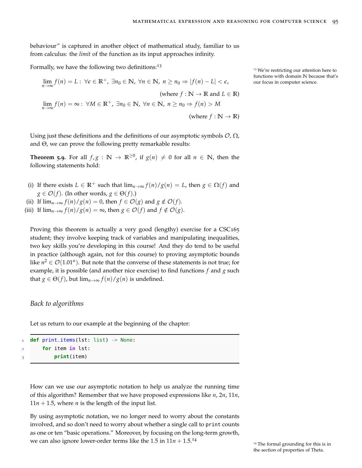behaviour" is captured in another object of mathematical study, familiar to us from calculus: the *limit* of the function as its input approaches infinity.

Formally, we have the following two definitions:<sup>13</sup>

$$
\lim_{n \to \infty} f(n) = L : \forall \epsilon \in \mathbb{R}^+, \exists n_0 \in \mathbb{N}, \forall n \in \mathbb{N}, n \ge n_0 \Rightarrow |f(n) - L| < \epsilon,
$$
\n(where  $f : \mathbb{N} \to \mathbb{R}$  and  $L \in \mathbb{R}$ )

\n
$$
\lim_{n \to \infty} f(n) = \infty : \forall M \in \mathbb{R}^+, \exists n_0 \in \mathbb{N}, \forall n \in \mathbb{N}, n \ge n_0 \Rightarrow f(n) > M
$$
\n(where  $f : \mathbb{N} \to \mathbb{R}$ )

Using just these definitions and the definitions of our asymptotic symbols  $\mathcal{O}, \Omega$ , and Θ, we can prove the following pretty remarkable results:

**Theorem 5.9.** For all  $f, g : \mathbb{N} \to \mathbb{R}^{\geq 0}$ , if  $g(n) \neq 0$  for all  $n \in \mathbb{N}$ , then the following statements hold:

- (i) If there exists  $L \in \mathbb{R}^+$  such that  $\lim_{n\to\infty} f(n)/g(n) = L$ , then  $g \in \Omega(f)$  and  $g \in \mathcal{O}(f)$ . (In other words,  $g \in \Theta(f)$ .)
- (ii) If  $\lim_{n\to\infty} f(n)/g(n) = 0$ , then  $f \in \mathcal{O}(g)$  and  $g \notin \mathcal{O}(f)$ .
- (iii) If  $\lim_{n\to\infty} f(n)/g(n) = \infty$ , then  $g \in \mathcal{O}(f)$  and  $f \notin \mathcal{O}(g)$ .

Proving this theorem is actually a very good (lengthy) exercise for a CSC165 student; they involve keeping track of variables and manipulating inequalities, two key skills you're developing in this course! And they do tend to be useful in practice (although again, not for this course) to proving asymptotic bounds like  $n^2 \in \mathcal{O}(1.01^n)$ . But note that the converse of these statements is not true; for example, it is possible (and another nice exercise) to find functions *f* and *g* such that *g* ∈  $\Theta(f)$ , but  $\lim_{n\to\infty} f(n)/g(n)$  is undefined.

## *Back to algorithms*

Let us return to our example at the beginning of the chapter:

```
1 def print_items(lst: list) -> None:
      2 for item in lst:
3 print(item)
```
How can we use our asymptotic notation to help us analyze the running time of this algorithm? Remember that we have proposed expressions like *n*, 2*n*, 11*n*,  $11n + 1.5$ , where *n* is the length of the input list.

By using asymptotic notation, we no longer need to worry about the constants involved, and so don't need to worry about whether a single call to print counts as one or ten "basic operations." Moreover, by focusing on the long-term growth, we can also ignore lower-order terms like the 1.5 in  $11n + 1.5$ <sup>14</sup>

<sup>13</sup> We're restricting our attention here to functions with domain **N** because that's our focus in computer science.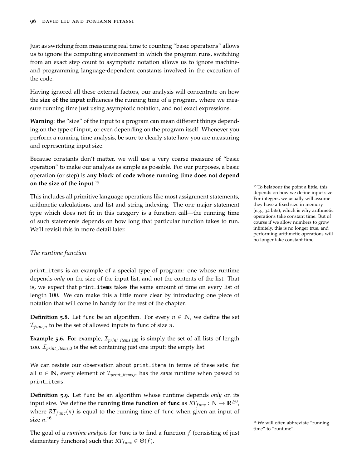Just as switching from measuring real time to counting "basic operations" allows us to ignore the computing environment in which the program runs, switching from an exact step count to asymptotic notation allows us to ignore machineand programming language-dependent constants involved in the execution of the code.

Having ignored all these external factors, our analysis will concentrate on how the **size of the input** influences the running time of a program, where we measure running time just using asymptotic notation, and not exact expressions.

**Warning**: the "size" of the input to a program can mean different things depending on the type of input, or even depending on the program itself. Whenever you perform a running time analysis, be sure to clearly state how you are measuring and representing input size.

Because constants don't matter, we will use a very coarse measure of "basic operation" to make our analysis as simple as possible. For our purposes, a basic operation (or step) is **any block of code whose running time does not depend on the size of the input**. 15

This includes all primitive language operations like most assignment statements, arithmetic calculations, and list and string indexing. The one major statement type which does not fit in this category is a function call—the running time of such statements depends on how long that particular function takes to run. We'll revisit this in more detail later.

<sup>15</sup> To belabour the point a little, this depends on how we define input size. For integers, we usually will assume they have a fixed size in memory (e.g., 32 bits), which is why arithmetic operations take constant time. But of course if we allow numbers to grow infinitely, this is no longer true, and performing arithmetic operations will no longer take constant time.

## *The runtime function*

print\_items is an example of a special type of program: one whose runtime depends *only* on the size of the input list, and not the contents of the list. That is, we expect that print\_items takes the same amount of time on every list of length 100. We can make this a little more clear by introducing one piece of notation that will come in handy for the rest of the chapter.

**Definition 5.8.** Let func be an algorithm. For every  $n \in \mathbb{N}$ , we define the set  $\mathcal{I}_{func,n}$  to be the set of allowed inputs to func of size *n*.

**Example 5.6.** For example, I*print*\_*items*,100 is simply the set of all lists of length 100. I*print*\_*items*,0 is the set containing just one input: the empty list.

We can restate our observation about print\_items in terms of these sets: for all  $n \in \mathbb{N}$ , every element of  $\mathcal{I}_{print \text{ items},n}$  has the *same* runtime when passed to print\_items.

**Definition 5.9.** Let func be an algorithm whose runtime depends *only* on its input size. We define the **running time function of <code>func</code> as**  $RT_{func}: \mathbb{N} \to \mathbb{R}^{\geq 0}$ **,** where  $RT_{func}(n)$  is equal to the running time of func when given an input of size *n*. 16

The goal of a *runtime analysis* for func is to find a function *f* (consisting of just elementary functions) such that  $RT_{func} \in \Theta(f)$ .

 $16$  We will often abbreviate "running time" to "runtime".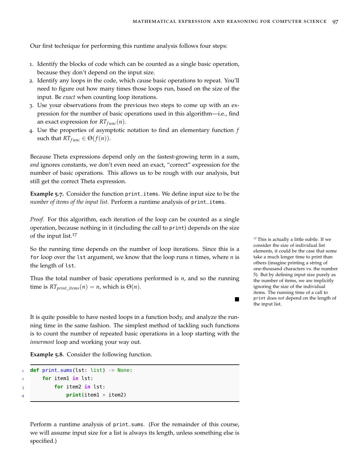Our first technique for performing this runtime analysis follows four steps:

- 1. Identify the blocks of code which can be counted as a single basic operation, because they don't depend on the input size.
- 2. Identify any loops in the code, which cause basic operations to repeat. You'll need to figure out how many times those loops run, based on the size of the input. Be *exact* when counting loop iterations.
- 3. Use your observations from the previous two steps to come up with an expression for the number of basic operations used in this algorithm—i.e., find an exact expression for  $RT_{func}(n)$ .
- 4. Use the properties of asymptotic notation to find an elementary function *f* such that  $RT_{func} \in \Theta(f(n)).$

Because Theta expressions depend only on the fastest-growing term in a sum, *and* ignores constants, we don't even need an exact, "correct" expression for the number of basic operations. This allows us to be rough with our analysis, but still get the correct Theta expression.

**Example 5.7.** Consider the function print\_items. We define input size to be the *number of items of the input list*. Perform a runtime analysis of print\_items.

*Proof.* For this algorithm, each iteration of the loop can be counted as a single operation, because nothing in it (including the call to print) depends on the size of the input list.<sup>17</sup>

So the running time depends on the number of loop iterations. Since this is a for loop over the lst argument, we know that the loop runs *n* times, where *n* is the length of lst.

Thus the total number of basic operations performed is *n*, and so the running time is  $RT_{print\_items}(n) = n$ , which is  $\Theta(n)$ .

others (imagine printing a string of one-thousand characters vs. the number 5). But by defining input size purely as the number of items, we are implicitly ignoring the size of the individual items. The running time of a call to print does *not* depend on the length of the input list.  $\blacksquare$ 

<sup>17</sup> This is actually a little subtle. If we consider the size of individual list elements, it could be the case that some take a much longer time to print than

It is quite possible to have nested loops in a function body, and analyze the running time in the same fashion. The simplest method of tackling such functions is to count the number of repeated basic operations in a loop starting with the *innermost* loop and working your way out.

**Example 5.8.** Consider the following function.

```
1 def print_sums(lst: list) -> None:
      2 for item1 in lst:
3 for item2 in lst:
              4 print(item1 + item2)
```
Perform a runtime analysis of print\_sums. (For the remainder of this course, we will assume input size for a list is always its length, unless something else is specified.)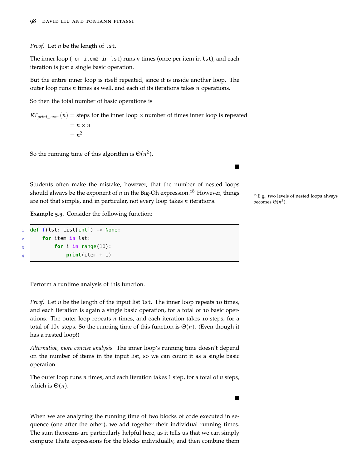*Proof.* Let *n* be the length of lst.

The inner loop (for item2 in lst) runs *n* times (once per item in lst), and each iteration is just a single basic operation.

But the entire inner loop is itself repeated, since it is inside another loop. The outer loop runs *n* times as well, and each of its iterations takes *n* operations.

So then the total number of basic operations is

 $RT_{print\_sum}(n)$  = steps for the inner loop  $\times$  number of times inner loop is repeated  $= n \times n$  $= n^2$ 

So the running time of this algorithm is  $\Theta(n^2)$ .

Students often make the mistake, however, that the number of nested loops should always be the exponent of *n* in the Big-Oh expression.<sup>18</sup> However, things  $\frac{18}{18}$  E.g., two levels of nested loops always are not that simple, and in particular, not every loop takes *n* iterations.

**Example 5.9.** Consider the following function:

```
1 def f(lst: List[int]) -> None:
       2 for item in lst:
\frac{3}{3} for i in range(10):
                4 print(item + i)
```
Perform a runtime analysis of this function.

*Proof.* Let *n* be the length of the input list 1st. The inner loop repeats 10 times, and each iteration is again a single basic operation, for a total of 10 basic operations. The outer loop repeats *n* times, and each iteration takes 10 steps, for a total of 10*n* steps. So the running time of this function is Θ(*n*). (Even though it has a nested loop!)

*Alternative, more concise analysis*. The inner loop's running time doesn't depend on the number of items in the input list, so we can count it as a single basic operation.

The outer loop runs *n* times, and each iteration takes 1 step, for a total of *n* steps, which is  $\Theta(n)$ .

When we are analyzing the running time of two blocks of code executed in sequence (one after the other), we add together their individual running times. The sum theorems are particularly helpful here, as it tells us that we can simply compute Theta expressions for the blocks individually, and then combine them becomes  $\Theta(n^2)$ .

 $\blacksquare$ 

п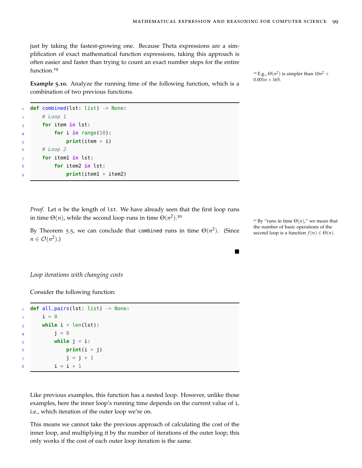$\blacksquare$ 

just by taking the fastest-growing one. Because Theta expressions are a simplification of exact mathematical function expressions, taking this approach is often easier and faster than trying to count an exact number steps for the entire function.<sup>19</sup>

**Example 5.10.** Analyze the running time of the following function, which is a combination of two previous functions.

```
def combined(lst: list) -> None:
     # Loop 1
3 for item in lst:
         for i in range(10):
5 print(item + i)
     # Loop 2
     7 for item1 in lst:
8 for item2 in lst:
9 print(item1 + item2)
```
*Proof.* Let *n* be the length of lst. We have already seen that the first loop runs in time  $\Theta(n)$ , while the second loop runs in time  $\Theta(n^2)$ .<sup>20</sup>

By Theorem [5](#page-92-0).5, we can conclude that combined runs in time  $\Theta(n^2)$ . (Since the number of basic operations of the second loop is a function  $f(n) \in \Theta(n)$ .  $n \in \mathcal{O}(n^2)$ .)

*Loop iterations with changing costs*

Consider the following function:

| 1 def all_pairs(lst: list) -> None:      |
|------------------------------------------|
| $i = 0$                                  |
| while $i < len(lst)$ :<br>$\overline{3}$ |
| $i = 0$                                  |
| while $j < i$ :                          |
| $print(i + j)$                           |
| $j = j + 1$                              |
| $i = i + 1$                              |
|                                          |

Like previous examples, this function has a nested loop. However, unlike those examples, here the inner loop's running time depends on the current value of i, i.e., which iteration of the outer loop we're on.

This means we cannot take the previous approach of calculating the cost of the inner loop, and multiplying it by the number of iterations of the outer loop; this only works if the cost of each outer loop iteration is the same.

<sup>19</sup> E.g.,  $\Theta(n^2)$  is simpler than  $10n^2 +$  $0.001n + 165.$ 

<sup>20</sup> By "runs in time  $\Theta(n)$ ," we mean that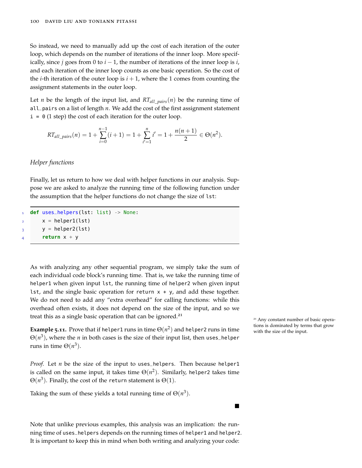So instead, we need to manually add up the cost of each iteration of the outer loop, which depends on the number of iterations of the inner loop. More specifically, since *j* goes from 0 to  $i - 1$ , the number of iterations of the inner loop is *i*, and each iteration of the inner loop counts as one basic operation. So the cost of the *i*-th iteration of the outer loop is  $i + 1$ , where the 1 comes from counting the assignment statements in the outer loop.

Let *n* be the length of the input list, and  $RT_{all\_pairs}(n)$  be the running time of all\_pairs on a list of length *n*. We add the cost of the first assignment statement  $i = 0$  (1 step) the cost of each iteration for the outer loop.

$$
RT_{all\_pairs}(n) = 1 + \sum_{i=0}^{n-1} (i+1) = 1 + \sum_{i'=1}^{n} i' = 1 + \frac{n(n+1)}{2} \in \Theta(n^2).
$$

## *Helper functions*

Finally, let us return to how we deal with helper functions in our analysis. Suppose we are asked to analyze the running time of the following function under the assumption that the helper functions do not change the size of lst:

```
1 def uses_helpers(lst: list) -> None:
     x = \text{helper1}(\text{lst})y = \text{helper2}(lst)4 return x + y
```
As with analyzing any other sequential program, we simply take the sum of each individual code block's running time. That is, we take the running time of helper1 when given input lst, the running time of helper2 when given input lst, and the single basic operation for return  $x + y$ , and add these together. We do not need to add any "extra overhead" for calling functions: while this overhead often exists, it does not depend on the size of the input, and so we treat this as a single basic operation that can be ignored. $^{21}$ 

**Example 5.11.** Prove that if helper1 runs in time  $\Theta(n^2)$  and helper2 runs in time  $\qquad \qquad \text{with the size of the input.}$  $\Theta(n^3)$ , where the  $n$  in both cases is the size of their input list, then uses\_helper runs in time  $\Theta(n^3)$ .

*Proof.* Let *n* be the size of the input to uses\_helpers. Then because helper1 is called on the same input, it takes time  $\Theta(n^2)$ . Similarly, helper2 takes time  $\Theta(n^3)$ . Finally, the cost of the return statement is  $\Theta(1)$ .

Taking the sum of these yields a total running time of  $\Theta(n^3)$ .

Note that unlike previous examples, this analysis was an implication: the running time of uses\_helpers depends on the running times of helper1 and helper2. It is important to keep this in mind when both writing and analyzing your code:

<sup>21</sup> Any constant number of basic opera-

п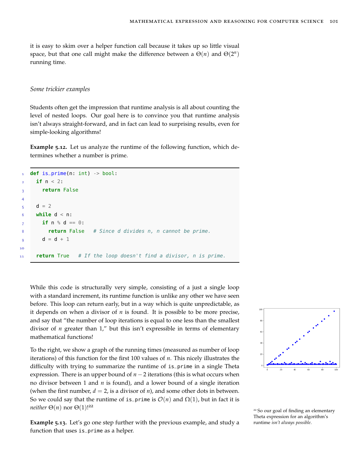it is easy to skim over a helper function call because it takes up so little visual space, but that one call might make the difference between a  $\Theta(n)$  and  $\Theta(2^n)$ running time.

#### *Some trickier examples*

Students often get the impression that runtime analysis is all about counting the level of nested loops. Our goal here is to convince you that runtime analysis isn't always straight-forward, and in fact can lead to surprising results, even for simple-looking algorithms!

**Example 5.12.** Let us analyze the runtime of the following function, which determines whether a number is prime.

```
1 def is_prime(n: int) -> bool:
     if n < 2:
3 return False
 4
5 d = 2
6 while d < n:
       if n \, \textdegree s \, d == 0:
8 return False # Since d divides n, n cannot be prime.
9 d = d + 110
11 return True # If the loop doesn't find a divisor, n is prime.
```
While this code is structurally very simple, consisting of a just a single loop with a standard increment, its runtime function is unlike any other we have seen before. This loop can return early, but in a way which is quite unpredictable, as it depends on when a divisor of  $n$  is found. It is possible to be more precise, and say that "the number of loop iterations is equal to one less than the smallest divisor of *n* greater than 1," but this isn't expressible in terms of elementary mathematical functions!

To the right, we show a graph of the running times (measured as number of loop iterations) of this function for the first 100 values of *n*. This nicely illustrates the difficulty with trying to summarize the runtime of is\_prime in a single Theta expression. There is an upper bound of *n* −2 iterations (this is what occurs when no divisor between 1 and *n* is found), and a lower bound of a single iteration (when the first number,  $d = 2$ , is a divisor of *n*), and some other dots in between. So we could say that the runtime of is\_prime is  $\mathcal{O}(n)$  and  $\Omega(1)$ , but in fact it is *neither*  $\Theta(n)$  nor  $\Theta(1)$ !<sup>22</sup>

**Example 5.13.** Let's go one step further with the previous example, and study a runtime *isn't always possible*. function that uses is\_prime as a helper.



<sup>22</sup> So our goal of finding an elementary Theta expression for an algorithm's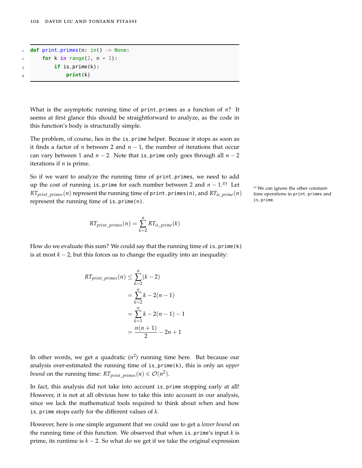```
1 def print_primes(n: int) -> None:
       for k in range(2, n + 1):
\mathbf{i} if is_prime(k):
               4 print(k)
```
What is the asymptotic running time of print\_primes as a function of *n*? It seems at first glance this should be straightforward to analyze, as the code in this function's body is structurally simple.

The problem, of course, lies in the is\_prime helper. Because it stops as soon as it finds a factor of *n* between 2 and  $n - 1$ , the number of iterations that occur can vary between 1 and  $n - 2$ . Note that is\_prime only goes through all  $n - 2$ iterations if *n* is prime.

So if we want to analyze the running time of print\_primes, we need to add up the cost of running is\_prime for each number between 2 and  $n - 1.23$  Let <sup>23</sup> We can ignore the other constant-*RTprint*\_*primes*(*n*) represent the running time of print\_primes(n), and *RTis*\_*prime*(*n*) represent the running time of is\_prime(n).

$$
RT_{print\_primes}(n) = \sum_{k=2}^{n} RT_{is\_prime}(k)
$$

How do we evaluate this sum? We could say that the running time of  $is\_prime(k)$ is at most *k* − 2, but this forces us to change the equality into an inequality:

$$
RT_{print\_primes}(n) \leq \sum_{k=2}^{n} (k-2)
$$
  
=  $\sum_{k=2}^{n} k - 2(n-1)$   
=  $\sum_{k=1}^{n} k - 2(n-1) - 1$   
=  $\frac{n(n+1)}{2} - 2n + 1$ 

In other words, we get a quadratic (*n* 2 ) running time here. But because our analysis over-estimated the running time of is\_prime(k), this is only an *upper bound* on the running time:  $RT_{print\_primes}(n) \in \mathcal{O}(n^2)$ .

In fact, this analysis did not take into account is\_prime stopping early at all! However, it is not at all obvious how to take this into account in our analysis, since we lack the mathematical tools required to think about when and how is\_prime stops early for the different values of *k*.

However, here is one simple argument that we could use to get a *lower bound* on the running time of this function. We observed that when is\_prime's input *k* is prime, its runtime is *k* − 2. So what do we get if we take the original expression time operations in print\_primes and is\_prime.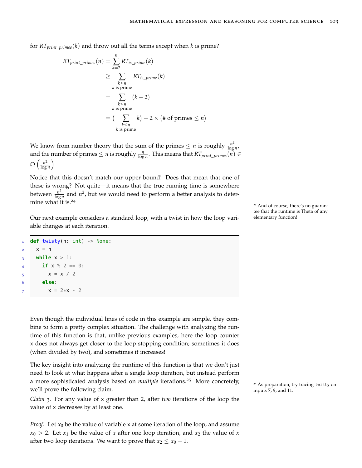for  $RT_{print\_primes}(k)$  and throw out all the terms except when *k* is prime?

$$
RT_{print\_primes}(n) = \sum_{k=2}^{n} RT_{is\_prime}(k)
$$
  
\n
$$
\geq \sum_{\substack{k \leq n \\ k \text{ is prime}}} RT_{is\_prime}(k)
$$
  
\n
$$
= \sum_{\substack{k \leq n \\ k \text{ is prime}}} (k-2)
$$
  
\n
$$
= (\sum_{\substack{k \leq n \\ k \text{ is prime}}} k) - 2 \times (\# \text{ of primes} \leq n)
$$

We know from number theory that the sum of the primes  $\leq n$  is roughly  $\frac{n^2}{\log n}$  $\frac{n}{\log n}$ , and the number of primes  $\leq n$  is roughly  $\frac{n}{\log n}$ . This means that  $RT_{print\_primes}(\breve{n}) \in$  $\Omega\left(\frac{n^2}{\log n}\right)$  $\frac{n^2}{\log n}$ .

Notice that this doesn't match our upper bound! Does that mean that one of these is wrong? Not quite—it means that the true running time is somewhere between  $\frac{n^2}{\log n}$  $\frac{n^2}{\log n}$  and  $n^2$ , but we would need to perform a better analysis to determine what it is.<sup>24</sup>

Our next example considers a standard loop, with a twist in how the loop variable changes at each iteration.

```
def twisty(n: int) -> None:
    x = n3 while x > 1:
     if x % 2 == 0:5 x = x / 26 else:
       x = 2*x - 2
```
Even though the individual lines of code in this example are simple, they combine to form a pretty complex situation. The challenge with analyzing the runtime of this function is that, unlike previous examples, here the loop counter x does not always get closer to the loop stopping condition; sometimes it does (when divided by two), and sometimes it increases!

The key insight into analyzing the runtime of this function is that we don't just need to look at what happens after a single loop iteration, but instead perform a more sophisticated analysis based on *multiple* iterations.<sup>25</sup> More concretely, <sub>25 As preparation, try tracing twisty on</sub> we'll prove the following claim.  $\frac{1}{2}$  inputs 7, 9, and 11.

*Claim* 3*.* For any value of <sup>x</sup> greater than 2, after *two* iterations of the loop the value of x decreases by at least one.

*Proof.* Let  $x_0$  be the value of variable x at some iteration of the loop, and assume  $x_0 > 2$ . Let  $x_1$  be the value of *x* after one loop iteration, and  $x_2$  the value of *x* after two loop iterations. We want to prove that  $x_2 \le x_0 - 1$ .

<sup>24</sup> And of course, there's no guarantee that the runtime is Theta of any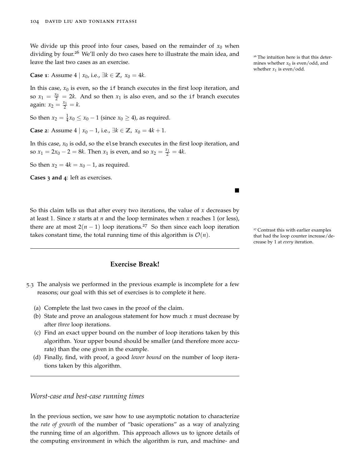We divide up this proof into four cases, based on the remainder of  $x_0$  when dividing by four.<sup>26</sup> We'll only do two cases here to illustrate the main idea, and <sub>26</sub> The intuition here is that this deterleave the last two cases as an exercise.

**Case 1**: Assume 4 | *x*<sub>0</sub>, i.e.,  $\exists k \in \mathbb{Z}$ ,  $x_0 = 4k$ .

In this case,  $x_0$  is even, so the if branch executes in the first loop iteration, and so  $x_1 = \frac{x_0}{2} = 2k$ . And so then  $x_1$  is also even, and so the if branch executes again:  $x_2 = \frac{x_1}{2} = k$ .

So then  $x_2 = \frac{1}{4}x_0 \le x_0 - 1$  (since  $x_0 \ge 4$ ), as required.

**Case** 2: Assume  $4 | x_0 - 1$ , i.e.,  $\exists k \in \mathbb{Z}, x_0 = 4k + 1$ .

In this case,  $x_0$  is odd, so the else branch executes in the first loop iteration, and so  $x_1 = 2x_0 - 2 = 8k$ . Then  $x_1$  is even, and so  $x_2 = \frac{x_1}{2} = 4k$ .

So then  $x_2 = 4k = x_0 - 1$ , as required.

**Cases 3 and 4**: left as exercises.

So this claim tells us that after every two iterations, the value of *x* decreases by at least 1. Since *x* starts at *n* and the loop terminates when *x* reaches 1 (or less), there are at most  $2(n - 1)$  loop iterations.<sup>27</sup> So then since each loop iteration <sup>27</sup> Contrast this with earlier examples takes constant time, the total running time of this algorithm is  $\mathcal{O}(n)$ .

# **Exercise Break!**

- 5.3 The analysis we performed in the previous example is incomplete for a few reasons; our goal with this set of exercises is to complete it here.
	- (a) Complete the last two cases in the proof of the claim.
	- (b) State and prove an analogous statement for how much *x* must decrease by after *three* loop iterations.
	- (c) Find an exact upper bound on the number of loop iterations taken by this algorithm. Your upper bound should be smaller (and therefore more accurate) than the one given in the example.
	- (d) Finally, find, with proof, a good *lower bound* on the number of loop iterations taken by this algorithm.

## *Worst-case and best-case running times*

In the previous section, we saw how to use asymptotic notation to characterize the *rate of growth* of the number of "basic operations" as a way of analyzing the running time of an algorithm. This approach allows us to ignore details of the computing environment in which the algorithm is run, and machine- and mines whether  $x_0$  is even/odd, and whether  $x_1$  is even/odd.

that had the loop counter increase/decrease by 1 at *every* iteration.

 $\blacksquare$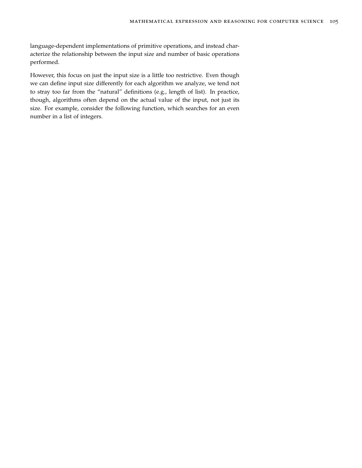language-dependent implementations of primitive operations, and instead characterize the relationship between the input size and number of basic operations performed.

However, this focus on just the input size is a little too restrictive. Even though we can define input size differently for each algorithm we analyze, we tend not to stray too far from the "natural" definitions (e.g., length of list). In practice, though, algorithms often depend on the actual value of the input, not just its size. For example, consider the following function, which searches for an even number in a list of integers.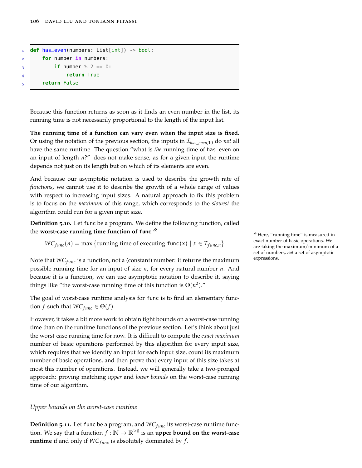```
1 def has_even(numbers: List[int]) -> bool:
       for number in numbers:
\mathbf{i} if number \frac{1}{2} == 0:
               return True
5 return False
```
Because this function returns as soon as it finds an even number in the list, its running time is not necessarily proportional to the length of the input list.

**The running time of a function can vary even when the input size is fixed.** Or using the notation of the previous section, the inputs in I*has*\_*even*,10 do *not* all have the same runtime. The question "what is *the* running time of has\_even on an input of length *n*?" does not make sense, as for a given input the runtime depends not just on its length but on which of its elements are even.

And because our asymptotic notation is used to describe the growth rate of *functions*, we cannot use it to describe the growth of a whole range of values with respect to increasing input sizes. A natural approach to fix this problem is to focus on the *maximum* of this range, which corresponds to the *slowest* the algorithm could run for a given input size.

**Definition 5.10.** Let func be a program. We define the following function, called the **worst-case running time function of func**: 28

 $WC_{func}(n) = \max \{$  *running time of executing func(x)*  $x \in \mathcal{I}_{func,n}\}$ 

Note that *WC*<sub>func</sub> is a function, not a (constant) number: it returns the maximum possible running time for an input of size *n*, for every natural number *n*. And because it is a function, we can use asymptotic notation to describe it, saying things like "the worst-case running time of this function is  $\Theta(n^2)$ ."

The goal of worst-case runtime analysis for func is to find an elementary func- $\text{tion } f \text{ such that } WC_{func} \in \Theta(f).$ 

However, it takes a bit more work to obtain tight bounds on a worst-case running time than on the runtime functions of the previous section. Let's think about just the worst-case running time for now. It is difficult to compute the *exact maximum* number of basic operations performed by this algorithm for every input size, which requires that we identify an input for each input size, count its maximum number of basic operations, and then prove that every input of this size takes at most this number of operations. Instead, we will generally take a two-pronged approach: proving matching *upper* and *lower bounds* on the worst-case running time of our algorithm.

#### *Upper bounds on the worst-case runtime*

**Definition 5.11.** Let func be a program, and  $WC_{func}$  its worst-case runtime function. We say that a function  $f : \mathbb{N} \to \mathbb{R}^{\geq 0}$  is an **upper bound on the worst-case runtime** if and only if  $WC_{func}$  is absolutely dominated by  $f$ .

<sup>28</sup> Here, "running time" is measured in exact number of basic operations. We are taking the maximum/minimum of a set of numbers, *not* a set of asymptotic expressions.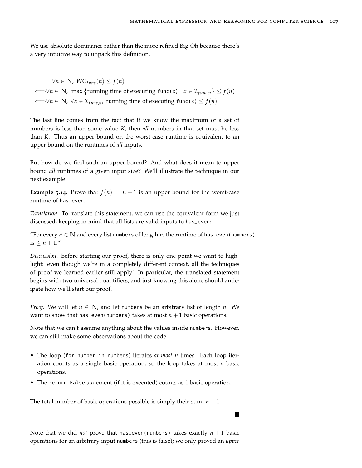$\blacksquare$ 

We use absolute dominance rather than the more refined Big-Oh because there's a very intuitive way to unpack this definition.

 $∀n ∈ ℕ, WC_{func}(n) ≤ f(n)$  $\iff$   $\forall n \in \mathbb{N}$ , max {running time of executing func(x) |  $x \in \mathcal{I}_{func,n}$  }  $\leq f(n)$  $\iff \forall n \in \mathbb{N}, \forall x \in \mathcal{I}_{func,n}$ , running time of executing func(x) ≤  $f(n)$ 

The last line comes from the fact that if we know the maximum of a set of numbers is less than some value *K*, then *all* numbers in that set must be less than *K*. Thus an upper bound on the worst-case runtime is equivalent to an upper bound on the runtimes of *all* inputs.

But how do we find such an upper bound? And what does it mean to upper bound *all* runtimes of a given input size? We'll illustrate the technique in our next example.

**Example 5.14.** Prove that  $f(n) = n + 1$  is an upper bound for the worst-case runtime of has\_even.

*Translation*. To translate this statement, we can use the equivalent form we just discussed, keeping in mind that all lists are valid inputs to has\_even:

"For every  $n \in \mathbb{N}$  and every list numbers of length *n*, the runtime of has\_even(numbers) is  $\leq n+1$ ."

*Discussion*. Before starting our proof, there is only one point we want to highlight: even though we're in a completely different context, all the techniques of proof we learned earlier still apply! In particular, the translated statement begins with two universal quantifiers, and just knowing this alone should anticipate how we'll start our proof.

*Proof.* We will let  $n \in \mathbb{N}$ , and let numbers be an arbitrary list of length *n*. We want to show that has\_even(numbers) takes at most  $n + 1$  basic operations.

Note that we can't assume anything about the values inside numbers. However, we can still make some observations about the code:

- The loop (for number in numbers) iterates *at most n* times. Each loop iteration counts as a single basic operation, so the loop takes at most *n* basic operations.
- The return False statement (if it is executed) counts as 1 basic operation.

The total number of basic operations possible is simply their sum:  $n + 1$ .

Note that we did *not* prove that has\_even(numbers) takes exactly *n* + 1 basic operations for an arbitrary input numbers (this is false); we only proved an *upper*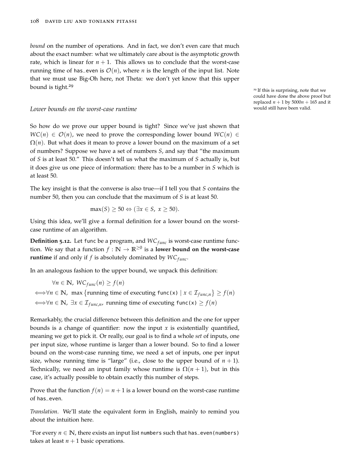*bound* on the number of operations. And in fact, we don't even care that much about the exact number: what we ultimately care about is the asymptotic growth rate, which is linear for  $n + 1$ . This allows us to conclude that the worst-case running time of has\_even is  $\mathcal{O}(n)$ , where *n* is the length of the input list. Note that we must use Big-Oh here, not Theta: we don't yet know that this upper bound is tight.<sup>29</sup>

# *Lower bounds on the worst-case runtime* would still have been valid.

So how do we prove our upper bound is tight? Since we've just shown that  $WC(n) \in \mathcal{O}(n)$ , we need to prove the corresponding lower bound  $WC(n) \in$  $\Omega(n)$ . But what does it mean to prove a lower bound on the maximum of a set of numbers? Suppose we have a set of numbers *S*, and say that "the maximum of *S* is at least 50." This doesn't tell us what the maximum of *S* actually is, but it does give us one piece of information: there has to be a number in *S* which is at least 50.

The key insight is that the converse is also true—if I tell you that *S* contains the number 50, then you can conclude that the maximum of *S* is at least 50.

$$
\max(S) \ge 50 \Leftrightarrow (\exists x \in S, x \ge 50).
$$

Using this idea, we'll give a formal definition for a lower bound on the worstcase runtime of an algorithm.

**Definition 5.12.** Let func be a program, and  $WC_{func}$  is worst-case runtime function. We say that a function  $f : \mathbb{N} \to \mathbb{R}^{\geq 0}$  is a **lower bound on the worst-case runtime** if and only if *f* is absolutely dominated by  $WC_{func}$ .

In an analogous fashion to the upper bound, we unpack this definition:

$$
\forall n \in \mathbb{N}, \ W C_{func}(n) \ge f(n)
$$
  

$$
\iff \forall n \in \mathbb{N}, \text{ max } \{ \text{running time of executing func(x)} \mid x \in \mathcal{I}_{func,n} \} \ge f(n)
$$
  

$$
\iff \forall n \in \mathbb{N}, \exists x \in \mathcal{I}_{func,n}, \text{ running time of executing func(x)} \ge f(n)
$$

Remarkably, the crucial difference between this definition and the one for upper bounds is a change of quantifier: now the input  $x$  is existentially quantified, meaning we get to pick it. Or really, our goal is to find a whole *set* of inputs, one per input size, whose runtime is larger than a lower bound. So to find a lower bound on the worst-case running time, we need a set of inputs, one per input size, whose running time is "large" (i.e., close to the upper bound of  $n + 1$ ). Technically, we need an input family whose runtime is  $\Omega(n+1)$ , but in this case, it's actually possible to obtain exactly this number of steps.

Prove that the function  $f(n) = n + 1$  is a lower bound on the worst-case runtime of has\_even.

*Translation*. We'll state the equivalent form in English, mainly to remind you about the intuition here.

"For every  $n \in \mathbb{N}$ , there exists an input list numbers such that has\_even(numbers) takes at least  $n + 1$  basic operations.

<sup>29</sup> If this is surprising, note that we could have done the above proof but replaced  $n + 1$  by  $5000n + 165$  and it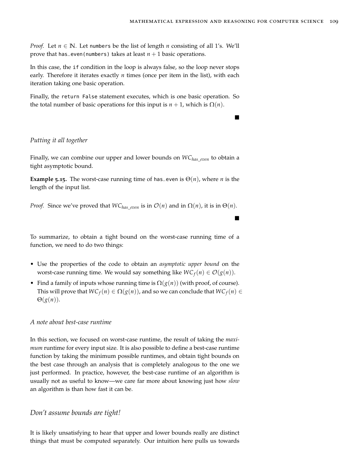$\blacksquare$ 

*Proof.* Let  $n \in \mathbb{N}$ . Let numbers be the list of length *n* consisting of all 1's. We'll prove that has even(numbers) takes at least  $n + 1$  basic operations.

In this case, the if condition in the loop is always false, so the loop never stops early. Therefore it iterates exactly *n* times (once per item in the list), with each iteration taking one basic operation.

Finally, the return False statement executes, which is one basic operation. So the total number of basic operations for this input is  $n + 1$ , which is  $\Omega(n)$ .

#### *Putting it all together*

Finally, we can combine our upper and lower bounds on *WChas*\_*even* to obtain a tight asymptotic bound.

**Example 5.15.** The worst-case running time of has even is  $\Theta(n)$ , where *n* is the length of the input list.

*Proof.* Since we've proved that  $WC_{has\ even}$  is in  $O(n)$  and in  $\Omega(n)$ , it is in  $\Theta(n)$ .

To summarize, to obtain a tight bound on the worst-case running time of a function, we need to do two things:

- Use the properties of the code to obtain an *asymptotic upper bound* on the worst-case running time. We would say something like  $WC_f(n) \in O(g(n))$ .
- Find a family of inputs whose running time is  $\Omega(g(n))$  (with proof, of course). This will prove that  $WC_f(n) \in \Omega(g(n))$ , and so we can conclude that  $WC_f(n) \in$ Θ(*g*(*n*)).

#### *A note about best-case runtime*

In this section, we focused on worst-case runtime, the result of taking the *maximum* runtime for every input size. It is also possible to define a best-case runtime function by taking the minimum possible runtimes, and obtain tight bounds on the best case through an analysis that is completely analogous to the one we just performed. In practice, however, the best-case runtime of an algorithm is usually not as useful to know—we care far more about knowing just how *slow* an algorithm is than how fast it can be.

#### *Don't assume bounds are tight!*

It is likely unsatisfying to hear that upper and lower bounds really are distinct things that must be computed separately. Our intuition here pulls us towards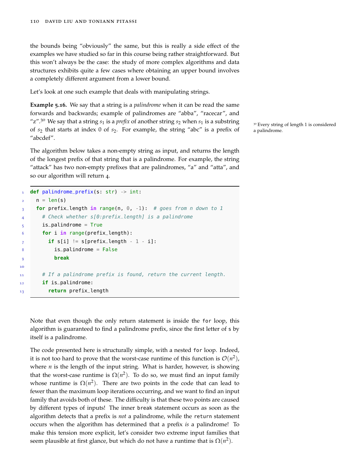the bounds being "obviously" the same, but this is really a side effect of the examples we have studied so far in this course being rather straightforward. But this won't always be the case: the study of more complex algorithms and data structures exhibits quite a few cases where obtaining an upper bound involves a completely different argument from a lower bound.

Let's look at one such example that deals with manipulating strings.

**Example 5.16.** We say that a string is a *palindrome* when it can be read the same forwards and backwards; example of palindromes are "abba", "racecar", and "z".<sup>30</sup> We say that a string  $s_1$  is a *prefix* of another string  $s_2$  when  $s_1$  is a substring  $\frac{s_2}{s_1}$  Every string of length 1 is considered of *s*<sup>2</sup> that starts at index 0 of *s*2. For example, the string "abc" is a prefix of a palindrome. "abcdef".

The algorithm below takes a non-empty string as input, and returns the length of the longest prefix of that string that is a palindrome. For example, the string "attack" has two non-empty prefixes that are palindromes, "a" and "atta", and so our algorithm will return 4.

```
1 def palindrome_prefix(s: str) -> int:
     n = len(s)3 for prefix_length in range(n, 0, -1): # goes from n down to 1
       4 # Check whether s[0:prefix_length] is a palindrome
5 is_palindrome = True
6 for i in range(prefix_length):
         if s[i] != s[prefix_length - 1 - i]:
8 is_palindrome = False
           9 break
10
11 # If a palindrome prefix is found, return the current length.
12 if is_palindrome:
13 return prefix_length
```
Note that even though the only return statement is inside the for loop, this algorithm is guaranteed to find a palindrome prefix, since the first letter of s by itself is a palindrome.

The code presented here is structurally simple, with a nested for loop. Indeed, it is not too hard to prove that the worst-case runtime of this function is  $\mathcal{O}(n^2)$ , where *n* is the length of the input string. What is harder, however, is showing that the worst-case runtime is  $\Omega(n^2)$ . To do so, we must find an input family whose runtime is  $\Omega(n^2)$ . There are two points in the code that can lead to fewer than the maximum loop iterations occurring, and we want to find an input family that avoids both of these. The difficulty is that these two points are caused by different types of inputs! The inner break statement occurs as soon as the algorithm detects that a prefix is *not* a palindrome, while the return statement occurs when the algorithm has determined that a prefix *is* a palindrome! To make this tension more explicit, let's consider two extreme input families that seem plausible at first glance, but which do not have a runtime that is  $\Omega(n^2).$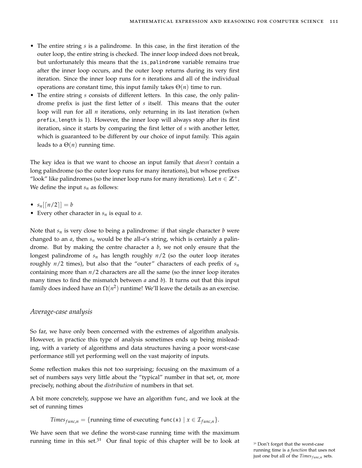- The entire string *s* is a palindrome. In this case, in the first iteration of the outer loop, the entire string is checked. The inner loop indeed does not break, but unfortunately this means that the is\_palindrome variable remains true after the inner loop occurs, and the outer loop returns during its very first iteration. Since the inner loop runs for n iterations and all of the individual operations are constant time, this input family takes  $\Theta(n)$  time to run.
- The entire string *s* consists of different letters. In this case, the only palindrome prefix is just the first letter of *s* itself. This means that the outer loop will run for all *n* iterations, only returning in its last iteration (when prefix\_length is 1). However, the inner loop will always stop after its first iteration, since it starts by comparing the first letter of *s* with another letter, which is guaranteed to be different by our choice of input family. This again leads to a  $\Theta(n)$  running time.

The key idea is that we want to choose an input family that *doesn't* contain a long palindrome (so the outer loop runs for many iterations), but whose prefixes "look" like palindromes (so the inner loop runs for many iterations). Let  $n \in \mathbb{Z}^+$ . We define the input *s<sup>n</sup>* as follows:

- $s_n \lfloor n/2 \rfloor = b$
- Every other character in *s<sup>n</sup>* is equal to *a*.

Note that  $s_n$  is very close to being a palindrome: if that single character *b* were changed to an *a*, then *s<sup>n</sup>* would be the all-*a*'s string, which is certainly a palindrome. But by making the centre character a *b*, we not only ensure that the longest palindrome of *s<sup>n</sup>* has length roughly *n*/2 (so the outer loop iterates roughly  $n/2$  times), but also that the "outer" characters of each prefix of  $s_n$ containing more than *n*/2 characters are all the same (so the inner loop iterates many times to find the mismatch between *a* and *b*). It turns out that this input family does indeed have an  $\Omega(n^2)$  runtime! We'll leave the details as an exercise.

#### *Average-case analysis*

So far, we have only been concerned with the extremes of algorithm analysis. However, in practice this type of analysis sometimes ends up being misleading, with a variety of algorithms and data structures having a poor worst-case performance still yet performing well on the vast majority of inputs.

Some reflection makes this not too surprising; focusing on the maximum of a set of numbers says very little about the "typical" number in that set, or, more precisely, nothing about the *distribution* of numbers in that set.

A bit more concretely, suppose we have an algorithm func, and we look at the set of running times

*Times*<sub>*func*,*n*</sub> = {running time of executing  $func(x) | x \in I_{func,n}$ }.

We have seen that we define the worst-case running time with the maximum running time in this set.<sup>31</sup> Our final topic of this chapter will be to look at  $\frac{31}{100}$  Don't forget that the worst-case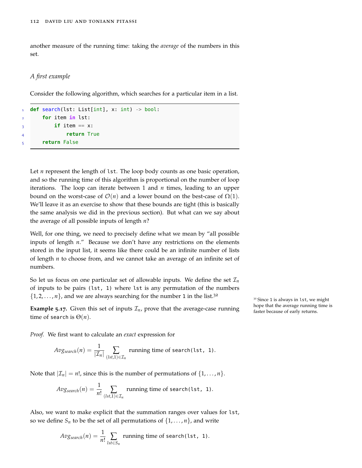another measure of the running time: taking the *average* of the numbers in this set.

*A first example*

Consider the following algorithm, which searches for a particular item in a list.

```
1 def search(lst: List[int], x: int) -> bool:
       2 for item in lst:
\frac{1}{3} if item == x:
                return True
       5 return False
```
Let *n* represent the length of lst. The loop body counts as one basic operation, and so the running time of this algorithm is proportional on the number of loop iterations. The loop can iterate between 1 and *n* times, leading to an upper bound on the worst-case of  $\mathcal{O}(n)$  and a lower bound on the best-case of  $\Omega(1)$ . We'll leave it as an exercise to show that these bounds are tight (this is basically the same analysis we did in the previous section). But what can we say about the average of all possible inputs of length *n*?

Well, for one thing, we need to precisely define what we mean by "all possible inputs of length *n*." Because we don't have any restrictions on the elements stored in the input list, it seems like there could be an infinite number of lists of length *n* to choose from, and we cannot take an average of an infinite set of numbers.

So let us focus on one particular set of allowable inputs. We define the set  $\mathcal{I}_n$ of inputs to be pairs (lst, 1) where lst is any permutation of the numbers  $\{1, 2, \ldots, n\}$ , and we are always searching for the number 1 in the list.<sup>32</sup>

**Example 5.17.** Given this set of inputs  $\mathcal{I}_n$ , prove that the average-case running faster because of early returns. time of search is  $\Theta(n)$ .

*Proof.* We first want to calculate an *exact* expression for

$$
Avg_{search}(n) = \frac{1}{|\mathcal{I}_n|} \sum_{(lst, 1) \in \mathcal{I}_n} \text{ running time of search} (lst, 1).
$$

Note that  $|\mathcal{I}_n| = n!$ , since this is the number of permutations of  $\{1, \ldots, n\}$ .

$$
Avg_{search}(n) = \frac{1}{n!} \sum_{(lst, 1) \in \mathcal{I}_n} \text{running time of search} (lst, 1).
$$

Also, we want to make explicit that the summation ranges over values for lst, so we define  $S_n$  to be the set of all permutations of  $\{1, \ldots, n\}$ , and write

$$
Av_{Ssearch}(n) = \frac{1}{n!} \sum_{lst \in S_n}
$$
 running time of search(lst, 1).

 $32$  Since 1 is always in lst, we might hope that the average running time is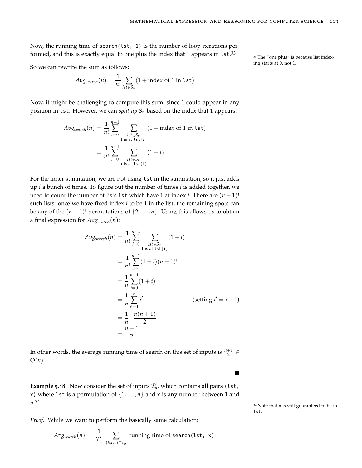Now, the running time of search(lst, 1) is the number of loop iterations performed, and this is exactly equal to one plus the index that 1 appears in  $1st.^{33}$ 

So we can rewrite the sum as follows:  $\frac{1}{2}$  ing starts at 0, not 1.

$$
Avg_{search}(n) = \frac{1}{n!} \sum_{lst \in S_n} (1 + \text{index of 1 in 1st})
$$

Now, it might be challenging to compute this sum, since 1 could appear in any position in lst. However, we can *split up S<sup>n</sup>* based on the index that 1 appears:

$$
Avg_{search}(n) = \frac{1}{n!} \sum_{i=0}^{n-1} \sum_{\substack{lst \in S_n \\ 1 \text{ is at } l \text{ st}[i] \\ i=0}} (1 + \text{index of 1 in } l \text{ st})
$$

$$
= \frac{1}{n!} \sum_{i=0}^{n-1} \sum_{\substack{lst \in S_n \\ 1 \text{ is at } l \text{ st}[i]}} (1 + i)
$$

For the inner summation, we are not using lst in the summation, so it just adds up *i* a bunch of times. To figure out the number of times *i* is added together, we need to count the number of lists 1st which have 1 at index *i*. There are  $(n - 1)!$ such lists: once we have fixed index *i* to be 1 in the list, the remaining spots can be any of the  $(n - 1)!$  permutations of  $\{2, \ldots, n\}$ . Using this allows us to obtain a final expression for *Avgsearch*(*n*):

$$
Avg_{search}(n) = \frac{1}{n!} \sum_{i=0}^{n-1} \sum_{\substack{lst \in S_n \\ 1 \text{ is at } l \le t[i]}} (1+i)
$$
  
= 
$$
\frac{1}{n!} \sum_{i=0}^{n-1} (1+i)(n-1)!
$$
  
= 
$$
\frac{1}{n} \sum_{i=0}^{n-1} (1+i)
$$
  
= 
$$
\frac{1}{n} \sum_{i'=1}^{n} i'
$$
 (setting  $i' = i + 1$ )  
= 
$$
\frac{1}{n} \cdot \frac{n(n+1)}{2}
$$
  
= 
$$
\frac{n+1}{2}
$$

In other words, the average running time of search on this set of inputs is  $\frac{n+1}{2} \in$ Θ(*n*).

**Example 5.18.** Now consider the set of inputs  $\mathcal{I}'_n$ , which contains all pairs (lst, x) where 1st is a permutation of  $\{1, \ldots, n\}$  and x is any number between 1 and *n*. 34

*Proof.* While we want to perform the basically same calculation:

$$
Avg_{search}(n) = \frac{1}{|\mathcal{I}'_n|} \sum_{(lst, x) \in \mathcal{I}'_n} \text{ running time of search} (\text{lst, x}).
$$

<sup>33</sup> The "one plus" is because list index-

<sup>34</sup> Note that x is still guaranteed to be in lst.

П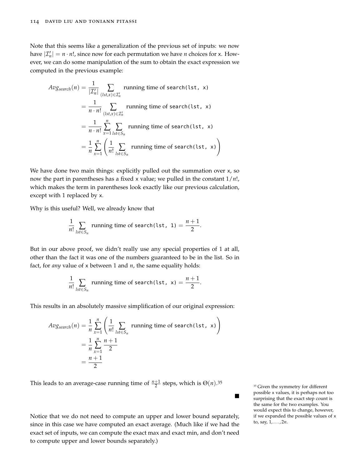Note that this seems like a generalization of the previous set of inputs: we now have  $|\mathcal{I}'_n| = n \cdot n!$ , since now for each permutation we have *n* choices for x. However, we can do some manipulation of the sum to obtain the exact expression we computed in the previous example:

$$
Avg_{search}(n) = \frac{1}{|\mathcal{I}'_n|} \sum_{\substack{(lst, x) \in \mathcal{I}'_n}} \text{running time of search}(\text{lst, x})
$$
\n
$$
= \frac{1}{n \cdot n!} \sum_{\substack{(lst, x) \in \mathcal{I}'_n}} \text{running time of search}(\text{lst, x})
$$
\n
$$
= \frac{1}{n \cdot n!} \sum_{x=1}^n \sum_{\substack{lst \in S_n}} \text{running time of search}(\text{lst, x})
$$
\n
$$
= \frac{1}{n} \sum_{x=1}^n \left( \frac{1}{n!} \sum_{\substack{lst \in S_n}} \text{running time of search}(\text{lst, x}) \right)
$$

We have done two main things: explicitly pulled out the summation over x, so now the part in parentheses has a fixed x value; we pulled in the constant 1/*n*!, which makes the term in parentheses look exactly like our previous calculation, except with 1 replaced by x.

Why is this useful? Well, we already know that

$$
\frac{1}{n!} \sum_{\text{lst} \in S_n} \text{running time of search}(\text{lst, 1}) = \frac{n+1}{2}.
$$

But in our above proof, we didn't really use any special properties of 1 at all, other than the fact it was one of the numbers guaranteed to be in the list. So in fact, for *any* value of x between 1 and *n*, the same equality holds:

$$
\frac{1}{n!} \sum_{\text{lst} \in S_n} \text{running time of search}(\text{lst}, \ x) = \frac{n+1}{2}.
$$

This results in an absolutely massive simplification of our original expression:

$$
Avg_{search}(n) = \frac{1}{n} \sum_{x=1}^{n} \left( \frac{1}{n!} \sum_{\substack{lst \in S_n}} \text{running time of search(lst, x)} \right)
$$

$$
= \frac{1}{n} \sum_{x=1}^{n} \frac{n+1}{2}
$$

$$
= \frac{n+1}{2}
$$

This leads to an average-case running time of  $\frac{n+1}{2}$  steps, which is  $\Theta(n)$ .<sup>35</sup>

Notice that we do not need to compute an upper and lower bound separately, since in this case we have computed an exact average. (Much like if we had the exact set of inputs, we can compute the exact max and exact min, and don't need to compute upper and lower bounds separately.)

<sup>35</sup> Given the symmetry for different possible x values, it is perhaps not too surprising that the exact step count is the same for the two examples. You would expect this to change, however, if we expanded the possible values of x to, say, 1, . . . , 2*n*.

 $\blacksquare$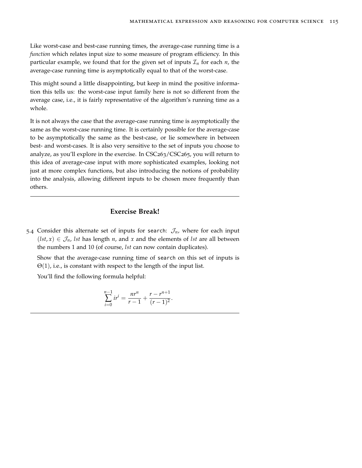Like worst-case and best-case running times, the average-case running time is a *function* which relates input size to some measure of program efficiency. In this particular example, we found that for the given set of inputs  $\mathcal{I}_n$  for each  $n$ , the average-case running time is asymptotically equal to that of the worst-case.

This might sound a little disappointing, but keep in mind the positive information this tells us: the worst-case input family here is not so different from the average case, i.e., it is fairly representative of the algorithm's running time as a whole.

It is not always the case that the average-case running time is asymptotically the same as the worst-case running time. It is certainly possible for the average-case to be asymptotically the same as the best-case, or lie somewhere in between best- and worst-cases. It is also very sensitive to the set of inputs you choose to analyze, as you'll explore in the exercise. In CSC263/CSC265, you will return to this idea of average-case input with more sophisticated examples, looking not just at more complex functions, but also introducing the notions of probability into the analysis, allowing different inputs to be chosen more frequently than others.

## **Exercise Break!**

5.4 Consider this alternate set of inputs for search:  $\mathcal{J}_n$ , where for each input  $(lst, x) \in \mathcal{J}_n$ , *lst* has length *n*, and *x* and the elements of *lst* are all between the numbers 1 and 10 (of course, *lst* can now contain duplicates).

Show that the average-case running time of search on this set of inputs is  $\Theta(1)$ , i.e., is constant with respect to the length of the input list.

You'll find the following formula helpful:

$$
\sum_{i=0}^{n-1} ir^i = \frac{nr^n}{r-1} + \frac{r-r^{n+1}}{(r-1)^2}.
$$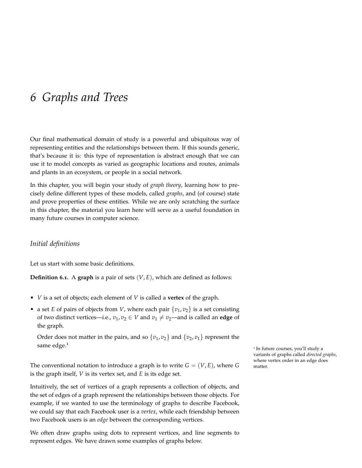## *6 Graphs and Trees*

Our final mathematical domain of study is a powerful and ubiquitous way of representing entities and the relationships between them. If this sounds generic, that's because it is: this type of representation is abstract enough that we can use it to model concepts as varied as geographic locations and routes, animals and plants in an ecosystem, or people in a social network.

In this chapter, you will begin your study of *graph theory*, learning how to precisely define different types of these models, called *graphs*, and (of course) state and prove properties of these entities. While we are only scratching the surface in this chapter, the material you learn here will serve as a useful foundation in many future courses in computer science.

## *Initial definitions*

Let us start with some basic definitions.

**Definition 6.1.** A **graph** is a pair of sets (*V*, *E*), which are defined as follows:

- *V* is a set of objects; each element of *V* is called a **vertex** of the graph.
- a set *E* of pairs of objects from *V*, where each pair  $\{v_1, v_2\}$  is a set consisting of two distinct vertices—i.e.,  $v_1$ ,  $v_2 \in V$  and  $v_1 \neq v_2$ —and is called an **edge** of the graph.

Order does not matter in the pairs, and so  $\{v_1, v_2\}$  and  $\{v_2, v_1\}$  represent the same edge.<sup>1</sup>

The conventional notation to introduce a graph is to write  $G = (V, E)$ , where  $G$  matter. is the graph itself, *V* is its vertex set, and *E* is its edge set.

Intuitively, the set of vertices of a graph represents a collection of objects, and the set of edges of a graph represent the relationships between those objects. For example, if we wanted to use the terminology of graphs to describe Facebook, we could say that each Facebook user is a *vertex*, while each friendship between two Facebook users is an *edge* between the corresponding vertices.

We often draw graphs using dots to represent vertices, and line segments to represent edges. We have drawn some examples of graphs below.

<sup>1</sup> In future courses, you'll study a variants of graphs called *directed graphs*, where vertex order in an edge does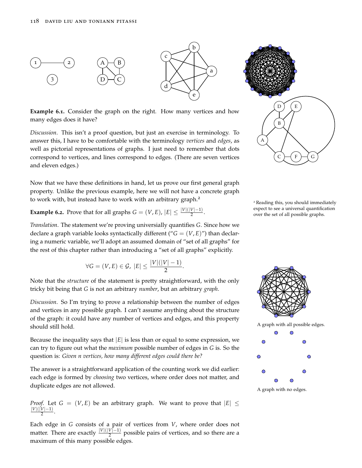

**Example 6.1.** Consider the graph on the right. How many vertices and how many edges does it have?

*Discussion*. This isn't a proof question, but just an exercise in terminology. To answer this, I have to be comfortable with the terminology *vertices* and *edges*, as well as pictorial representations of graphs. I just need to remember that dots correspond to vertices, and lines correspond to edges. (There are seven vertices and eleven edges.)

Now that we have these definitions in hand, let us prove our first general graph property. Unlike the previous example, here we will not have a concrete graph to work with, but instead have to work with an arbitrary graph.<sup>2</sup>

<span id="page-117-0"></span>**Example 6.2.** Prove that for all graphs  $G = (V, E)$ ,  $|E| \leq \frac{|V|(|V|-1)}{2}$ . expect to see a universal quantificity over the set of all possible graphs.



<sup>2</sup> Reading this, you should immediately expect to see a universal quantification



$$
\forall G=(V,E)\in\mathcal{G},\ |E|\leq\frac{|V|(|V|-1)}{2}.
$$

Note that the *structure* of the statement is pretty straightforward, with the only tricky bit being that *G* is not an arbitrary *number*, but an arbitrary *graph*.

*Discussion*. So I'm trying to prove a relationship between the number of edges and vertices in any possible graph. I can't assume anything about the structure of the graph: it could have any number of vertices and edges, and this property should still hold. A graph with all possible edges.

Because the inequality says that  $|E|$  is less than or equal to some expression, we can try to figure out what the *maximum* possible number of edges in *G* is. So the question is: *Given n vertices, how many different edges could there be?*

The answer is a straightforward application of the counting work we did earlier: each edge is formed by *choosing* two vertices, where order does not matter, and duplicate edges are not allowed.

*Proof.* Let  $G = (V, E)$  be an arbitrary graph. We want to prove that  $|E| \le$ |*V*|(|*V*|−1)  $\frac{\frac{v_1-1}{2}}{2}$ .

Each edge in *G* consists of a pair of vertices from *V*, where order does not matter. There are exactly  $\frac{|V|(|V|-1)}{2}$  possible pairs of vertices, and so there are a maximum of this many possible edges.

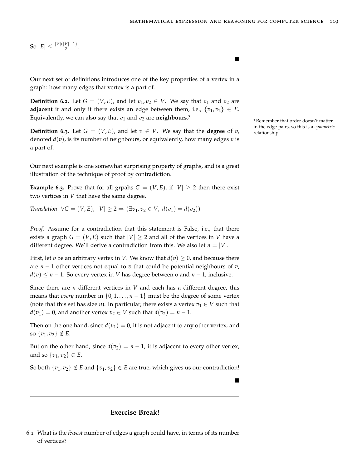$\blacksquare$ 

So  $|E| \leq \frac{|V|(|V|-1)}{2}$ .

Our next set of definitions introduces one of the key properties of a vertex in a graph: how many edges that vertex is a part of.

**Definition 6.2.** Let  $G = (V, E)$ , and let  $v_1, v_2 \in V$ . We say that  $v_1$  and  $v_2$  are **adjacent** if and only if there exists an edge between them, i.e.,  $\{v_1, v_2\} \in E$ . Equivalently, we can also say that  $v_1$  and  $v_2$  are **neighbours**.<sup>3</sup>

**Definition 6.3.** Let  $G = (V, E)$ , and let  $v \in V$ . We say that the **degree** of *v*, relationship. denoted *d*(*v*), is its number of neighbours, or equivalently, how many edges *v* is a part of.

Our next example is one somewhat surprising property of graphs, and is a great illustration of the technique of proof by contradiction.

**Example 6.3.** Prove that for all grpahs  $G = (V, E)$ , if  $|V| \ge 2$  then there exist two vertices in *V* that have the same degree.

*Translation*.  $\forall G = (V, E), |V| > 2 \Rightarrow (\exists v_1, v_2 \in V, d(v_1) = d(v_2))$ 

*Proof.* Assume for a contradiction that this statement is False, i.e., that there exists a graph  $G = (V, E)$  such that  $|V| \ge 2$  and all of the vertices in *V* have a different degree. We'll derive a contradiction from this. We also let  $n = |V|$ .

First, let *v* be an arbitrary vertex in *V*. We know that  $d(v) \geq 0$ , and because there are *n* − 1 other vertices not equal to *v* that could be potential neighbours of *v*, *d*(*v*) ≤ *n* − 1. So every vertex in *V* has degree between o and *n* − 1, inclusive.

Since there are *n* different vertices in *V* and each has a different degree, this means that *every* number in  $\{0, 1, \ldots, n-1\}$  must be the degree of some vertex (note that this set has size *n*). In particular, there exists a vertex  $v_1 \in V$  such that  $d(v_1) = 0$ , and another vertex  $v_2 \in V$  such that  $d(v_2) = n - 1$ .

Then on the one hand, since  $d(v_1) = 0$ , it is not adjacent to any other vertex, and so  $\{v_1, v_2\} \notin E$ .

But on the other hand, since  $d(v_2) = n - 1$ , it is adjacent to every other vertex, and so  $\{v_1, v_2\} \in E$ .

So both  $\{v_1, v_2\} \notin E$  and  $\{v_1, v_2\} \in E$  are true, which gives us our contradiction!

**Exercise Break!**

<sup>3</sup> Remember that order doesn't matter in the edge pairs, so this is a *symmetric*

<sup>6</sup>.1 What is the *fewest* number of edges a graph could have, in terms of its number of vertices?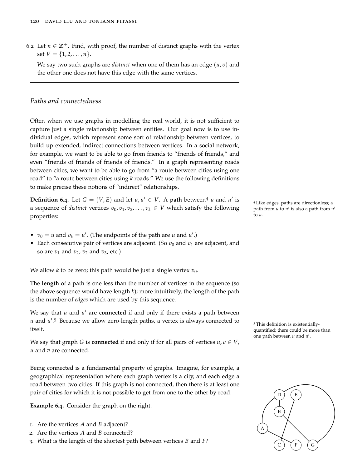6.2 Let  $n \in \mathbb{Z}^+$ . Find, with proof, the number of distinct graphs with the vertex set  $V = \{1, 2, ..., n\}.$ 

We say two such graphs are *distinct* when one of them has an edge (*u*, *v*) and the other one does not have this edge with the same vertices.

## *Paths and connectedness*

Often when we use graphs in modelling the real world, it is not sufficient to capture just a single relationship between entities. Our goal now is to use individual edges, which represent some sort of relationship between vertices, to build up extended, indirect connections between vertices. In a social network, for example, we want to be able to go from friends to "friends of friends," and even "friends of friends of friends of friends." In a graph representing roads between cities, we want to be able to go from "a route between cities using one road" to "a route between cities using *k* roads." We use the following definitions to make precise these notions of "indirect" relationships.

**Definition 6.4.** Let  $G = (V, E)$  and let  $u, u' \in V$ . A **path** between<sup>4</sup> *u* and  $u'$ a sequence of *distinct* vertices  $v_0, v_1, v_2, \ldots, v_k \in V$  which satisfy the following properties:

- $v_0 = u$  and  $v_k = u'$ . (The endpoints of the path are *u* and *u'*.)
- Each consecutive pair of vertices are adjacent. (So  $v_0$  and  $v_1$  are adjacent, and so are  $v_1$  and  $v_2$ ,  $v_2$  and  $v_3$ , etc.)

We allow *k* to be zero; this path would be just a single vertex  $v_0$ .

The **length** of a path is one less than the number of vertices in the sequence (so the above sequence would have length *k*); more intuitively, the length of the path is the number of *edges* which are used by this sequence.

We say that *u* and *u'* are **connected** if and only if there exists a path between *u* and *u'*.<sup>5</sup> Because we allow zero-length paths, a vertex is always connected to <sup>5</sup> This definition is existentiallyitself.

We say that graph *G* is **connected** if and only if for all pairs of vertices  $u, v \in V$ , *u* and *v* are connected.

Being connected is a fundamental property of graphs. Imagine, for example, a geographical representation where each graph vertex is a city, and each edge a road between two cities. If this graph is not connected, then there is at least one pair of cities for which it is not possible to get from one to the other by road.

**Example 6.4.** Consider the graph on the right.

- 1. Are the vertices *A* and *B* adjacent?
- 2. Are the vertices *A* and *B* connected?
- 3. What is the length of the shortest path between vertices *B* and *F*?

<sup>4</sup> Like edges, paths are directionless; a path from *u* to *u'* is also a path from *u'* to *u*.

quantified; there could be more than one path between  $u$  and  $u'$ .

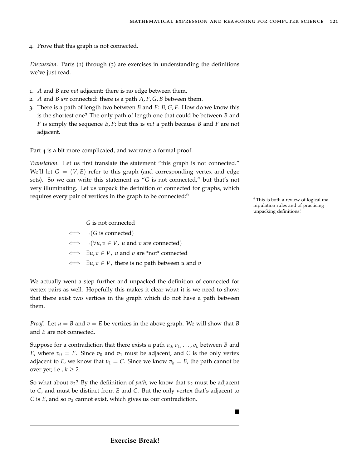4. Prove that this graph is not connected.

*Discussion*. Parts (1) through (3) are exercises in understanding the definitions we've just read.

- 1. *A* and *B* are *not* adjacent: there is no edge between them.
- 2. *A* and *B are* connected: there is a path *A*, *F*, *G*, *B* between them.
- 3. There is a path of length two between *B* and *F*: *B*, *G*, *F*. How do we know this is the shortest one? The only path of length one that could be between *B* and *F* is simply the sequence *B*, *F*; but this is *not* a path because *B* and *F* are not adjacent.

Part 4 is a bit more complicated, and warrants a formal proof.

*Translation*. Let us first translate the statement "this graph is not connected." We'll let  $G = (V, E)$  refer to this graph (and corresponding vertex and edge sets). So we can write this statement as "*G* is not connected," but that's not very illuminating. Let us unpack the definition of connected for graphs, which requires every pair of vertices in the graph to be connected:<sup>6</sup>

<sup>6</sup> This is both a review of logical manipulation rules and of practicing unpacking definitions!

*G* is not connected ⇐⇒ ¬(*G* is connected)  $\iff \neg(\forall u, v \in V, u \text{ and } v \text{ are connected})$ ⇐⇒ ∃*u*, *v* ∈ *V*, *u* and *v* are \*not\* connected ⇐⇒ ∃*u*, *v* ∈ *V*, there is no path between *u* and *v*

We actually went a step further and unpacked the definition of connected for vertex pairs as well. Hopefully this makes it clear what it is we need to show: that there exist two vertices in the graph which do not have a path between them.

*Proof.* Let  $u = B$  and  $v = E$  be vertices in the above graph. We will show that B and *E* are not connected.

Suppose for a contradiction that there exists a path  $v_0, v_1, \ldots, v_k$  between *B* and *E*, where  $v_0 = E$ . Since  $v_0$  and  $v_1$  must be adjacent, and *C* is the only vertex adjacent to *E*, we know that  $v_1 = C$ . Since we know  $v_k = B$ , the path cannot be over yet; i.e.,  $k \geq 2$ .

So what about  $v_2$ ? By the defiinition of *path*, we know that  $v_2$  must be adjacent to *C*, and must be distinct from *E* and *C*. But the only vertex that's adjacent to *C* is *E*, and so  $v_2$  cannot exist, which gives us our contradiction.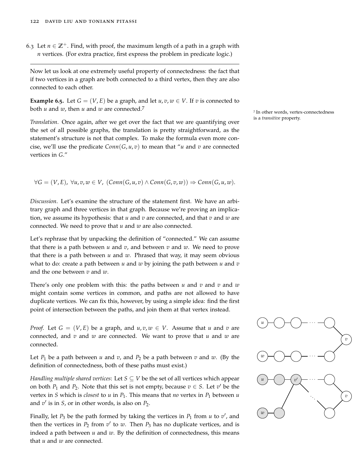6.3 Let  $n \in \mathbb{Z}^+$ . Find, with proof, the maximum length of a path in a graph with *n* vertices. (For extra practice, first express the problem in predicate logic.)

Now let us look at one extremely useful property of connectedness: the fact that if two vertices in a graph are both connected to a third vertex, then they are also connected to each other.

<span id="page-121-0"></span>**Example 6.5.** Let  $G = (V, E)$  be a graph, and let  $u, v, w \in V$ . If v is connected to both *<sup>u</sup>* and *<sup>w</sup>*, then *<sup>u</sup>* and *<sup>w</sup>* are connected.<sup>7</sup>

is a *transitive* property. *Translation*. Once again, after we get over the fact that we are quantifying over the set of all possible graphs, the translation is pretty straightforward, as the statement's structure is not that complex. To make the formula even more concise, we'll use the predicate  $Conn(G, u, v)$  to mean that "*u* and *v* are connected vertices in *G*."

 $∀G = (V, E), ∀u, v, w ∈ V, (Conn(G, u, v) ∧ Conn(G, v, w)) ⇒ Conn(G, u, w).$ 

*Discussion*. Let's examine the structure of the statement first. We have an arbitrary graph and three vertices in that graph. Because we're proving an implication, we assume its hypothesis: that *u* and *v* are connected, and that *v* and *w* are connected. We need to prove that *u* and *w* are also connected.

Let's rephrase that by unpacking the definition of "connected." We can assume that there is a path between  $u$  and  $v$ , and between  $v$  and  $w$ . We need to prove that there is a path between  $u$  and  $w$ . Phrased that way, it may seem obvious what to do: create a path between *u* and *w* by joining the path between *u* and *v* and the one between *v* and *w*.

There's only one problem with this: the paths between *u* and *v* and *v* and *w* might contain some vertices in common, and paths are not allowed to have duplicate vertices. We can fix this, however, by using a simple idea: find the first point of intersection between the paths, and join them at that vertex instead.

*Proof.* Let  $G = (V, E)$  be a graph, and  $u, v, w \in V$ . Assume that *u* and *v* are connected, and *v* and *w* are connected. We want to prove that *u* and *w* are connected.

Let  $P_1$  be a path between  $u$  and  $v$ , and  $P_2$  be a path between  $v$  and  $w$ . (By the definition of connectedness, both of these paths must exist.)

*Handling multiple shared vertices*: Let *S* ⊆ *V* be the set of all vertices which appear on both  $P_1$  and  $P_2$ . Note that this set is not empty, because  $v \in S$ . Let  $v'$  be the vertex in *S* which is *closest* to *u* in  $P_1$ . This means that *no* vertex in  $P_1$  between *u* and  $v'$  is in *S*, or in other words, is also on  $P_2$ .

Finally, let  $P_3$  be the path formed by taking the vertices in  $P_1$  from  $u$  to  $v'$ , and then the vertices in  $P_2$  from  $v'$  to  $w$ . Then  $P_3$  has no duplicate vertices, and is indeed a path between *u* and *w*. By the definition of connectedness, this means that *u* and *w* are connected.

7 In other words, vertex-connectedness

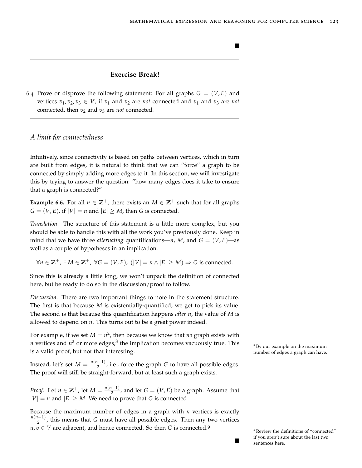## **Exercise Break!**

6.4 Prove or disprove the following statement: For all graphs  $G = (V, E)$  and vertices  $v_1, v_2, v_3 \in V$ , if  $v_1$  and  $v_2$  are *not* connected and  $v_1$  and  $v_3$  are *not* connected, then  $v_2$  and  $v_3$  are *not* connected.

#### *A limit for connectedness*

Intuitively, since connectivity is based on paths between vertices, which in turn are built from edges, it is natural to think that we can "force" a graph to be connected by simply adding more edges to it. In this section, we will investigate this by trying to answer the question: "how many edges does it take to ensure that a graph is connected?"

**Example 6.6.** For all  $n \in \mathbb{Z}^+$ , there exists an  $M \in \mathbb{Z}^+$  such that for all graphs  $G = (V, E)$ , if  $|V| = n$  and  $|E| \ge M$ , then *G* is connected.

*Translation*. The structure of this statement is a little more complex, but you should be able to handle this with all the work you've previously done. Keep in mind that we have three *alternating* quantifications—*n*, *M*, and  $G = (V, E)$ —as well as a couple of hypotheses in an implication.

 $∀n ∈ \mathbb{Z}^+$ ,  $∃M ∈ \mathbb{Z}^+$ ,  $∀G = (V, E)$ ,  $(|V| = n ∧ |E| ≥ M) ⇒ G$  is connected.

Since this is already a little long, we won't unpack the definition of connected here, but be ready to do so in the discussion/proof to follow.

*Discussion*. There are two important things to note in the statement structure. The first is that because *M* is existentially-quantified, we get to pick its value. The second is that because this quantification happens *after n*, the value of *M* is allowed to depend on *n*. This turns out to be a great power indeed.

For example, if we set  $M = n^2$ , then because we know that *no* graph exists with *n* vertices and  $n^2$  or more edges, <sup>8</sup> the implication becomes vacuously true. This  $\frac{8}{\text{By our example on the maximum}}$  $\frac{8}{\text{By our example on the maximum}}$  $\frac{8}{\text{By our example on the maximum}}$  $\frac{n}{s}$  vertices and  $n$  or more edges, the implication becomes vacuously true. This  $\frac{s}{s}$  by our example on the maximum is a valid proof, but not that interesting.

Instead, let's set  $M = \frac{n(n-1)}{2}$  $\frac{(-1)}{2}$ , i.e., force the graph *G* to have all possible edges. The proof will still be straight-forward, but at least such a graph exists.

*Proof.* Let  $n \in \mathbb{Z}^+$ , let  $M = \frac{n(n-1)}{2}$  $\frac{(-1)^{n-1}}{2}$ , and let  $G = (V, E)$  be a graph. Assume that  $|V| = n$  and  $|E| \geq M$ . We need to prove that *G* is connected.

Because the maximum number of edges in a graph with *n* vertices is exactly *n*(*n*−1)  $\frac{(-1)}{2}$ , this means that *G* must have all possible edges. Then any two vertices  $u, v \in V$  are adjacent, and hence connected. So then *G* is connected.<sup>9</sup>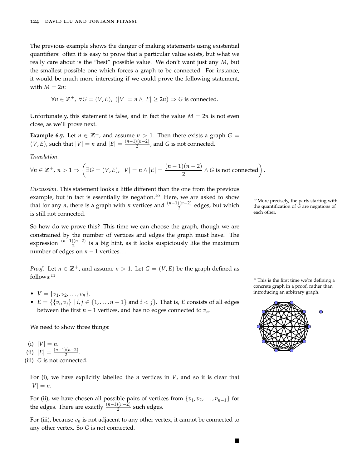The previous example shows the danger of making statements using existential quantifiers: often it is easy to prove that a particular value exists, but what we really care about is the "best" possible value. We don't want just any *M*, but the smallest possible one which forces a graph to be connected. For instance, it would be much more interesting if we could prove the following statement, with  $M = 2n$ :

$$
\forall n \in \mathbb{Z}^+, \ \forall G = (V, E), \ (|V| = n \land |E| \ge 2n) \Rightarrow G \text{ is connected.}
$$

Unfortunately, this statement is false, and in fact the value  $M = 2n$  is not even close, as we'll prove next.

**Example 6.7.** Let  $n \in \mathbb{Z}^+$ , and assume  $n > 1$ . Then there exists a graph  $G =$  $(V, E)$ , such that  $|V| = n$  and  $|E| = \frac{(n-1)(n-2)}{2}$  $\frac{2(n-2)}{2}$ , and *G* is not connected.

*Translation*.

$$
\forall n \in \mathbb{Z}^+, n > 1 \Rightarrow \left( \exists G = (V, E), |V| = n \land |E| = \frac{(n-1)(n-2)}{2} \land G \text{ is not connected} \right).
$$

*Discussion*. This statement looks a little different than the one from the previous example, but in fact is essentially its negation.<sup>10</sup> Here, we are asked to show More precisely, the parts starting with that for any *n*, there is a graph with *n* vertices and  $\frac{(n-1)(n-2)}{2}$  edges, but which is still not connected.

the quantification of *G* are negations of each other.

So how do we prove this? This time we can choose the graph, though we are constrained by the number of vertices and edges the graph must have. The expression  $\frac{(n-1)(n-2)}{2}$  is a big hint, as it looks suspiciously like the maximum number of edges on  $n − 1$  vertices...

*Proof.* Let  $n \in \mathbb{Z}^+$ , and assume  $n > 1$ . Let  $G = (V, E)$  be the graph defined as follows:<sup>11</sup>

- 
- $E = \{\{v_i, v_j\} \mid i, j \in \{1, \ldots, n-1\} \text{ and } i < j\}.$  That is, *E* consists of all edges between the first  $n - 1$  vertices, and has no edges connected to  $v_n$ .

We need to show three things:

(i)  $|V| = n$ .

 $(iii)$   $|E| = \frac{(n-1)(n-2)}{2}$  $\frac{(n-2)}{2}$ .

(iii) *G* is not connected.

For (i), we have explicitly labelled the *n* vertices in *V*, and so it is clear that  $|V| = n$ .

For (ii), we have chosen all possible pairs of vertices from  $\{v_1, v_2, \ldots, v_{n-1}\}$  for the edges. There are exactly  $\frac{(n-1)(n-2)}{2}$  such edges.

For (iii), because  $v_n$  is not adjacent to any other vertex, it cannot be connected to any other vertex. So *G* is not connected.



 $\blacksquare$ 

<sup>11</sup> This is the first time we're defining a concrete graph in a proof, rather than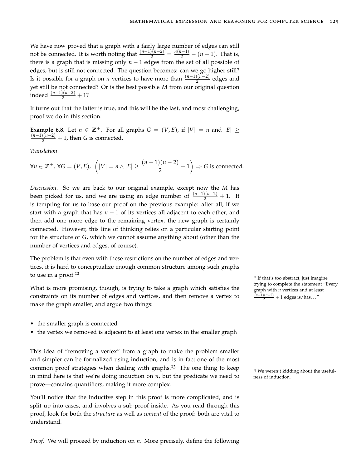We have now proved that a graph with a fairly large number of edges can still not be connected. It is worth noting that  $\frac{(n-1)(n-2)}{2} = \frac{n(n-1)}{2} - (n-1)$ . That is, there is a graph that is missing only  $n - 1$  edges from the set of all possible of edges, but is still not connected. The question becomes: can we go higher still? Is it possible for a graph on *n* vertices to have more than  $\frac{(n-1)(n-2)}{2}$  edges and yet still be not connected? Or is the best possible *M* from our original question indeed  $\frac{(n-1)(n-2)}{2} + 1$ ?

It turns out that the latter is true, and this will be the last, and most challenging, proof we do in this section.

**Example 6.8.** Let  $n \in \mathbb{Z}^+$ . For all graphs  $G = (V, E)$ , if  $|V| = n$  and  $|E| \ge$  $\frac{(n-1)(n-2)}{2} + 1$ , then *G* is connected.

*Translation*.

*∀n* ∈ **Z**<sup>+</sup>, ∀*G* = (*V*, *E*),  $\left(|V| = n \land |E| \ge \frac{(n-1)(n-2)}{2} + 1\right) \Rightarrow G$  is connected.

*Discussion*. So we are back to our original example, except now the *M* has been picked for us, and we are using an edge number of  $\frac{(n-1)(n-2)}{2} + 1$ . It is tempting for us to base our proof on the previous example: after all, if we start with a graph that has  $n - 1$  of its vertices all adjacent to each other, and then add one more edge to the remaining vertex, the new graph is certainly connected. However, this line of thinking relies on a particular starting point for the structure of *G*, which we cannot assume anything about (other than the number of vertices and edges, of course).

The problem is that even with these restrictions on the number of edges and vertices, it is hard to conceptualize enough common structure among such graphs to use in a proof.<sup>12</sup>

What is more promising, though, is trying to take a graph which satisfies the constraints on its number of edges and vertices, and then remove a vertex to make the graph smaller, and argue two things:

- the smaller graph is connected
- the vertex we removed is adjacent to at least one vertex in the smaller graph

This idea of "removing a vertex" from a graph to make the problem smaller and simpler can be formalized using induction, and is in fact one of the most common proof strategies when dealing with graphs.<sup>13</sup> The one thing to keep  $\frac{13}{13}$  We weren't kidding about the usefulin mind here is that we're doing induction on  $n$ , but the predicate we need to ness of induction. prove—contains quantifiers, making it more complex.

You'll notice that the inductive step in this proof is more complicated, and is split up into cases, and involves a sub-proof inside. As you read through this proof, look for both the *structure* as well as *content* of the proof: both are vital to understand.

*Proof.* We will proceed by induction on *n*. More precisely, define the following

<sup>12</sup> If that's too abstract, just imagine trying to complete the statement "Every graph with *n* vertices and at least (*n*−1)(*n*−2) <sup>2</sup> + 1 edges is/has. . . "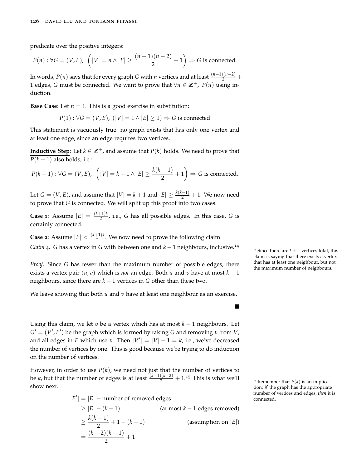predicate over the positive integers:

$$
P(n): \forall G = (V, E), \left( |V| = n \land |E| \ge \frac{(n-1)(n-2)}{2} + 1 \right) \Rightarrow G \text{ is connected.}
$$

In words,  $P(n)$  says that for every graph *G* with *n* vertices and at least  $\frac{(n-1)(n-2)}{2}$  + 1 edges, *G* must be connected. We want to prove that  $\forall n \in \mathbb{Z}^+$ , *P*(*n*) using induction.

**Base Case:** Let  $n = 1$ . This is a good exercise in substitution:

$$
P(1): \forall G = (V, E), (|V| = 1 \land |E| \ge 1) \Rightarrow G
$$
 is connected

This statement is vacuously true: no graph exists that has only one vertex and at least one edge, since an edge requires two vertices.

**Inductive Step**: Let  $k \in \mathbb{Z}^+$ , and assume that  $P(k)$  holds. We need to prove that  $P(k+1)$  also holds, i.e.:

$$
P(k+1): \forall G = (V, E), \left( |V| = k+1 \land |E| \ge \frac{k(k-1)}{2} + 1 \right) \Rightarrow G \text{ is connected.}
$$

Let  $G = (V, E)$ , and assume that  $|V| = k + 1$  and  $|E| \geq \frac{k(k-1)}{2} + 1$ . We now need to prove that *G* is connected. We will split up this proof into two cases.

**Case 1**: Assume  $|E| = \frac{(k+1)k}{2}$  $\frac{(-1)^k}{2}$ , i.e., *G* has all possible edges. In this case, *G* is certainly connected.

**Case 2**: Assume  $|E| < \frac{(k+1)k}{2}$  $\frac{1+\kappa}{2}$ . We now need to prove the following claim. *Claim* 4*. G* has a vertex in *G* with between one and  $k - 1$  neighbours, inclusive.<sup>14</sup>

*Proof.* Since *G* has fewer than the maximum number of possible edges, there that has at least one neighbour, but he maximum number of neighbours. exists a vertex pair  $(u, v)$  which is *not* an edge. Both *u* and *v* have at most  $k - 1$ neighbours, since there are  $k - 1$  vertices in *G* other than these two.

We leave showing that both *u* and *v* have at least one neighbour as an exercise.

Using this claim, we let *v* be a vertex which has at most *k* − 1 neighbours. Let  $G' = (V', E')$  be the graph which is formed by taking *G* and removing *v* from *V*, and all edges in *E* which use *v*. Then  $|V'| = |V| - 1 = k$ , i.e., we've decreased the number of vertices by one. This is good because we're trying to do induction on the number of vertices.

However, in order to use  $P(k)$ , we need not just that the number of vertices to be *k*, but that the number of edges is at least  $\frac{(k-1)(k-2)}{2} + 1.15$  This is what we'll  $\frac{15}{5}$  Remember that *P*(*k*) is an implicashow next.

$$
|E'| = |E| - \text{number of removed edges}
$$
  
\n
$$
\geq |E| - (k - 1)
$$
 (at most  $k - 1$  edges removed)  
\n
$$
\geq \frac{k(k - 1)}{2} + 1 - (k - 1)
$$
 (assumption on |E|)  
\n
$$
= \frac{(k - 2)(k - 1)}{2} + 1
$$

<sup>14</sup> Since there are  $k + 1$  vertices total, this claim is saying that there exists a vertex that has at least one neighbour, but not

 $\blacksquare$ 

tion: *if* the graph has the appropriate number of vertices and edges, *then* it is connected.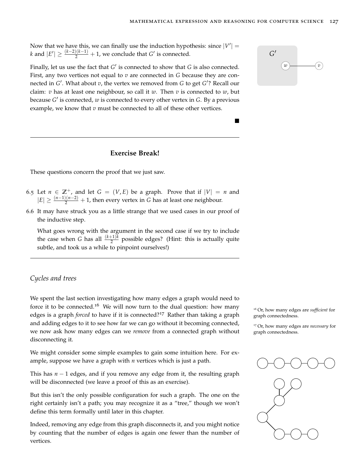Now that we have this, we can finally use the induction hypothesis: since  $|V'| =$ *k* and  $|E'| \ge \frac{(k-2)(k-1)}{2} + 1$ , we conclude that *G*<sup>'</sup> is connected. *G* 

Finally, let us use the fact that *G*' is connected to show that *G* is also connected.  $\qquad \qquad (w)\qquad \qquad (w)$ First, any two vertices not equal to *v* are connected in *G* because they are connected in *G'*. What about *v*, the vertex we removed from *G* to get *G'*? Recall our claim: *v* has at least one neighbour, so call it *w*. Then *v* is connected to *w*, but because *G'* is connected, *w* is connected to every other vertex in *G*. By a [previous](#page-121-0) [example,](#page-121-0) we know that *v* must be connected to all of these other vertices.

## **Exercise Break!**

These questions concern the proof that we just saw.

- 6.5 Let  $n \in \mathbb{Z}^+$ , and let  $G = (V, E)$  be a graph. Prove that if  $|V| = n$  and  $|E| \ge \frac{(n-1)(n-2)}{2} + 1$ , then every vertex in *G* has at least one neighbour.
- 6.6 It may have struck you as a little strange that we used cases in our proof of the inductive step.

What goes wrong with the argument in the second case if we try to include the case when *G* has all  $\frac{(k+1)k}{2}$  possible edges? (Hint: this is actually quite subtle, and took us a while to pinpoint ourselves!)

#### *Cycles and trees*

We spent the last section investigating how many edges a graph would need to force it to be connected.<sup>16</sup> We will now turn to the dual question: how many  $_{16}$  Or, how many edges are *sufficient* for edges is a graph *forced* to have if it is connected?<sup>17</sup> Rather than taking a graph graph connectedness. and adding edges to it to see how far we can go without it becoming connected, we now ask how many edges can we *remove* from a connected graph without disconnecting it.

We might consider some simple examples to gain some intuition here. For example, suppose we have a graph with *n* vertices which is just a path.

This has *n* − 1 edges, and if you remove any edge from it, the resulting graph will be disconnected (we leave a proof of this as an exercise).

But this isn't the only possible configuration for such a graph. The one on the right certainly isn't a path; you may recognize it as a "tree," though we won't define this term formally until later in this chapter.

Indeed, removing any edge from this graph disconnects it, and you might notice by counting that the number of edges is again one fewer than the number of vertices.

<sup>17</sup> Or, how many edges are *necessary* for graph connectedness.





 $\blacksquare$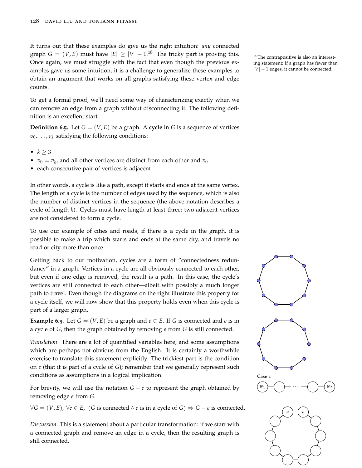It turns out that these examples do give us the right intuition: *any* connected graph  $G = (V, E)$  must have  $|E| \geq |V| - 1.18$  The tricky part is proving this. <sup>18</sup> The contrapositive is also an interest-Once again, we must struggle with the fact that even though the previous examples gave us some intuition, it is a challenge to generalize these examples to obtain an argument that works on all graphs satisfying these vertex and edge counts.

To get a formal proof, we'll need some way of characterizing exactly when we can remove an edge from a graph without disconnecting it. The following definition is an excellent start.

**Definition 6.5.** Let  $G = (V, E)$  be a graph. A **cycle** in G is a sequence of vertices  $v_0, \ldots, v_k$  satisfying the following conditions:

- $k \geq 3$
- $v_0 = v_k$ , and all other vertices are distinct from each other and  $v_0$
- each consecutive pair of vertices is adjacent

In other words, a cycle is like a path, except it starts and ends at the same vertex. The length of a cycle is the number of edges used by the sequence, which is also the number of distinct vertices in the sequence (the above notation describes a cycle of length *k*). Cycles must have length at least three; two adjacent vertices are not considered to form a cycle.

To use our example of cities and roads, if there is a cycle in the graph, it is possible to make a trip which starts and ends at the same city, and travels no road or city more than once.

Getting back to our motivation, cycles are a form of "connectedness redundancy" in a graph. Vertices in a cycle are all obviously connected to each other, but even if one edge is removed, the result is a path. In this case, the cycle's vertices are still connected to each other—albeit with possibly a much longer path to travel. Even though the diagrams on the right illustrate this property for a cycle itself, we will now show that this property holds even when this cycle is part of a larger graph.

**Example 6.9.** Let  $G = (V, E)$  be a graph and  $e \in E$ . If *G* is connected and *e* is in a cycle of *G*, then the graph obtained by removing *e* from *G* is still connected.

*Translation*. There are a lot of quantified variables here, and some assumptions which are perhaps not obvious from the English. It is certainly a worthwhile exercise to translate this statement explicitly. The trickiest part is the condition on *e* (that it is part of a cycle of *G*); remember that we generally represent such conditions as assumptions in a logical implication.

For brevity, we will use the notation  $G - e$  to represent the graph obtained by removing edge *e* from *G*.

 $∀G = (V, E)$ ,  $∀e ∈ E$ , (*G* is connected ∧ *e* is in a cycle of *G*)  $⇒ G - e$  is connected.

*Discussion*. This is a statement about a particular transformation: if we start with a connected graph and remove an edge in a cycle, then the resulting graph is still connected.

ing statement: if a graph has fewer than  $|V|$  – 1 edges, it cannot be connected.

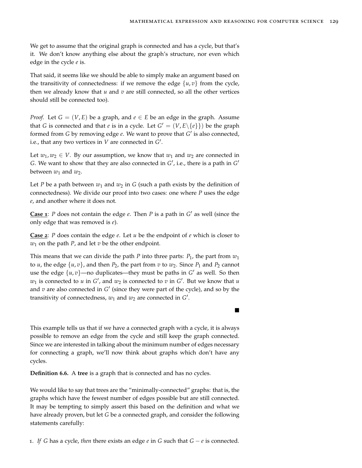We get to assume that the original graph is connected and has a cycle, but that's it. We don't know anything else about the graph's structure, nor even which edge in the cycle *e* is.

That said, it seems like we should be able to simply make an argument based on the [transitivity of connectedness:](#page-121-0) if we remove the edge  $\{u, v\}$  from the cycle, then we already know that  $u$  and  $v$  are still connected, so all the other vertices should still be connected too).

*Proof.* Let  $G = (V, E)$  be a graph, and  $e \in E$  be an edge in the graph. Assume that *G* is connected and that *e* is in a cycle. Let  $G' = (V, E \setminus \{e\})$  be the graph formed from *G* by removing edge *e*. We want to prove that *G'* is also connected, i.e., that any two vertices in  $V$  are connected in  $G'$ .

Let  $w_1, w_2 \in V$ . By our assumption, we know that  $w_1$  and  $w_2$  are connected in *G*. We want to show that they are also connected in  $G'$ , i.e., there is a path in  $G'$ between  $w_1$  and  $w_2$ .

Let *P* be a path between  $w_1$  and  $w_2$  in *G* (such a path exists by the definition of connectedness). We divide our proof into two cases: one where *P* uses the edge *e*, and another where it does not.

**Case 1**: *P* does not contain the edge *e*. Then *P* is a path in  $G'$  as well (since the only edge that was removed is *e*).

**Case 2**: *P* does contain the edge *e*. Let *u* be the endpoint of *e* which is closer to  $w_1$  on the path *P*, and let  $v$  be the other endpoint.

This means that we can divide the path *P* into three parts:  $P_1$ , the part from  $w_1$ to *u*, the edge  $\{u, v\}$ , and then  $P_2$ , the part from *v* to  $w_2$ . Since  $P_1$  and  $P_2$  cannot use the edge  $\{u, v\}$ —no duplicates—they must be paths in  $G'$  as well. So then  $w_1$  is connected to  $u$  in  $G'$ , and  $w_2$  is connected to  $v$  in  $G'$ . But we know that  $u$ and  $v$  are also connected in  $G'$  (since they were part of the cycle), and so by the [transitivity of connectedness,](#page-121-0)  $w_1$  and  $w_2$  are connected in  $G'$ .

This example tells us that if we have a connected graph with a cycle, it is always possible to remove an edge from the cycle and still keep the graph connected. Since we are interested in talking about the minimum number of edges necessary for connecting a graph, we'll now think about graphs which don't have any cycles.

**Definition 6.6.** A **tree** is a graph that is connected and has no cycles.

We would like to say that trees are the "minimally-connected" graphs: that is, the graphs which have the fewest number of edges possible but are still connected. It may be tempting to simply assert this based on the definition and what we have already proven, but let *G* be a connected graph, and consider the following statements carefully:

1. If G has a cycle, *then* there exists an edge  $e$  in G such that  $G - e$  is connected.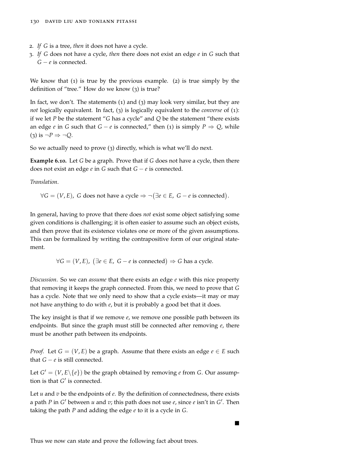- 2. *If G* is a tree, *then* it does not have a cycle.
- 3. *If G* does not have a cycle, *then* there does not exist an edge *e* in *G* such that *G* − *e* is connected.

We know that  $(1)$  is true by the previous example.  $(2)$  is true simply by the definition of "tree." How do we know (3) is true?

In fact, we don't. The statements (1) and (3) may look very similar, but they are *not* logically equivalent. In fact, (3) is logically equivalent to the *converse* of (1): if we let *P* be the statement "*G* has a cycle" and *Q* be the statement "there exists an edge *e* in *G* such that  $G - e$  is connected," then (1) is simply  $P \Rightarrow Q$ , while  $(3)$  is  $\neg P \Rightarrow \neg Q$ .

So we actually need to prove (3) directly, which is what we'll do next.

**Example 6.10.** Let *G* be a graph. Prove that if *G* does not have a cycle, then there does not exist an edge  $e$  in  $G$  such that  $G - e$  is connected.

*Translation*.

 $∀G = (V, E)$ , *G* does not have a cycle  $⇒ ∩(∃e ∈ E, G − e$  is connected).

In general, having to prove that there does *not* exist some object satisfying some given conditions is challenging; it is often easier to assume such an object exists, and then prove that its existence violates one or more of the given assumptions. This can be formalized by writing the contrapositive form of our original statement.

 $∀G = (V, E), (∃e ∈ E, G − e is connected) ⇒ G has a cycle.$ 

*Discussion*. So we can *assume* that there exists an edge *e* with this nice property that removing it keeps the graph connected. From this, we need to prove that *G* has a cycle. Note that we only need to show that a cycle exists—it may or may not have anything to do with *e*, but it is probably a good bet that it does.

The key insight is that if we remove *e*, we remove one possible path between its endpoints. But since the graph must still be connected after removing *e*, there must be another path between its endpoints.

*Proof.* Let  $G = (V, E)$  be a graph. Assume that there exists an edge  $e \in E$  such that  $G - e$  is still connected.

Let  $G' = (V, E \setminus \{e\})$  be the graph obtained by removing *e* from *G*. Our assumption is that  $G'$  is connected.

Let *u* and *v* be the endpoints of *e*. By the definition of connectedness, there exists a path *P* in *G*<sup> $\prime$ </sup> between *u* and *v*; this path does not use *e*, since *e* isn't in *G*<sup> $\prime$ </sup>. Then taking the path *P* and adding the edge *e* to it is a cycle in *G*.

 $\blacksquare$ 

Thus we now can state and prove the following fact about trees.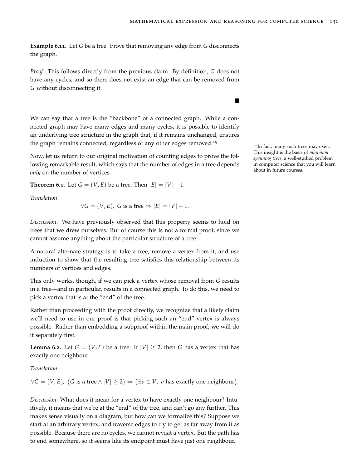**Example 6.11.** Let *G* be a tree. Prove that removing any edge from *G* disconnects the graph.

*Proof.* This follows directly from the previous claim. By definition, *G* does not have any cycles, and so there does not exist an edge that can be removed from *G* without disconnecting it.

We can say that a tree is the "backbone" of a connected graph. While a connected graph may have many edges and many cycles, it is possible to identify an underlying tree structure in the graph that, if it remains unchanged, ensures the graph remains connected, regardless of any other edges removed.<sup>19</sup>

Now, let us return to our original motivation of counting edges to prove the following remarkable result, which says that the number of edges in a tree depends *only* on the number of vertices.

<span id="page-130-0"></span>**Theorem 6.1.** Let  $G = (V, E)$  be a tree. Then  $|E| = |V| - 1$ .

*Translation*.

$$
\forall G = (V, E), G \text{ is a tree} \Rightarrow |E| = |V| - 1.
$$

*Discussion*. We have previously observed that this property seems to hold on trees that we drew ourselves. But of course this is not a formal proof, since we cannot assume anything about the particular structure of a tree.

A natural alternate strategy is to take a tree, remove a vertex from it, and use induction to show that the resulting tree satisfies this relationship between its numbers of vertices and edges.

This only works, though, if we can pick a vertex whose removal from *G* results in a tree—and in particular, results in a connected graph. To do this, we need to pick a vertex that is at the "end" of the tree.

Rather than proceeding with the proof directly, we recognize that a likely claim we'll need to use in our proof is that picking such an "end" vertex is always possible. Rather than embedding a subproof within the main proof, we will do it separately first.

<span id="page-130-1"></span>**Lemma** 6.2. Let  $G = (V, E)$  be a tree. If  $|V| \ge 2$ , then *G* has a vertex that has exactly one neighbour.

*Translation*.

∀*G* = (*V*, *E*), (*G* is a tree  $\land$   $|V|$  ≥ 2)  $\Rightarrow$  (∃*v* ∈ *V*, *v* has exactly one neighbour).

*Discussion*. What does it mean for a vertex to have exactly one neighbour? Intuitively, it means that we're at the "end" of the tree, and can't go any further. This makes sense visually on a diagram, but how can we formalize this? Suppose we start at an arbitrary vertex, and traverse edges to try to get as far away from it as possible. Because there are no cycles, we cannot revisit a vertex. But the path has to end somewhere, so it seems like its endpoint must have just one neighbour.

<sup>19</sup> In fact, many such trees may exist. This insight is the basis of *minimum spanning trees*, a well-studied problem in computer science that you will learn about in future courses.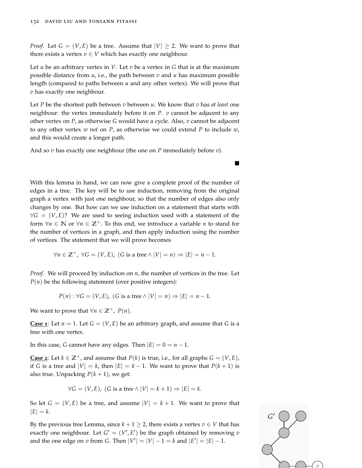*Proof.* Let  $G = (V, E)$  be a tree. Assume that  $|V| \ge 2$ . We want to prove that there exists a vertex  $v \in V$  which has exactly one neighbour.

Let *u* be an arbitrary vertex in *V*. Let *v* be a vertex in *G* that is at the maximum possible distance from  $u$ , i.e., the path between  $v$  and  $u$  has maximum possible length (compared to paths between *u* and any other vertex). We will prove that *v* has exactly one neighbour.

Let *P* be the shortest path between *v* between *u*. We know that *v* has *at least* one neighbour: the vertex immediately before it on *P*. *v* cannot be adjacent to any other vertex on *P*, as otherwise *G* would have a cycle. Also, *v* cannot be adjacent to any other vertex *w not* on *P*, as otherwise we could extend *P* to include *w*, and this would create a longer path.

And so *v* has exactly one neighbour (the one on *P* immediately before *v*).

With this lemma in hand, we can now give a complete proof of the [number of](#page-130-0) [edges in a tree.](#page-130-0) The key will be to use induction, removing from the original graph a vertex with just one neighbour, so that the number of edges also only changes by one. But how can we use induction on a statement that starts with  $\forall G = (V, E)$ ? We are used to seeing induction used with a statement of the form  $\forall n \in \mathbb{N}$  or  $\forall n \in \mathbb{Z}^+$ . To this end, we introduce a variable *n* to stand for the number of vertices in a graph, and then apply induction using the number of vertices. The statement that we will prove becomes

$$
\forall n \in \mathbb{Z}^+, \ \forall G = (V, E), \ (G \text{ is a tree} \land |V| = n) \Rightarrow |E| = n - 1.
$$

*Proof.* We will proceed by induction on *n*, the number of vertices in the tree. Let  $P(n)$  be the following statement (over positive integers):

$$
P(n): \forall G = (V, E), (G \text{ is a tree} \land |V| = n) \Rightarrow |E| = n - 1.
$$

We want to prove that  $\forall n \in \mathbb{Z}^+$ ,  $P(n)$ .

**Case 1**: Let  $n = 1$ . Let  $G = (V, E)$  be an arbitrary graph, and assume that G is a tree with one vertex.

In this case, *G* cannot have any edges. Then  $|E| = 0 = n - 1$ .

**Case 2**: Let *k* ∈  $\mathbb{Z}^+$ , and assume that *P*(*k*) is true, i.e., for all graphs *G* = (*V*, *E*), if *G* is a tree and  $|V| = k$ , then  $|E| = k - 1$ . We want to prove that  $P(k+1)$  is also true. Unpacking  $P(k + 1)$ , we get:

$$
\forall G = (V, E), (G \text{ is a tree} \land |V| = k + 1) \Rightarrow |E| = k.
$$

So let  $G = (V, E)$  be a tree, and assume  $|V| = k + 1$ . We want to prove that  $|E| = k$ .

By the [previous tree Lemma,](#page-130-1) since  $k + 1 \geq 2$ , there exists a vertex  $v \in V$  that has exactly one neighbour. Let  $G' = (V', E')$  be the graph obtained by removing *v* and the one edge on *v* from *G*. Then  $|V'| = |V| - 1 = k$  and  $|E'| = |E| - 1$ .



 $\blacksquare$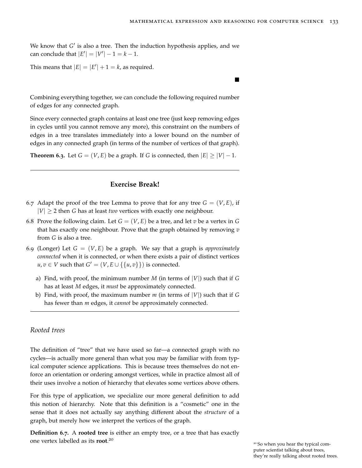We know that *G'* is also a tree. Then the induction hypothesis applies, and we  $\text{can conclude that } |E'| = |V'| - 1 = k - 1.$ 

This means that  $|E| = |E'| + 1 = k$ , as required.

Combining everything together, we can conclude the following required number of edges for any connected graph.

Since every connected graph contains at least one tree (just keep removing edges in cycles until you cannot remove any more), this constraint on the numbers of edges in a tree translates immediately into a lower bound on the number of edges in any connected graph (in terms of the number of vertices of that graph).

**Theorem 6.3.** Let  $G = (V, E)$  be a graph. If *G* is connected, then  $|E| \ge |V| - 1$ .

## **Exercise Break!**

- 6.7 Adapt the proof of the [tree Lemma](#page-130-1) to prove that for any tree  $G = (V, E)$ , if  $|V| \geq 2$  then *G* has at least *two* vertices with exactly one neighbour.
- 6.8 Prove the following claim. Let  $G = (V, E)$  be a tree, and let *v* be a vertex in G that has exactly one neighbour. Prove that the graph obtained by removing *v* from *G* is also a tree.
- 6.9 (Longer) Let  $G = (V, E)$  be a graph. We say that a graph is *approximately connected* when it is connected, or when there exists a pair of distinct vertices  $u, v \in V$  such that  $G' = (V, E \cup \{\{u, v\}\})$  is connected.
	- a) Find, with proof, the minimum number *M* (in terms of |*V*|) such that if *G* has at least *M* edges, it *must* be approximately connected.
	- b) Find, with proof, the maximum number *m* (in terms of |*V*|) such that if *G* has fewer than *m* edges, it *cannot* be approximately connected.

#### *Rooted trees*

The definition of "tree" that we have used so far—a connected graph with no cycles—is actually more general than what you may be familiar with from typical computer science applications. This is because trees themselves do not enforce an orientation or ordering amongst vertices, while in practice almost all of their uses involve a notion of hierarchy that elevates some vertices above others.

For this type of application, we specialize our more general definition to add this notion of hierarchy. Note that this definition is a "cosmetic" one in the sense that it does not actually say anything different about the *structure* of a graph, but merely how we interpret the vertices of the graph.

**Definition 6.7.** A **rooted tree** is either an empty tree, or a tree that has exactly one vertex labelled as its **root**. 20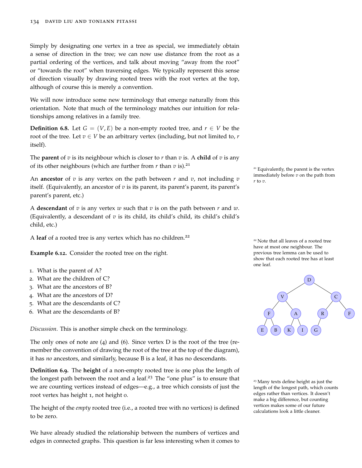Simply by designating one vertex in a tree as special, we immediately obtain a sense of direction in the tree; we can now use distance from the root as a partial ordering of the vertices, and talk about moving "away from the root" or "towards the root" when traversing edges. We typically represent this sense of direction visually by drawing rooted trees with the root vertex at the top, although of course this is merely a convention.

We will now introduce some new terminology that emerge naturally from this orientation. Note that much of the terminology matches our intuition for relationships among relatives in a family tree.

**Definition** 6.8. Let  $G = (V, E)$  be a non-empty rooted tree, and  $r \in V$  be the root of the tree. Let  $v \in V$  be an arbitrary vertex (including, but not limited to,  $r$ itself).

The **parent** of *v* is its neighbour which is closer to *r* than *v* is. A **child** of *v* is any of its other neighbours (which are further from  $r$  than  $v$  is).<sup>21</sup>

An **ancestor** of *v* is any vertex on the path between *r* and *v*, not including *v*  $\frac{1}{r \text{ to } v}$ . itself. (Equivalently, an ancestor of *v* is its parent, its parent's parent, its parent's parent's parent, etc.)

A **descendant** of *v* is any vertex *w* such that *v* is on the path between *r* and *w*. (Equivalently, a descendant of  $v$  is its child, its child's child's child's child's child, etc.)

A leaf of a rooted tree is any vertex which has no children.<sup>22</sup>

**Example 6.12.** Consider the rooted tree on the right.

- 1. What is the parent of A?
- 2. What are the children of C?
- 3. What are the ancestors of B?
- 4. What are the ancestors of D?
- 5. What are the descendants of C?
- 6. What are the descendants of B?

*Discussion*. This is another simple check on the terminology.

The only ones of note are  $(4)$  and  $(6)$ . Since vertex D is the root of the tree (remember the convention of drawing the root of the tree at the top of the diagram), it has *no* ancestors, and similarly, because B is a leaf, it has no descendants.

**Definition 6.9.** The **height** of a non-empty rooted tree is one plus the length of the longest path between the root and a leaf.<sup>23</sup> The "one plus" is to ensure that  $\frac{23 \text{ Many texts define height as just the}}{23 \text{ Many texts define height}}$ we are counting vertices instead of edges—e.g., a tree which consists of just the root vertex has height 1, not height 0.

The height of the *empty* rooted tree (i.e., a rooted tree with no vertices) is defined to be zero.

We have already studied the relationship between the numbers of vertices and edges in connected graphs. This question is far less interesting when it comes to <sup>21</sup> Equivalently, the parent is the vertex immediately before *v* on the path from

<sup>22</sup> Note that all leaves of a rooted tree have at most one neighbour. The [previous tree lemma](#page-130-1) can be used to show that each rooted tree has at least one leaf.



length of the longest path, which counts edges rather than vertices. It doesn't make a big difference, but counting vertices makes some of our future calculations look a little cleaner.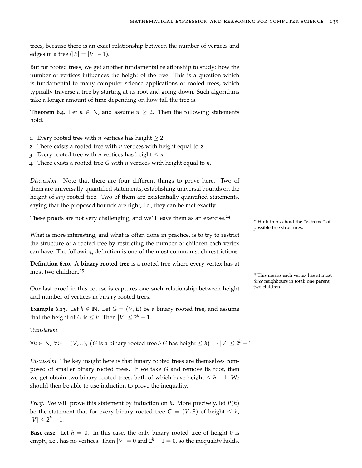trees, because there is an exact relationship between the number of vertices and edges in a tree ( $|E| = |V| - 1$ ).

But for rooted trees, we get another fundamental relationship to study: how the number of vertices influences the height of the tree. This is a question which is fundamental to many computer science applications of rooted trees, which typically traverse a tree by starting at its root and going down. Such algorithms take a longer amount of time depending on how tall the tree is.

**Theorem 6.4.** Let  $n \in \mathbb{N}$ , and assume  $n \geq 2$ . Then the following statements hold.

- 1. Every rooted tree with *n* vertices has height  $\geq 2$ .
- 2. There exists a rooted tree with *n* vertices with height equal to 2.
- 3. Every rooted tree with *n* vertices has height  $\leq n$ .
- 4. There exists a rooted tree *G* with *n* vertices with height equal to *n*.

*Discussion*. Note that there are four different things to prove here. Two of them are universally-quantified statements, establishing universal bounds on the height of *any* rooted tree. Two of them are existentially-quantified statements, saying that the proposed bounds are tight, i.e., they can be met exactly.

These proofs are not very challenging, and we'll leave them as an exercise.<sup>24</sup>

What is more interesting, and what is often done in practice, is to try to restrict the structure of a rooted tree by restricting the number of children each vertex can have. The following definition is one of the most common such restrictions.

**Definition 6.10.** A **binary rooted tree** is a rooted tree where every vertex has at most two children.<sup>25</sup>

Our last proof in this course is captures one such relationship between height two children. and number of vertices in binary rooted trees.

**Example 6.13.** Let  $h \in \mathbb{N}$ . Let  $G = (V, E)$  be a binary rooted tree, and assume that the height of *G* is  $\leq h$ . Then  $|V| \leq 2^h - 1$ .

*Translation*.

∀*h* ∈ **N**, ∀*G* = (*V*, *E*), (*G* is a binary rooted tree∧ *G* has height ≤ *h*) ⇒  $|V|$  ≤ 2<sup>*h*</sup> − 1.

*Discussion*. The key insight here is that binary rooted trees are themselves composed of smaller binary rooted trees. If we take *G* and remove its root, then we get obtain two binary rooted trees, both of which have height ≤ *h* − 1. We should then be able to use induction to prove the inequality.

*Proof.* We will prove this statement by induction on *h*. More precisely, let *P*(*h*) be the statement that for every binary rooted tree  $G = (V, E)$  of height  $\leq h$ ,  $|V| \leq 2^h - 1.$ 

**Base case:** Let  $h = 0$ . In this case, the only binary rooted tree of height 0 is empty, i.e., has no vertices. Then  $|V| = 0$  and  $2^h - 1 = 0$ , so the inequality holds. <sup>24</sup> Hint: think about the "extreme" of possible tree structures.

<sup>25</sup> This means each vertex has at most *three* neighbours in total: one parent,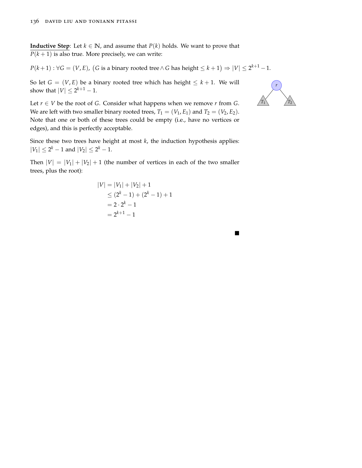**Inductive Step**: Let *k* ∈ **N**, and assume that *P*(*k*) holds. We want to prove that  $P(k+1)$  is also true. More precisely, we can write:

*P*(*k* + 1) : ∀*G* = (*V*, *E*), (*G* is a binary rooted tree∧ *G* has height ≤ *k* + 1) ⇒  $|V|$  ≤ 2<sup>*k*+1</sup> − 1.

So let  $G = (V, E)$  be a binary rooted tree which has height  $\leq k + 1$ . We will show that  $|V| \leq 2^{k+1} - 1$ .

Let  $r \in V$  be the root of *G*. Consider what happens when we remove *r* from *G*. We are left with two smaller binary rooted trees,  $T_1 = (V_1, E_1)$  and  $T_2 = (V_2, E_2)$ . Note that one or both of these trees could be empty (i.e., have no vertices or edges), and this is perfectly acceptable.

Since these two trees have height at most *k*, the induction hypothesis applies:  $|V_1| \leq 2^k - 1$  and  $|V_2| \leq 2^k - 1$ .

Then  $|V| = |V_1| + |V_2| + 1$  (the number of vertices in each of the two smaller trees, plus the root):

$$
|V| = |V_1| + |V_2| + 1
$$
  
\n
$$
\leq (2^k - 1) + (2^k - 1) + 1
$$
  
\n
$$
= 2 \cdot 2^k - 1
$$
  
\n
$$
= 2^{k+1} - 1
$$



 $\blacksquare$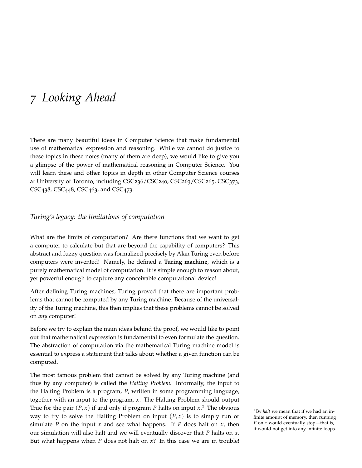# *7 Looking Ahead*

There are many beautiful ideas in Computer Science that make fundamental use of mathematical expression and reasoning. While we cannot do justice to these topics in these notes (many of them are deep), we would like to give you a glimpse of the power of mathematical reasoning in Computer Science. You will learn these and other topics in depth in other Computer Science courses at University of Toronto, including CSC236/CSC240, CSC263/CSC265, CSC373, CSC438, CSC448, CSC463, and CSC473.

## *Turing's legacy: the limitations of computation*

What are the limits of computation? Are there functions that we want to get a computer to calculate but that are beyond the capability of computers? This abstract and fuzzy question was formalized precisely by Alan Turing even before computers were invented! Namely, he defined a **Turing machine**, which is a purely mathematical model of computation. It is simple enough to reason about, yet powerful enough to capture any conceivable computational device!

After defining Turing machines, Turing proved that there are important problems that cannot be computed by any Turing machine. Because of the universality of the Turing machine, this then implies that these problems cannot be solved on *any* computer!

Before we try to explain the main ideas behind the proof, we would like to point out that mathematical expression is fundamental to even formulate the question. The abstraction of computation via the mathematical Turing machine model is essential to express a statement that talks about whether a given function can be computed.

The most famous problem that cannot be solved by any Turing machine (and thus by any computer) is called the *Halting Problem*. Informally, the input to the Halting Problem is a program, *P*, written in some programming language, together with an input to the program, *x*. The Halting Problem should output True for the pair  $(P, x)$  if and only if program *P* halts on input  $x$ <sup>1</sup>. The obvious way to try to solve the Halting Problem on input  $(P, x)$  is to simply run or simulate *P* on the input *x* and see what happens. If *P* does halt on *x*, then our simulation will also halt and we will eventually discover that *P* halts on *x*. But what happens when  $P$  does not halt on  $x$ ? In this case we are in trouble!

<sup>1</sup> By *halt* we mean that if we had an infinite amount of memory, then running *P* on *x* would eventually stop—that is, it would not get into any infinite loops.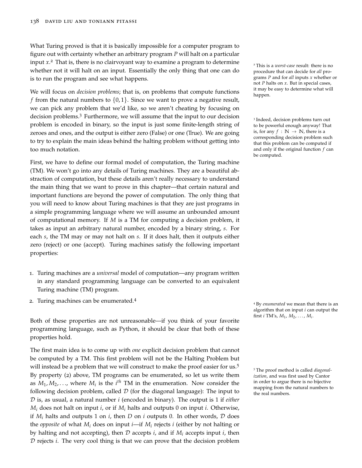What Turing proved is that it is basically impossible for a computer program to figure out with certainty whether an arbitrary program *P* will halt on a particular input *x*.<sup>2</sup> That is, there is no clairvoyant way to examine a program to determine <sup>2</sup> This is a *worst-case* result: there is no whether not it will halt on an input. Essentially the only thing that one can do is to run the program and see what happens.

We will focus on *decision problems*; that is, on problems that compute functions *f* from the natural numbers to  $\{0, 1\}$ . Since we want to prove a negative result, we can pick any problem that we'd like, so we aren't cheating by focusing on decision problems.<sup>3</sup> Furthermore, we will assume that the input to our decision <sup>3</sup> problem is encoded in binary, so the input is just some finite-length string of zeroes and ones, and the output is either zero (False) or one (True). We are going to try to explain the main ideas behind the halting problem without getting into too much notation.

First, we have to define our formal model of computation, the Turing machine (TM). We won't go into any details of Turing machines. They are a beautiful abstraction of computation, but these details aren't really necessary to understand the main thing that we want to prove in this chapter—that certain natural and important functions are beyond the power of computation. The only thing that you will need to know about Turing machines is that they are just programs in a simple programming language where we will assume an unbounded amount of computational memory. If *M* is a TM for computing a decision problem, it takes as input an arbitrary natural number, encoded by a binary string, *s*. For each *s*, the TM may or may not halt on *s*. If it does halt, then it outputs either zero (reject) or one (accept). Turing machines satisfy the following important properties:

- 1. Turing machines are a *universal* model of computation—any program written in any standard programming language can be converted to an equivalent Turing machine (TM) program.
- <sup>2</sup>. Turing machines can be enumerated.<sup>4</sup>

Both of these properties are not unreasonable—if you think of your favorite programming language, such as Python, it should be clear that both of these properties hold.

The first main idea is to come up with *one* explicit decision problem that cannot be computed by a TM. This first problem will not be the Halting Problem but will instead be a problem that we will construct to make the proof easier for us.<sup>5</sup> By property (2) above, TM programs can be enumerated, so let us write them as  $M_1, M_2, \ldots$ , where  $M_i$  is the  $i^{th}$  TM in the enumeration. Now consider the following decision problem, called  $\mathcal D$  (for the diagonal language): The input to D is, as usual, a natural number *i* (encoded in binary). The output is 1 if *either*  $M_i$  does not halt on input *i*, or if  $M_i$  halts and outputs 0 on input *i*. Otherwise, if  $M_i$  halts and outputs 1 on *i*, then *D* on *i* outputs 0. In other words, *D* does the *opposite* of what  $M_i$  does on input *i*—if  $M_i$  rejects *i* (either by not halting or by halting and not accepting), then  $D$  accepts *i*, and if  $M_i$  accepts input *i*, then D rejects *i*. The very cool thing is that we can prove that the decision problem

procedure that can decide for *all* programs *P* and for *all* inputs *x* whether or not *P* halts on *x*. But in special cases, it may be easy to determine what will happen.

<sup>3</sup> Indeed, decision problems turn out to be powerful enough anyway! That is, for any  $f : \mathbb{N} \to \mathbb{N}$ , there is a corresponding decision problem such that this problem can be computed if and only if the original function *f* can be computed.

<sup>4</sup> By *enumerated* we mean that there is an algorithm that on input *i* can output the first *i* TM's, *M*1, *M*2, . . . , *M<sup>i</sup>* .

<sup>5</sup> The proof method is called *diagonalization*, and was first used by Cantor in order to argue there is no bijective mapping from the natural numbers to the real numbers.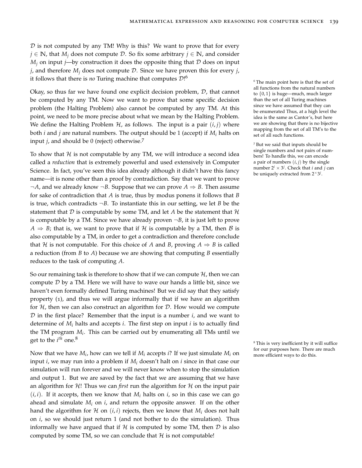$D$  is not computed by any TM! Why is this? We want to prove that for every *j* ∈ **N**, that *M<sup>j</sup>* does not compute D. So fix some arbitrary *j* ∈ **N**, and consider  $M_i$  on input *j*—by construction it does the opposite thing that  $D$  does on input *j*, and therefore *M<sup>j</sup>* does not compute D. Since we have proven this for every *j*, it follows that there is *no* Turing machine that computes  $\mathcal{D}$ <sup>16</sup>

Okay, so thus far we have found one explicit decision problem,  $D$ , that cannot be computed by any TM. Now we want to prove that some specific decision problem (the Halting Problem) also cannot be computed by any TM. At this point, we need to be more precise about what we mean by the Halting Problem. We define the Halting Problem  $H$ , as follows. The input is a pair  $(i, j)$  where both *i* and *j* are natural numbers. The output should be 1 (accept) if *M<sup>i</sup>* halts on input *<sup>j</sup>*, and should be 0 (reject) otherwise.<sup>7</sup>

To show that  $H$  is not computable by any TM, we will introduce a second idea called a *reduction* that is extremely powerful and used extensively in Computer Science. In fact, you've seen this idea already although it didn't have this fancy name—it is none other than a proof by contradiction. Say that we want to prove  $\neg A$ , and we already know  $\neg B$ . Suppose that we can prove  $A \Rightarrow B$ . Then assume for sake of contradiction that *A* is true, thus by modus ponens it follows that *B* is true, which contradicts  $\neg B$ . To instantiate this in our setting, we let *B* be the statement that D is computable by some TM, and let A be the statement that  $\mathcal{H}$ is computable by a TM. Since we have already proven  $\neg B$ , it is just left to prove  $A \Rightarrow B$ ; that is, we want to prove that if H is computable by a TM, then B is also computable by a TM, in order to get a contradiction and therefore conclude that H is not computable. For this choice of A and B, proving  $A \Rightarrow B$  is called a reduction (from *B* to *A*) because we are showing that computing *B* essentially reduces to the task of computing *A*.

So our remaining task is therefore to show that if we can compute  $H$ , then we can compute  $D$  by a TM. Here we will have to wave our hands a little bit, since we haven't even formally defined Turing machines! But we did say that they satisfy property (1), and thus we will argue informally that if we have an algorithm for  $H$ , then we can also construct an algorithm for  $D$ . How would we compute D in the first place? Remember that the input is a number *i*, and we want to determine of *M<sup>i</sup>* halts and accepts *i*. The first step on input *i* is to actually find the TM program *M<sup>i</sup>* . This can be carried out by enumerating all TMs until we get to the *i th* one.<sup>8</sup>

Now that we have  $M_i$ , how can we tell if  $M_i$  accepts *i*? If we just simulate  $M_i$  on the efficient ways to do this. input *i*, we may run into a problem if *M<sup>i</sup>* doesn't halt on *i* since in that case our simulation will run forever and we will never know when to stop the simulation and output 1. But we are saved by the fact that we are assuming that we have an algorithm for  $\mathcal{H}!$ ! Thus we can *first* run the algorithm for  $\mathcal{H}$  on the input pair  $(i, i)$ . If it accepts, then we know that  $M_i$  halts on *i*, so in this case we can go ahead and simulate *M<sup>i</sup>* on *i*, and return the opposite answer. If on the other hand the algorithm for  $H$  on  $(i, i)$  rejects, then we know that  $M_i$  does not halt on *i*, so we should just return 1 (and not bother to do the simulation). Thus informally we have argued that if H is computed by some TM, then  $\mathcal D$  is also computed by some TM, so we can conclude that  $H$  is not computable!

<sup>6</sup> The main point here is that the set of all functions from the natural numbers to {0, 1} is huge—much, much larger than the set of all Turing machines since we have assumed that they can be enumerated Thus, at a high level the idea is the same as Cantor's, but here we are showing that there is no bijective mapping from the set of all TM's to the set of all such functions.

<sup>7</sup> But we said that inputs should be single numbers and not pairs of numbers! To handle this, we can encode a pair of numbers  $(i, j)$  by the single number  $2^i \times 3^j$ . Check that *i* and *j* can be uniquely extracted from  $2^{\times}3^j$ .

<sup>8</sup> This is very inefficient by it will suffice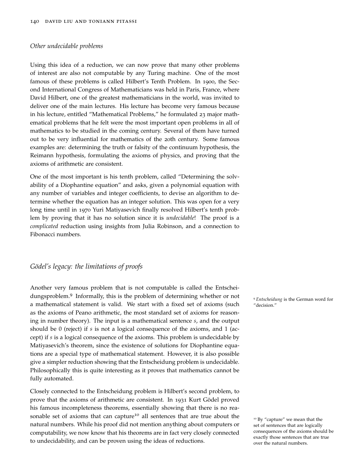#### *Other undecidable problems*

Using this idea of a reduction, we can now prove that many other problems of interest are also not computable by any Turing machine. One of the most famous of these problems is called Hilbert's Tenth Problem. In 1900, the Second International Congress of Mathematicians was held in Paris, France, where David Hilbert, one of the greatest mathematicians in the world, was invited to deliver one of the main lectures. His lecture has become very famous because in his lecture, entitled "Mathematical Problems," he formulated 23 major mathematical problems that he felt were the most important open problems in all of mathematics to be studied in the coming century. Several of them have turned out to be very influential for mathematics of the 20th century. Some famous examples are: determining the truth or falsity of the continuum hypothesis, the Reimann hypothesis, formulating the axioms of physics, and proving that the axioms of arithmetic are consistent.

One of the most important is his tenth problem, called "Determining the solvability of a Diophantine equation" and asks, given a polynomial equation with any number of variables and integer coefficients, to devise an algorithm to determine whether the equation has an integer solution. This was open for a very long time until in 1970 Yuri Matiyasevich finally resolved Hilbert's tenth problem by proving that it has no solution since it is *undecidable*! The proof is a *complicated* reduction using insights from Julia Robinson, and a connection to Fibonacci numbers.

## *Gödel's legacy: the limitations of proofs*

Another very famous problem that is not computable is called the Entscheidungsproblem.<sup>9</sup> Informally, this is the problem of determining whether or not <sup>9</sup> *Entscheidung* is the German word for a mathematical statement is valid. We start with a fixed set of axioms (such "decision." as the axioms of Peano arithmetic, the most standard set of axioms for reasoning in number theory). The input is a mathematical sentence *s*, and the output should be 0 (reject) if *s* is not a logical consequence of the axioms, and 1 (accept) if *s* is a logical consequence of the axioms. This problem is undecidable by Matiyasevich's theorem, since the existence of solutions for Diophantine equations are a special type of mathematical statement. However, it is also possible give a simpler reduction showing that the Entscheidung problem is undecidable. Philosophically this is quite interesting as it proves that mathematics cannot be fully automated.

Closely connected to the Entscheidung problem is Hilbert's second problem, to prove that the axioms of arithmetic are consistent. In 1931 Kurt Gödel proved his famous incompleteness theorems, essentially showing that there is no reasonable set of axioms that can capture<sup>10</sup> all sentences that are true about the  $10 B_y$  "capture" we mean that the natural numbers. While his proof did not mention anything about computers or computability, we now know that his theorems are in fact very closely connected to undecidability, and can be proven using the ideas of reductions.

set of sentences that are logically consequences of the axioms should be exactly those sentences that are true over the natural numbers.